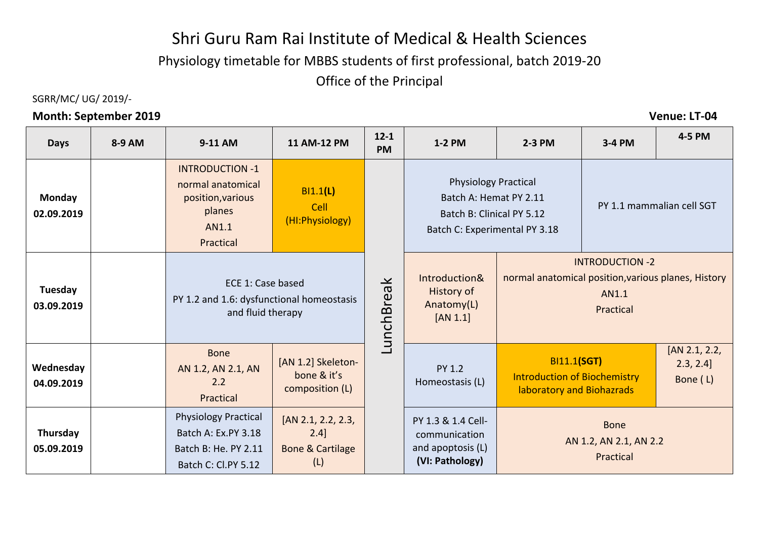# Shri Guru Ram Rai Institute of Medical & Health Sciences

Physiology timetable for MBBS students of first professional, batch 2019-20

Office of the Principal

### SGRR/MC/ UG/ 2019/-

### **Month: September 2019 Venue: LT-04**

| <b>Days</b>                 | 8-9 AM | 9-11 AM                                                                                           | 11 AM-12 PM                                                      | $12 - 1$<br><b>PM</b>                | 1-2 PM                                                                      | $2-3$ PM                                                                                                            | 3-4 PM                                             | 4-5 PM                                |
|-----------------------------|--------|---------------------------------------------------------------------------------------------------|------------------------------------------------------------------|--------------------------------------|-----------------------------------------------------------------------------|---------------------------------------------------------------------------------------------------------------------|----------------------------------------------------|---------------------------------------|
| <b>Monday</b><br>02.09.2019 |        | <b>INTRODUCTION -1</b><br>normal anatomical<br>position, various<br>planes<br>AN1.1<br>Practical  | BI1.1(L)<br>Cell<br>(HI: Physiology)                             |                                      |                                                                             | <b>Physiology Practical</b><br>Batch A: Hemat PY 2.11<br>Batch B: Clinical PY 5.12<br>Batch C: Experimental PY 3.18 |                                                    | PY 1.1 mammalian cell SGT             |
| Tuesday<br>03.09.2019       |        | ECE 1: Case based<br>PY 1.2 and 1.6: dysfunctional homeostasis<br>and fluid therapy               |                                                                  | $\overline{\mathbf{y}}$<br>LunchBrea | Introduction&<br><b>History of</b><br>Anatomy(L)<br>[AN 1.1]                | <b>INTRODUCTION -2</b><br>normal anatomical position, various planes, History<br>AN1.1<br>Practical                 |                                                    |                                       |
| Wednesday<br>04.09.2019     |        | <b>Bone</b><br>AN 1.2, AN 2.1, AN<br>2.2<br>Practical                                             | [AN 1.2] Skeleton-<br>bone & it's<br>composition (L)             |                                      | <b>PY 1.2</b><br>Homeostasis (L)                                            | <b>BI11.1(SGT)</b><br><b>Introduction of Biochemistry</b><br>laboratory and Biohazrads                              |                                                    | [AN 2.1, 2.2,<br>2.3, 2.4<br>Bone (L) |
| Thursday<br>05.09.2019      |        | <b>Physiology Practical</b><br>Batch A: Ex.PY 3.18<br>Batch B: He. PY 2.11<br>Batch C: Cl.PY 5.12 | [AN 2.1, 2.2, 2.3,<br>2.4]<br><b>Bone &amp; Cartilage</b><br>(L) |                                      | PY 1.3 & 1.4 Cell-<br>communication<br>and apoptosis (L)<br>(VI: Pathology) |                                                                                                                     | <b>Bone</b><br>AN 1.2, AN 2.1, AN 2.2<br>Practical |                                       |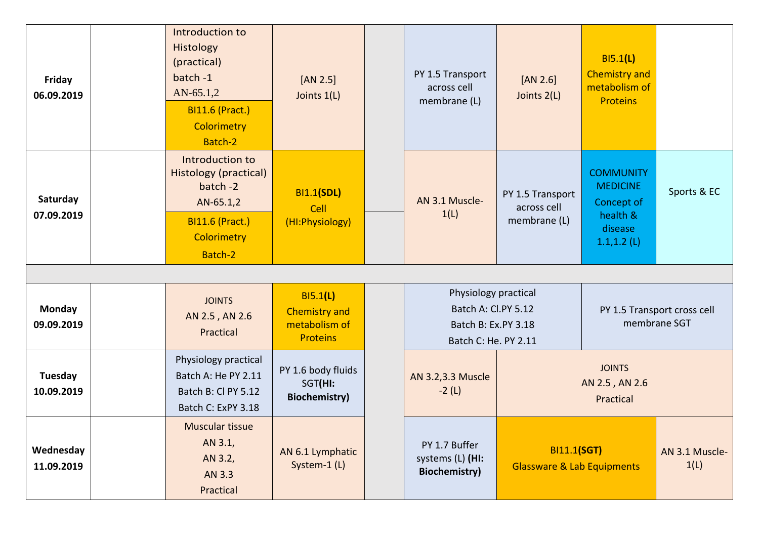| Friday<br>06.09.2019    | Introduction to<br>Histology<br>(practical)<br>batch -1<br>$AN-65.1,2$<br><b>BI11.6 (Pract.)</b><br>Colorimetry<br>Batch-2   | $[AN 2.5]$<br>Joints 1(L)                                            | PY 1.5 Transport<br>across cell<br>membrane (L)                                            | $[AN 2.6]$<br>Joints 2(L)                                   | B15.1(L)<br><b>Chemistry and</b><br>metabolism of<br><b>Proteins</b>                       |                        |
|-------------------------|------------------------------------------------------------------------------------------------------------------------------|----------------------------------------------------------------------|--------------------------------------------------------------------------------------------|-------------------------------------------------------------|--------------------------------------------------------------------------------------------|------------------------|
| Saturday<br>07.09.2019  | Introduction to<br><b>Histology (practical)</b><br>batch -2<br>AN-65.1,2<br><b>BI11.6 (Pract.)</b><br>Colorimetry<br>Batch-2 | <b>BI1.1(SDL)</b><br>Cell<br>(HI:Physiology)                         | AN 3.1 Muscle-<br>1(L)                                                                     | PY 1.5 Transport<br>across cell<br>membrane (L)             | <b>COMMUNITY</b><br><b>MEDICINE</b><br>Concept of<br>health &<br>disease<br>$1.1, 1.2$ (L) | Sports & EC            |
|                         |                                                                                                                              |                                                                      |                                                                                            |                                                             |                                                                                            |                        |
| Monday<br>09.09.2019    | <b>JOINTS</b><br>AN 2.5, AN 2.6<br>Practical                                                                                 | B15.1(L)<br><b>Chemistry and</b><br>metabolism of<br><b>Proteins</b> | Physiology practical<br>Batch A: Cl.PY 5.12<br>Batch B: Ex.PY 3.18<br>Batch C: He. PY 2.11 |                                                             | PY 1.5 Transport cross cell<br>membrane SGT                                                |                        |
| Tuesday<br>10.09.2019   | Physiology practical<br>Batch A: He PY 2.11<br>Batch B: Cl PY 5.12<br>Batch C: ExPY 3.18                                     | PY 1.6 body fluids<br>SGT(HI:<br><b>Biochemistry)</b>                | AN 3.2,3.3 Muscle<br>$-2(L)$                                                               | <b>JOINTS</b><br>AN 2.5, AN 2.6<br>Practical                |                                                                                            |                        |
| Wednesday<br>11.09.2019 | Muscular tissue<br>AN 3.1,<br>AN 3.2,<br>AN 3.3<br>Practical                                                                 | AN 6.1 Lymphatic<br>System-1 (L)                                     | PY 1.7 Buffer<br>systems (L) (HI:<br><b>Biochemistry)</b>                                  | <b>BI11.1(SGT)</b><br><b>Glassware &amp; Lab Equipments</b> |                                                                                            | AN 3.1 Muscle-<br>1(L) |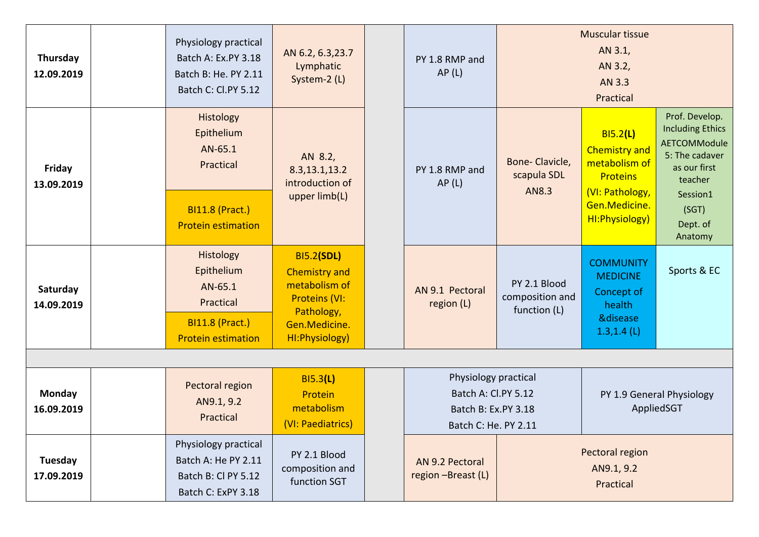| Thursday<br>12.09.2019 | Physiology practical<br>Batch A: Ex.PY 3.18<br>Batch B: He. PY 2.11<br>Batch C: Cl.PY 5.12             | AN 6.2, 6.3, 23.7<br>Lymphatic<br>System-2 (L)                                                                                       | PY 1.8 RMP and<br>AP(L)                                                                    |                                                 | <b>Muscular tissue</b><br>AN 3.1,<br>AN 3.2,<br>AN 3.3<br>Practical                                                         |                                                                                                                                                           |
|------------------------|--------------------------------------------------------------------------------------------------------|--------------------------------------------------------------------------------------------------------------------------------------|--------------------------------------------------------------------------------------------|-------------------------------------------------|-----------------------------------------------------------------------------------------------------------------------------|-----------------------------------------------------------------------------------------------------------------------------------------------------------|
| Friday<br>13.09.2019   | Histology<br>Epithelium<br>AN-65.1<br>Practical<br><b>BI11.8 (Pract.)</b><br><b>Protein estimation</b> | AN 8.2,<br>8.3, 13.1, 13.2<br>introduction of<br>upper limb(L)                                                                       | PY 1.8 RMP and<br>AP(L)                                                                    | Bone-Clavicle,<br>scapula SDL<br>AN8.3          | BI5.2(L)<br><b>Chemistry and</b><br>metabolism of<br><b>Proteins</b><br>(VI: Pathology,<br>Gen.Medicine.<br>HI: Physiology) | Prof. Develop.<br><b>Including Ethics</b><br><b>AETCOMModule</b><br>5: The cadaver<br>as our first<br>teacher<br>Session1<br>(SGT)<br>Dept. of<br>Anatomy |
| Saturday<br>14.09.2019 | Histology<br>Epithelium<br>AN-65.1<br>Practical<br><b>BI11.8 (Pract.)</b><br><b>Protein estimation</b> | <b>BI5.2(SDL)</b><br><b>Chemistry and</b><br>metabolism of<br><b>Proteins (VI:</b><br>Pathology,<br>Gen.Medicine.<br>HI: Physiology) | AN 9.1 Pectoral<br>region (L)                                                              | PY 2.1 Blood<br>composition and<br>function (L) | <b>COMMUNITY</b><br><b>MEDICINE</b><br>Concept of<br>health<br><b>&amp;disease</b><br>$1.3, 1.4$ (L)                        | Sports & EC                                                                                                                                               |
| Monday<br>16.09.2019   | Pectoral region<br>AN9.1, 9.2<br>Practical                                                             | BI5.3(L)<br>Protein<br>metabolism<br>(VI: Paediatrics)                                                                               | Physiology practical<br>Batch A: Cl.PY 5.12<br>Batch B: Ex.PY 3.18<br>Batch C: He. PY 2.11 |                                                 | PY 1.9 General Physiology<br>AppliedSGT                                                                                     |                                                                                                                                                           |
| Tuesday<br>17.09.2019  | Physiology practical<br>Batch A: He PY 2.11<br>Batch B: Cl PY 5.12<br>Batch C: ExPY 3.18               | PY 2.1 Blood<br>composition and<br>function SGT                                                                                      | AN 9.2 Pectoral<br>region -Breast (L)                                                      | Pectoral region<br>AN9.1, 9.2<br>Practical      |                                                                                                                             |                                                                                                                                                           |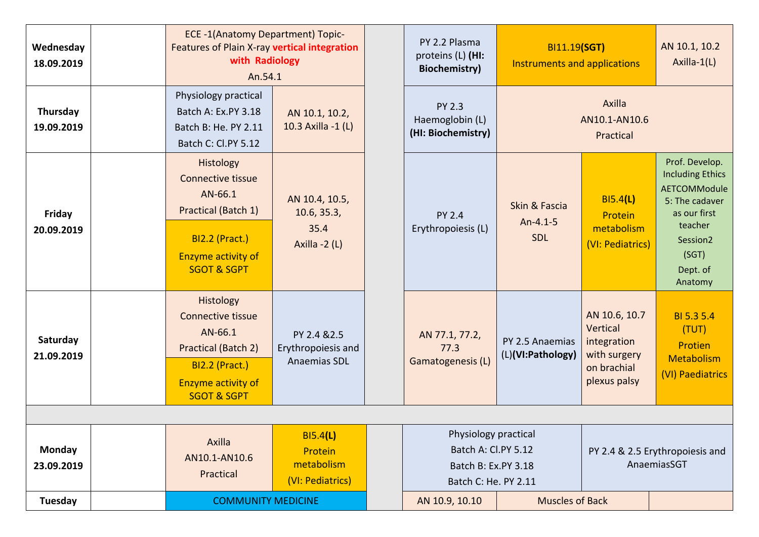| Wednesday<br>18.09.2019     | ECE -1(Anatomy Department) Topic-<br>Features of Plain X-ray vertical integration<br>with Radiology<br>An.54.1                                   |                                                         | PY 2.2 Plasma<br>proteins (L) (HI:<br><b>Biochemistry</b> )                                | BI11.19(SGT)<br>Instruments and applications   |                                                                                         | AN 10.1, 10.2<br>Axilla-1(L)                                                                                                                              |
|-----------------------------|--------------------------------------------------------------------------------------------------------------------------------------------------|---------------------------------------------------------|--------------------------------------------------------------------------------------------|------------------------------------------------|-----------------------------------------------------------------------------------------|-----------------------------------------------------------------------------------------------------------------------------------------------------------|
| Thursday<br>19.09.2019      | Physiology practical<br>Batch A: Ex.PY 3.18<br>Batch B: He. PY 2.11<br>Batch C: Cl.PY 5.12                                                       | AN 10.1, 10.2,<br>10.3 Axilla -1 (L)                    | <b>PY 2.3</b><br>Haemoglobin (L)<br>(HI: Biochemistry)                                     |                                                | Axilla<br>AN10.1-AN10.6<br>Practical                                                    |                                                                                                                                                           |
| Friday<br>20.09.2019        | Histology<br><b>Connective tissue</b><br>AN-66.1<br>Practical (Batch 1)<br><b>BI2.2 (Pract.)</b><br>Enzyme activity of<br><b>SGOT &amp; SGPT</b> | AN 10.4, 10.5,<br>10.6, 35.3,<br>35.4<br>Axilla $-2(L)$ | <b>PY 2.4</b><br>Erythropoiesis (L)                                                        | Skin & Fascia<br>$An-4.1-5$<br><b>SDL</b>      | B15.4(L)<br>Protein<br>metabolism<br>(VI: Pediatrics)                                   | Prof. Develop.<br><b>Including Ethics</b><br><b>AETCOMModule</b><br>5: The cadaver<br>as our first<br>teacher<br>Session2<br>(SGT)<br>Dept. of<br>Anatomy |
| Saturday<br>21.09.2019      | Histology<br><b>Connective tissue</b><br>AN-66.1<br>Practical (Batch 2)<br><b>BI2.2 (Pract.)</b><br>Enzyme activity of<br><b>SGOT &amp; SGPT</b> | PY 2.4 & 2.5<br>Erythropoiesis and<br>Anaemias SDL      | AN 77.1, 77.2,<br>77.3<br>Gamatogenesis (L)                                                | PY 2.5 Anaemias<br>(L)(VI:Pathology)           | AN 10.6, 10.7<br>Vertical<br>integration<br>with surgery<br>on brachial<br>plexus palsy | BI 5.3 5.4<br>(TUT)<br>Protien<br>Metabolism<br>(VI) Paediatrics                                                                                          |
|                             |                                                                                                                                                  |                                                         |                                                                                            |                                                |                                                                                         |                                                                                                                                                           |
| <b>Monday</b><br>23.09.2019 | Axilla<br>AN10.1-AN10.6<br>Practical                                                                                                             | BI5.4(L)<br>Protein<br>metabolism<br>(VI: Pediatrics)   | Physiology practical<br>Batch A: Cl.PY 5.12<br>Batch B: Ex.PY 3.18<br>Batch C: He. PY 2.11 | PY 2.4 & 2.5 Erythropoiesis and<br>AnaemiasSGT |                                                                                         |                                                                                                                                                           |
| <b>Tuesday</b>              | <b>COMMUNITY MEDICINE</b>                                                                                                                        |                                                         | AN 10.9, 10.10                                                                             | <b>Muscles of Back</b>                         |                                                                                         |                                                                                                                                                           |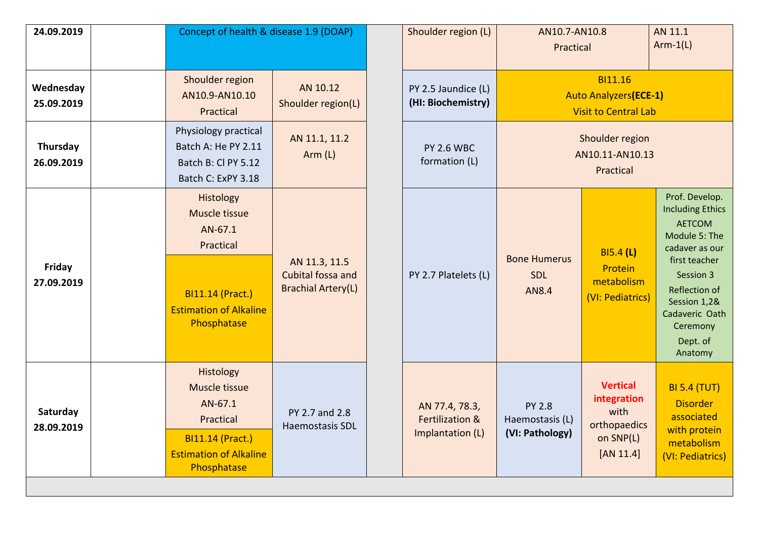| 24.09.2019              | Concept of health & disease 1.9 (DOAP)                                                                                        |                                                                 | Shoulder region (L)                                              | AN10.7-AN10.8<br>Practical                          |                                                                                  | AN 11.1<br>$Arm-1(L)$                                                                                                                                                                                             |
|-------------------------|-------------------------------------------------------------------------------------------------------------------------------|-----------------------------------------------------------------|------------------------------------------------------------------|-----------------------------------------------------|----------------------------------------------------------------------------------|-------------------------------------------------------------------------------------------------------------------------------------------------------------------------------------------------------------------|
| Wednesday<br>25.09.2019 | Shoulder region<br>AN10.9-AN10.10<br>Practical                                                                                | AN 10.12<br>Shoulder region(L)                                  | PY 2.5 Jaundice (L)<br>(HI: Biochemistry)                        |                                                     | <b>BI11.16</b><br><b>Auto Analyzers (ECE-1)</b><br><b>Visit to Central Lab</b>   |                                                                                                                                                                                                                   |
| Thursday<br>26.09.2019  | Physiology practical<br>Batch A: He PY 2.11<br>Batch B: Cl PY 5.12<br>Batch C: ExPY 3.18                                      | AN 11.1, 11.2<br>Arm (L)                                        | <b>PY 2.6 WBC</b><br>formation (L)                               |                                                     | Shoulder region<br>AN10.11-AN10.13<br>Practical                                  |                                                                                                                                                                                                                   |
| Friday<br>27.09.2019    | Histology<br>Muscle tissue<br>AN-67.1<br>Practical<br><b>BI11.14 (Pract.)</b><br><b>Estimation of Alkaline</b><br>Phosphatase | AN 11.3, 11.5<br>Cubital fossa and<br><b>Brachial Artery(L)</b> | PY 2.7 Platelets (L)                                             | <b>Bone Humerus</b><br><b>SDL</b><br><b>AN8.4</b>   | B15.4(L)<br>Protein<br>metabolism<br>(VI: Pediatrics)                            | Prof. Develop.<br><b>Including Ethics</b><br><b>AETCOM</b><br>Module 5: The<br>cadaver as our<br>first teacher<br>Session 3<br>Reflection of<br>Session 1,2&<br>Cadaveric Oath<br>Ceremony<br>Dept. of<br>Anatomy |
| Saturday<br>28.09.2019  | Histology<br>Muscle tissue<br>AN-67.1<br>Practical<br>BI11.14 (Pract.)<br><b>Estimation of Alkaline</b><br>Phosphatase        | PY 2.7 and 2.8<br>Haemostasis SDL                               | AN 77.4, 78.3,<br><b>Fertilization &amp;</b><br>Implantation (L) | <b>PY 2.8</b><br>Haemostasis (L)<br>(VI: Pathology) | <b>Vertical</b><br>integration<br>with<br>orthopaedics<br>on SNP(L)<br>[AN 11.4] | <b>BI 5.4 (TUT)</b><br><b>Disorder</b><br>associated<br>with protein<br>metabolism<br>(VI: Pediatrics)                                                                                                            |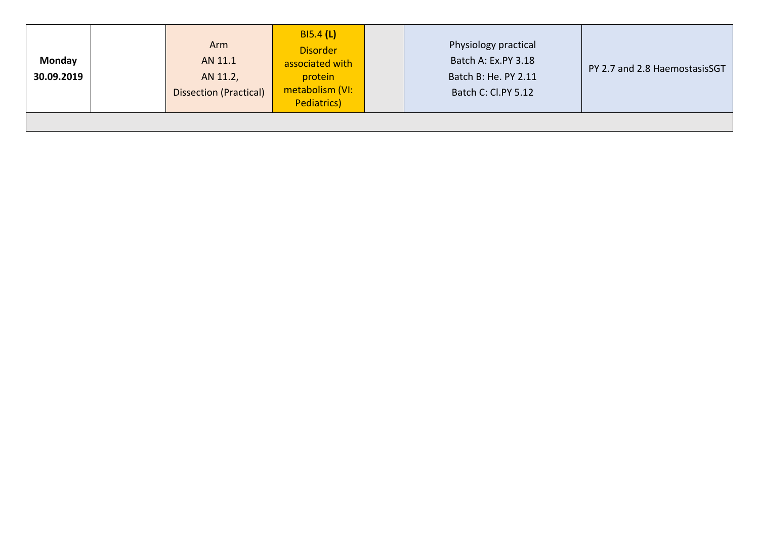| Monday<br>30.09.2019 | Arm<br>AN 11.1<br>AN 11.2,<br><b>Dissection (Practical)</b> | B15.4(L)<br><b>Disorder</b><br>associated with<br>protein<br>metabolism (VI:<br>Pediatrics) | Physiology practical<br>Batch A: Ex.PY 3.18<br>Batch B: He. PY 2.11<br>Batch C: Cl.PY 5.12 | PY 2.7 and 2.8 HaemostasisSGT |
|----------------------|-------------------------------------------------------------|---------------------------------------------------------------------------------------------|--------------------------------------------------------------------------------------------|-------------------------------|
|                      |                                                             |                                                                                             |                                                                                            |                               |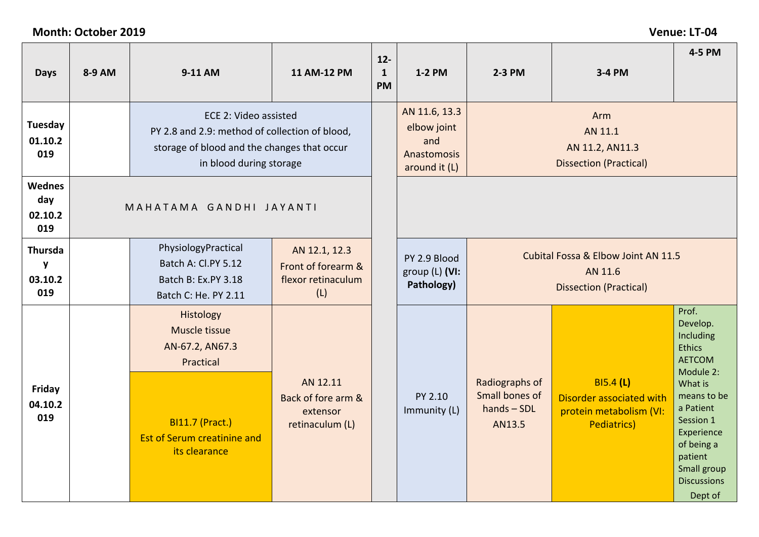## **Month: October 2019 Venue: LT-04**

| <b>Days</b>                            | 8-9 AM                                                                                                                                            | 9-11 AM                                                                                                                    | 11 AM-12 PM                                                      | $12-$<br>$\mathbf{1}$<br><b>PM</b>                                  | 1-2 PM                                                             | 2-3 PM                                                      | 3-4 PM                                                                                        | 4-5 PM                                                                                                                                                        |
|----------------------------------------|---------------------------------------------------------------------------------------------------------------------------------------------------|----------------------------------------------------------------------------------------------------------------------------|------------------------------------------------------------------|---------------------------------------------------------------------|--------------------------------------------------------------------|-------------------------------------------------------------|-----------------------------------------------------------------------------------------------|---------------------------------------------------------------------------------------------------------------------------------------------------------------|
| <b>Tuesday</b><br>01.10.2<br>019       | ECE 2: Video assisted<br>PY 2.8 and 2.9: method of collection of blood,<br>storage of blood and the changes that occur<br>in blood during storage |                                                                                                                            |                                                                  | AN 11.6, 13.3<br>elbow joint<br>and<br>Anastomosis<br>around it (L) | Arm<br>AN 11.1<br>AN 11.2, AN11.3<br><b>Dissection (Practical)</b> |                                                             |                                                                                               |                                                                                                                                                               |
| <b>Wednes</b><br>day<br>02.10.2<br>019 |                                                                                                                                                   | MAHATAMA GANDHI JAYANTI                                                                                                    |                                                                  |                                                                     |                                                                    |                                                             |                                                                                               |                                                                                                                                                               |
| <b>Thursda</b><br>y<br>03.10.2<br>019  |                                                                                                                                                   | PhysiologyPractical<br>Batch A: Cl.PY 5.12<br>Batch B: Ex.PY 3.18<br>Batch C: He. PY 2.11                                  | AN 12.1, 12.3<br>Front of forearm &<br>flexor retinaculum<br>(L) |                                                                     | PY 2.9 Blood<br>group (L) (VI:<br>Pathology)                       |                                                             | Cubital Fossa & Elbow Joint AN 11.5<br>AN 11.6<br><b>Dissection (Practical)</b>               |                                                                                                                                                               |
| Friday<br>04.10.2<br>019               |                                                                                                                                                   | Histology<br>Muscle tissue<br>AN-67.2, AN67.3<br>Practical<br><b>BI11.7 (Pract.)</b><br><b>Est of Serum creatinine and</b> | AN 12.11<br>Back of fore arm &<br>extensor<br>retinaculum (L)    |                                                                     | PY 2.10<br>Immunity (L)                                            | Radiographs of<br>Small bones of<br>$hands - SDL$<br>AN13.5 | <b>BI5.4 (L)</b><br>Disorder associated with<br>protein metabolism (VI:<br><b>Pediatrics)</b> | Prof.<br>Develop.<br>Including<br><b>Ethics</b><br><b>AETCOM</b><br>Module 2:<br>What is<br>means to be<br>a Patient<br>Session 1<br>Experience<br>of being a |
|                                        |                                                                                                                                                   | its clearance                                                                                                              |                                                                  |                                                                     |                                                                    |                                                             |                                                                                               | patient<br>Small group<br><b>Discussions</b><br>Dept of                                                                                                       |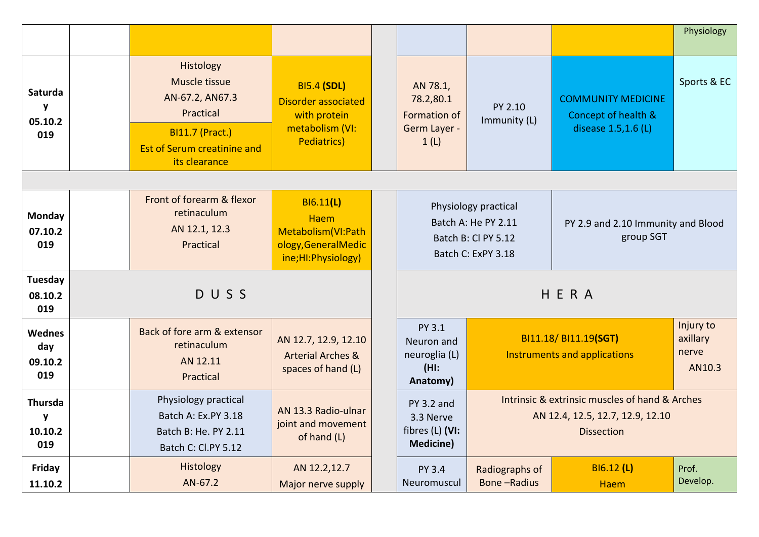|                                           |                                                                                                                                             |                                                                                                            |                                                                       |                                                                                          |                                                                                                         | Physiology                               |
|-------------------------------------------|---------------------------------------------------------------------------------------------------------------------------------------------|------------------------------------------------------------------------------------------------------------|-----------------------------------------------------------------------|------------------------------------------------------------------------------------------|---------------------------------------------------------------------------------------------------------|------------------------------------------|
| Saturda<br>$\mathbf{y}$<br>05.10.2<br>019 | Histology<br>Muscle tissue<br>AN-67.2, AN67.3<br>Practical<br><b>BI11.7 (Pract.)</b><br><b>Est of Serum creatinine and</b><br>its clearance | <b>BI5.4 (SDL)</b><br><b>Disorder associated</b><br>with protein<br>metabolism (VI:<br><b>Pediatrics</b> ) | AN 78.1,<br>78.2,80.1<br><b>Formation of</b><br>Germ Layer -<br>1(L)  | PY 2.10<br>Immunity (L)                                                                  | <b>COMMUNITY MEDICINE</b><br>Concept of health &<br>disease 1.5,1.6 (L)                                 | Sports & EC                              |
|                                           |                                                                                                                                             |                                                                                                            |                                                                       |                                                                                          |                                                                                                         |                                          |
| Monday<br>07.10.2<br>019                  | Front of forearm & flexor<br>retinaculum<br>AN 12.1, 12.3<br>Practical                                                                      | <b>BI6.11(L)</b><br><b>Haem</b><br>Metabolism(VI:Path<br>ology, General Medic<br>ine;HI:Physiology)        |                                                                       | Physiology practical<br>Batch A: He PY 2.11<br>Batch B: Cl PY 5.12<br>Batch C: ExPY 3.18 | PY 2.9 and 2.10 Immunity and Blood<br>group SGT                                                         |                                          |
| Tuesday<br>08.10.2<br>019                 | DUSS                                                                                                                                        |                                                                                                            |                                                                       |                                                                                          | HERA                                                                                                    |                                          |
| <b>Wednes</b><br>day<br>09.10.2<br>019    | Back of fore arm & extensor<br>retinaculum<br>AN 12.11<br>Practical                                                                         | AN 12.7, 12.9, 12.10<br><b>Arterial Arches &amp;</b><br>spaces of hand (L)                                 | PY 3.1<br>Neuron and<br>neuroglia (L)<br>$(HI)$ :<br>Anatomy)         |                                                                                          | BI11.18/ BI11.19(SGT)<br>Instruments and applications                                                   | Injury to<br>axillary<br>nerve<br>AN10.3 |
| <b>Thursda</b><br>y<br>10.10.2<br>019     | Physiology practical<br>Batch A: Ex.PY 3.18<br>Batch B: He. PY 2.11<br>Batch C: Cl.PY 5.12                                                  | AN 13.3 Radio-ulnar<br>joint and movement<br>of hand (L)                                                   | <b>PY 3.2 and</b><br>3.3 Nerve<br>fibres (L) (VI:<br><b>Medicine)</b> |                                                                                          | Intrinsic & extrinsic muscles of hand & Arches<br>AN 12.4, 12.5, 12.7, 12.9, 12.10<br><b>Dissection</b> |                                          |
| Friday<br>11.10.2                         | Histology<br>AN-67.2                                                                                                                        | AN 12.2,12.7<br>Major nerve supply                                                                         | <b>PY 3.4</b><br>Neuromuscul                                          | Radiographs of<br><b>Bone-Radius</b>                                                     | BI6.12 (L)<br><b>Haem</b>                                                                               | Prof.<br>Develop.                        |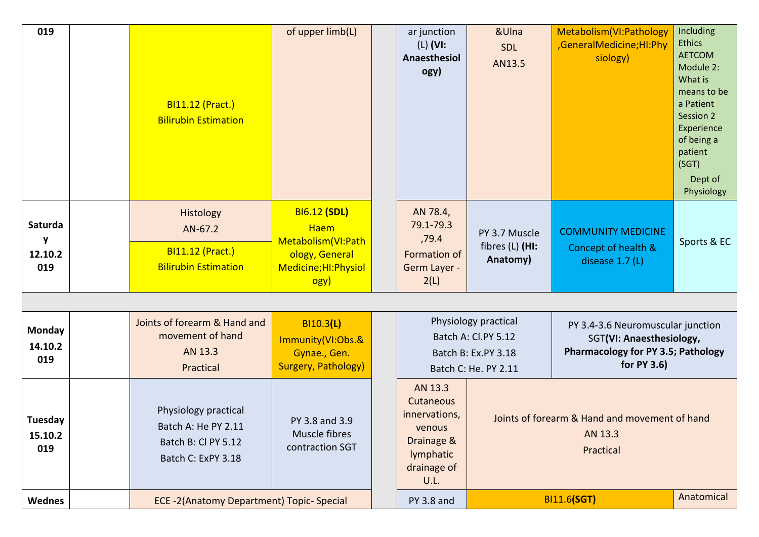| 019                            | <b>BI11.12 (Pract.)</b><br><b>Bilirubin Estimation</b>                                   | of upper limb(L)                                                                                              | ar junction<br>$(L)$ (VI:<br>Anaesthesiol<br>ogy)                                                 | &Ulna<br>SDL<br>AN13.5                                                                     | Metabolism (VI: Pathology<br>,GeneralMedicine;HI:Phy<br>siology)                                                          | Including<br><b>Ethics</b><br><b>AETCOM</b><br>Module 2:<br>What is<br>means to be<br>a Patient<br>Session 2<br>Experience<br>of being a<br>patient<br>(SGT)<br>Dept of<br>Physiology |
|--------------------------------|------------------------------------------------------------------------------------------|---------------------------------------------------------------------------------------------------------------|---------------------------------------------------------------------------------------------------|--------------------------------------------------------------------------------------------|---------------------------------------------------------------------------------------------------------------------------|---------------------------------------------------------------------------------------------------------------------------------------------------------------------------------------|
| Saturda<br>y<br>12.10.2<br>019 | Histology<br>AN-67.2<br><b>BI11.12 (Pract.)</b><br><b>Bilirubin Estimation</b>           | <b>BI6.12 (SDL)</b><br><b>Haem</b><br>Metabolism (VI: Path<br>ology, General<br>Medicine; HI: Physiol<br>ogy) | AN 78.4,<br>79.1-79.3<br>,79.4<br>Formation of<br>Germ Layer -<br>2(L)                            | PY 3.7 Muscle<br>fibres $(L)$ (HI:<br>Anatomy)                                             | <b>COMMUNITY MEDICINE</b><br>Concept of health &<br>disease 1.7 (L)                                                       | Sports & EC                                                                                                                                                                           |
|                                |                                                                                          |                                                                                                               |                                                                                                   |                                                                                            |                                                                                                                           |                                                                                                                                                                                       |
| Monday<br>14.10.2<br>019       | Joints of forearm & Hand and<br>movement of hand<br>AN 13.3<br>Practical                 | BI10.3(L)<br>Immunity(VI:Obs.&<br>Gynae., Gen.<br><b>Surgery, Pathology)</b>                                  |                                                                                                   | Physiology practical<br>Batch A: Cl.PY 5.12<br>Batch B: Ex.PY 3.18<br>Batch C: He. PY 2.11 | PY 3.4-3.6 Neuromuscular junction<br>SGT(VI: Anaesthesiology,<br><b>Pharmacology for PY 3.5; Pathology</b><br>for PY 3.6) |                                                                                                                                                                                       |
| Tuesday<br>15.10.2<br>019      | Physiology practical<br>Batch A: He PY 2.11<br>Batch B: Cl PY 5.12<br>Batch C: ExPY 3.18 | PY 3.8 and 3.9<br>Muscle fibres<br>contraction SGT                                                            | AN 13.3<br>Cutaneous<br>innervations,<br>venous<br>Drainage &<br>lymphatic<br>drainage of<br>U.L. |                                                                                            | Joints of forearm & Hand and movement of hand<br>AN 13.3<br>Practical                                                     |                                                                                                                                                                                       |
| <b>Wednes</b>                  | ECE -2(Anatomy Department) Topic-Special                                                 |                                                                                                               | PY 3.8 and                                                                                        |                                                                                            | <b>BI11.6(SGT)</b>                                                                                                        | Anatomical                                                                                                                                                                            |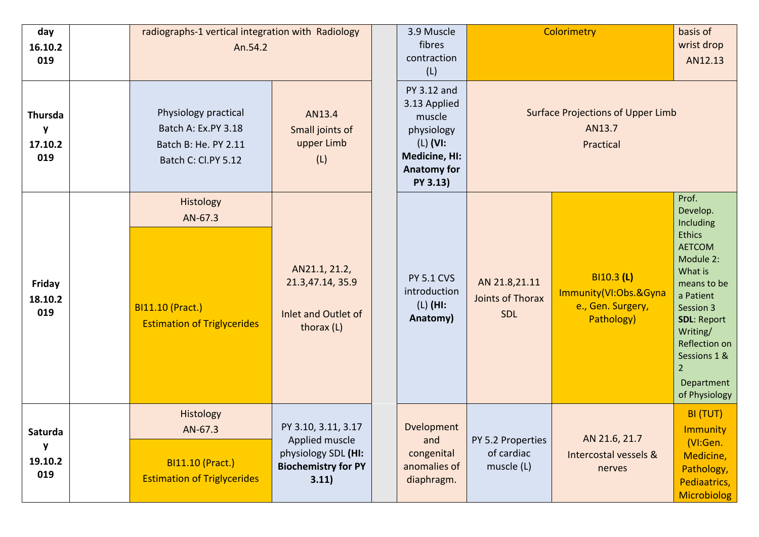| day<br>16.10.2<br>019                 | radiographs-1 vertical integration with Radiology<br>An.54.2                               |                                                                                                     | 3.9 Muscle<br>fibres<br>contraction<br>(L)                                                                                  | Colorimetry                                     |                                                                        | basis of<br>wrist drop<br>AN12.13                                                                                                                                                                                                                     |
|---------------------------------------|--------------------------------------------------------------------------------------------|-----------------------------------------------------------------------------------------------------|-----------------------------------------------------------------------------------------------------------------------------|-------------------------------------------------|------------------------------------------------------------------------|-------------------------------------------------------------------------------------------------------------------------------------------------------------------------------------------------------------------------------------------------------|
| <b>Thursda</b><br>y<br>17.10.2<br>019 | Physiology practical<br>Batch A: Ex.PY 3.18<br>Batch B: He. PY 2.11<br>Batch C: Cl.PY 5.12 | AN13.4<br>Small joints of<br>upper Limb<br>(L)                                                      | PY 3.12 and<br>3.13 Applied<br>muscle<br>physiology<br>$(L)$ (VI:<br><b>Medicine, HI:</b><br><b>Anatomy for</b><br>PY 3.13) |                                                 | <b>Surface Projections of Upper Limb</b><br>AN13.7<br>Practical        |                                                                                                                                                                                                                                                       |
| Friday<br>18.10.2<br>019              | Histology<br>AN-67.3<br><b>BI11.10 (Pract.)</b><br><b>Estimation of Triglycerides</b>      | AN21.1, 21.2,<br>21.3,47.14, 35.9<br>Inlet and Outlet of<br>thorax (L)                              | <b>PY 5.1 CVS</b><br>introduction<br>$(L)$ (HI:<br>Anatomy)                                                                 | AN 21.8,21.11<br><b>Joints of Thorax</b><br>SDL | BI10.3 (L)<br>Immunity(VI:Obs.&Gyna<br>e., Gen. Surgery,<br>Pathology) | Prof.<br>Develop.<br>Including<br><b>Ethics</b><br><b>AETCOM</b><br>Module 2:<br>What is<br>means to be<br>a Patient<br>Session 3<br><b>SDL: Report</b><br>Writing/<br>Reflection on<br>Sessions 1 &<br>$\overline{2}$<br>Department<br>of Physiology |
| Saturda<br>y<br>19.10.2<br>019        | Histology<br>AN-67.3<br><b>BI11.10 (Pract.)</b><br><b>Estimation of Triglycerides</b>      | PY 3.10, 3.11, 3.17<br>Applied muscle<br>physiology SDL (HI:<br><b>Biochemistry for PY</b><br>3.11) | Dvelopment<br>and<br>congenital<br>anomalies of<br>diaphragm.                                                               | PY 5.2 Properties<br>of cardiac<br>muscle (L)   | AN 21.6, 21.7<br>Intercostal vessels &<br>nerves                       | BI (TUT)<br><b>Immunity</b><br>(VI:Gen.<br>Medicine,<br>Pathology,<br>Pediaatrics,<br><b>Microbiolog</b>                                                                                                                                              |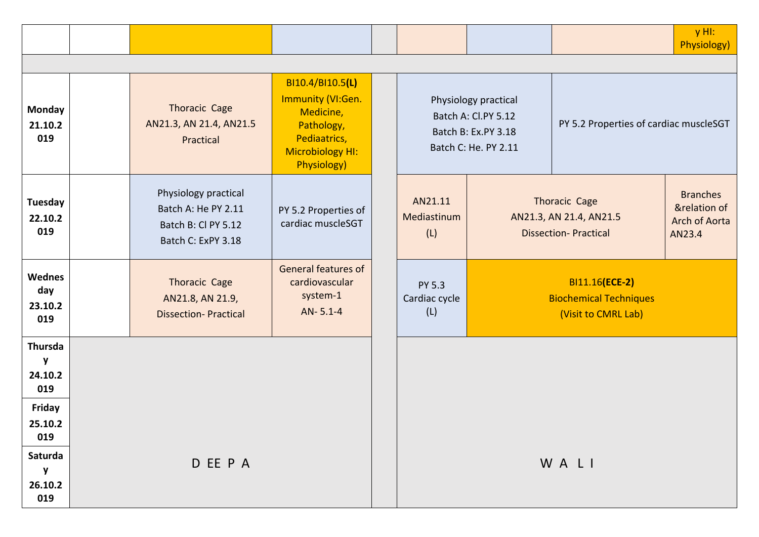|                                        |                                                                                          |                                                                                                                            |                                |                                                                                            |                                                                                | $y$ HI:<br>Physiology)                                     |
|----------------------------------------|------------------------------------------------------------------------------------------|----------------------------------------------------------------------------------------------------------------------------|--------------------------------|--------------------------------------------------------------------------------------------|--------------------------------------------------------------------------------|------------------------------------------------------------|
|                                        |                                                                                          |                                                                                                                            |                                |                                                                                            |                                                                                |                                                            |
| <b>Monday</b><br>21.10.2<br>019        | Thoracic Cage<br>AN21.3, AN 21.4, AN21.5<br>Practical                                    | BI10.4/BI10.5(L)<br>Immunity (VI:Gen.<br>Medicine,<br>Pathology,<br>Pediaatrics,<br>Microbiology HI:<br><b>Physiology)</b> |                                | Physiology practical<br>Batch A: Cl.PY 5.12<br>Batch B: Ex.PY 3.18<br>Batch C: He. PY 2.11 | PY 5.2 Properties of cardiac muscleSGT                                         |                                                            |
| Tuesday<br>22.10.2<br>019              | Physiology practical<br>Batch A: He PY 2.11<br>Batch B: Cl PY 5.12<br>Batch C: ExPY 3.18 | PY 5.2 Properties of<br>cardiac muscleSGT                                                                                  | AN21.11<br>Mediastinum<br>(L)  |                                                                                            | <b>Thoracic Cage</b><br>AN21.3, AN 21.4, AN21.5<br><b>Dissection-Practical</b> | <b>Branches</b><br>&relation of<br>Arch of Aorta<br>AN23.4 |
| <b>Wednes</b><br>day<br>23.10.2<br>019 | Thoracic Cage<br>AN21.8, AN 21.9,<br><b>Dissection-Practical</b>                         | <b>General features of</b><br>cardiovascular<br>system-1<br>AN-5.1-4                                                       | PY 5.3<br>Cardiac cycle<br>(L) |                                                                                            | BI11.16(ECE-2)<br><b>Biochemical Techniques</b><br>(Visit to CMRL Lab)         |                                                            |
| <b>Thursda</b><br>y<br>24.10.2<br>019  |                                                                                          |                                                                                                                            |                                |                                                                                            |                                                                                |                                                            |
| Friday<br>25.10.2<br>019               |                                                                                          |                                                                                                                            |                                |                                                                                            |                                                                                |                                                            |
| Saturda<br>${\bf y}$<br>26.10.2<br>019 | D EE P A                                                                                 |                                                                                                                            |                                |                                                                                            | WALI                                                                           |                                                            |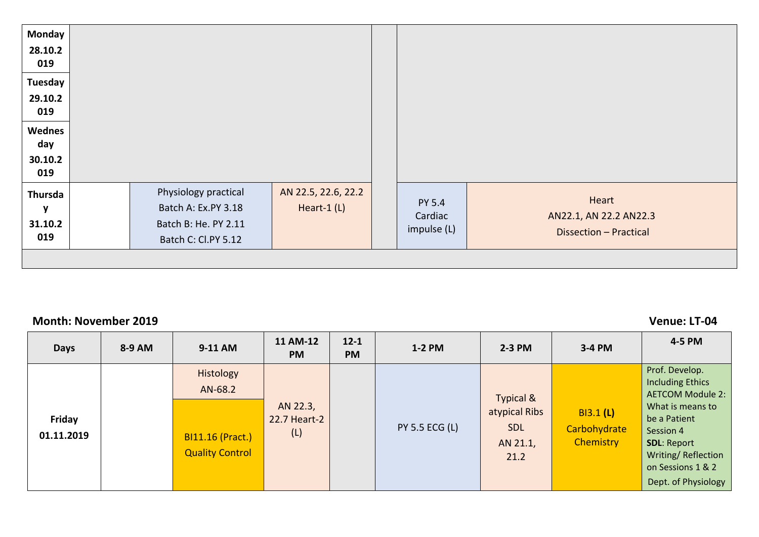| <b>Monday</b><br>28.10.2<br>019       |                                                                                            |                                   |                                  |                                                           |
|---------------------------------------|--------------------------------------------------------------------------------------------|-----------------------------------|----------------------------------|-----------------------------------------------------------|
| Tuesday<br>29.10.2<br>019             |                                                                                            |                                   |                                  |                                                           |
| Wednes<br>day<br>30.10.2<br>019       |                                                                                            |                                   |                                  |                                                           |
| <b>Thursda</b><br>y<br>31.10.2<br>019 | Physiology practical<br>Batch A: Ex.PY 3.18<br>Batch B: He. PY 2.11<br>Batch C: Cl.PY 5.12 | AN 22.5, 22.6, 22.2<br>Heart-1(L) | PY 5.4<br>Cardiac<br>impulse (L) | Heart<br>AN22.1, AN 22.2 AN22.3<br>Dissection - Practical |
|                                       |                                                                                            |                                   |                                  |                                                           |

### **Month: November 2019 Venue: LT-04**

| <b>Days</b>          | 8-9 AM | 9-11 AM                                                                   | 11 AM-12<br><b>PM</b>           | $12 - 1$<br><b>PM</b> | 1-2 PM                | $2-3$ PM                                                                | 3-4 PM                                        | 4-5 PM                                                                                                                                                                                                        |
|----------------------|--------|---------------------------------------------------------------------------|---------------------------------|-----------------------|-----------------------|-------------------------------------------------------------------------|-----------------------------------------------|---------------------------------------------------------------------------------------------------------------------------------------------------------------------------------------------------------------|
| Friday<br>01.11.2019 |        | Histology<br>AN-68.2<br><b>BI11.16 (Pract.)</b><br><b>Quality Control</b> | AN 22.3,<br>22.7 Heart-2<br>(L) |                       | <b>PY 5.5 ECG (L)</b> | <b>Typical &amp;</b><br>atypical Ribs<br><b>SDL</b><br>AN 21.1,<br>21.2 | <b>BI3.1 (L)</b><br>Carbohydrate<br>Chemistry | Prof. Develop.<br><b>Including Ethics</b><br><b>AETCOM Module 2:</b><br>What is means to<br>be a Patient<br>Session 4<br><b>SDL: Report</b><br>Writing/Reflection<br>on Sessions 1 & 2<br>Dept. of Physiology |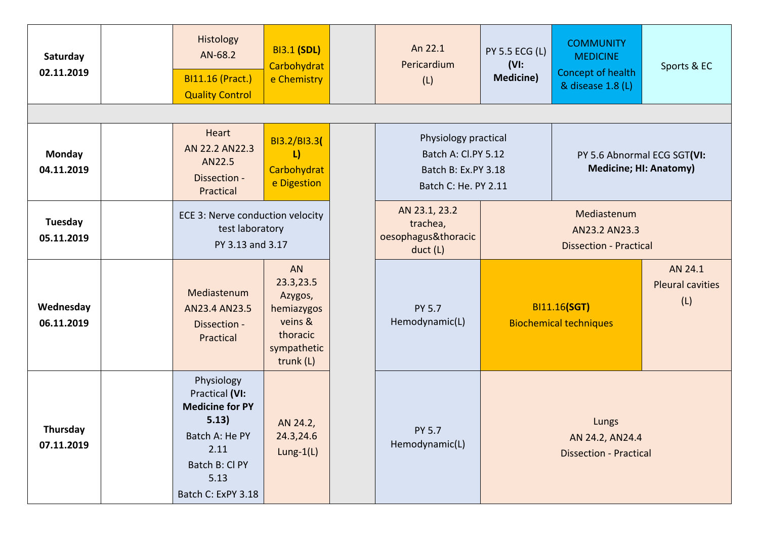| Saturday<br>02.11.2019      | Histology<br>AN-68.2<br><b>BI11.16 (Pract.)</b><br><b>Quality Control</b>                                                                 | <b>BI3.1 (SDL)</b><br>Carbohydrat<br>e Chemistry                                            |  | An 22.1<br>Pericardium<br>(L)                                                              | <b>PY 5.5 ECG (L)</b><br>$(VI)$ :<br><b>Medicine)</b> | <b>COMMUNITY</b><br><b>MEDICINE</b><br>Concept of health<br>& disease 1.8 (L) | Sports & EC                               |
|-----------------------------|-------------------------------------------------------------------------------------------------------------------------------------------|---------------------------------------------------------------------------------------------|--|--------------------------------------------------------------------------------------------|-------------------------------------------------------|-------------------------------------------------------------------------------|-------------------------------------------|
|                             |                                                                                                                                           |                                                                                             |  |                                                                                            |                                                       |                                                                               |                                           |
| <b>Monday</b><br>04.11.2019 | Heart<br>AN 22.2 AN 22.3<br>AN22.5<br>Dissection -<br>Practical                                                                           | BI3.2/BI3.3(<br>L<br>Carbohydrat<br>e Digestion                                             |  | Physiology practical<br>Batch A: Cl.PY 5.12<br>Batch B: Ex.PY 3.18<br>Batch C: He. PY 2.11 |                                                       | PY 5.6 Abnormal ECG SGT(VI:                                                   | <b>Medicine; HI: Anatomy)</b>             |
| Tuesday<br>05.11.2019       |                                                                                                                                           | ECE 3: Nerve conduction velocity<br>test laboratory<br>PY 3.13 and 3.17                     |  | AN 23.1, 23.2<br>trachea,<br>oesophagus&thoracic<br>duct (L)                               |                                                       | <b>Dissection - Practical</b>                                                 |                                           |
| Wednesday<br>06.11.2019     | Mediastenum<br>AN23.4 AN23.5<br>Dissection -<br>Practical                                                                                 | AN<br>23.3,23.5<br>Azygos,<br>hemiazygos<br>veins &<br>thoracic<br>sympathetic<br>trunk (L) |  | <b>PY 5.7</b><br>Hemodynamic(L)                                                            |                                                       | BI11.16(SGT)<br><b>Biochemical techniques</b>                                 | AN 24.1<br><b>Pleural cavities</b><br>(L) |
| Thursday<br>07.11.2019      | Physiology<br>Practical (VI:<br><b>Medicine for PY</b><br>5.13)<br>Batch A: He PY<br>2.11<br>Batch B: Cl PY<br>5.13<br>Batch C: ExPY 3.18 | AN 24.2,<br>24.3,24.6<br>$Lung-1(L)$                                                        |  | PY 5.7<br>Hemodynamic(L)                                                                   |                                                       | Lungs<br>AN 24.2, AN 24.4<br><b>Dissection - Practical</b>                    |                                           |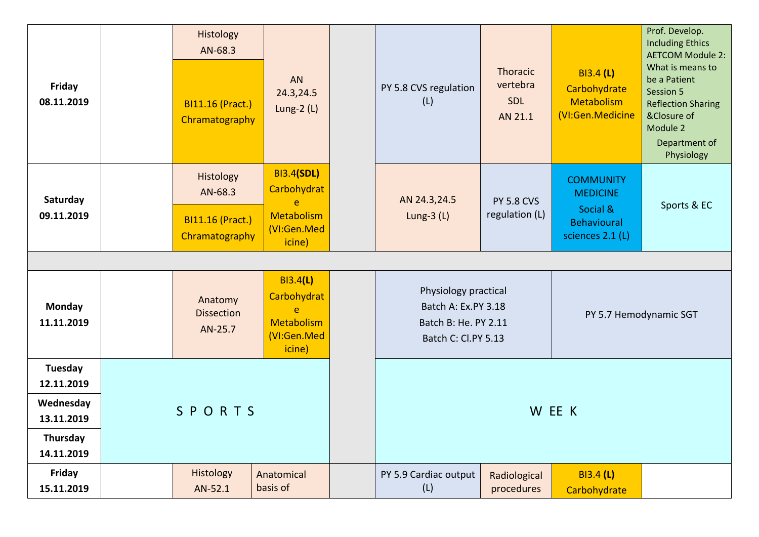| Friday<br>08.11.2019                  | Histology<br>AN-68.3<br><b>BI11.16 (Pract.)</b><br>Chramatography | AN<br>24.3,24.5<br>Lung- $2(L)$                                                         | PY 5.8 CVS regulation<br>(L)                                                               | <b>Thoracic</b><br>vertebra<br><b>SDL</b><br>AN 21.1 | <b>BI3.4 (L)</b><br>Carbohydrate<br><b>Metabolism</b><br>(VI:Gen.Medicine                 | Prof. Develop.<br><b>Including Ethics</b><br><b>AETCOM Module 2:</b><br>What is means to<br>be a Patient<br>Session 5<br><b>Reflection Sharing</b><br>&Closure of<br>Module 2<br>Department of<br>Physiology |
|---------------------------------------|-------------------------------------------------------------------|-----------------------------------------------------------------------------------------|--------------------------------------------------------------------------------------------|------------------------------------------------------|-------------------------------------------------------------------------------------------|--------------------------------------------------------------------------------------------------------------------------------------------------------------------------------------------------------------|
| Saturday<br>09.11.2019                | Histology<br>AN-68.3<br><b>BI11.16 (Pract.)</b><br>Chramatography | <b>BI3.4(SDL)</b><br>Carbohydrat<br>$\mathbf{e}$<br>Metabolism<br>(VI:Gen.Med<br>icine) | AN 24.3,24.5<br>Lung- $3(L)$                                                               | <b>PY 5.8 CVS</b><br>regulation (L)                  | <b>COMMUNITY</b><br><b>MEDICINE</b><br>Social &<br><b>Behavioural</b><br>sciences 2.1 (L) | Sports & EC                                                                                                                                                                                                  |
|                                       |                                                                   |                                                                                         |                                                                                            |                                                      |                                                                                           |                                                                                                                                                                                                              |
| <b>Monday</b><br>11.11.2019           | Anatomy<br><b>Dissection</b><br>AN-25.7                           | <b>BI3.4(L)</b><br>Carbohydrat<br>e<br>Metabolism<br>(VI:Gen.Med<br>icine)              | Physiology practical<br>Batch A: Ex.PY 3.18<br>Batch B: He. PY 2.11<br>Batch C: Cl.PY 5.13 |                                                      |                                                                                           | PY 5.7 Hemodynamic SGT                                                                                                                                                                                       |
| Tuesday                               |                                                                   |                                                                                         |                                                                                            |                                                      |                                                                                           |                                                                                                                                                                                                              |
| 12.11.2019<br>Wednesday<br>13.11.2019 | SPORTS                                                            |                                                                                         |                                                                                            |                                                      | W EE K                                                                                    |                                                                                                                                                                                                              |
| Thursday<br>14.11.2019                |                                                                   |                                                                                         |                                                                                            |                                                      |                                                                                           |                                                                                                                                                                                                              |
| Friday<br>15.11.2019                  | Histology<br>AN-52.1                                              | Anatomical<br>basis of                                                                  | PY 5.9 Cardiac output<br>(L)                                                               | Radiological<br>procedures                           | <b>BI3.4 (L)</b><br>Carbohydrate                                                          |                                                                                                                                                                                                              |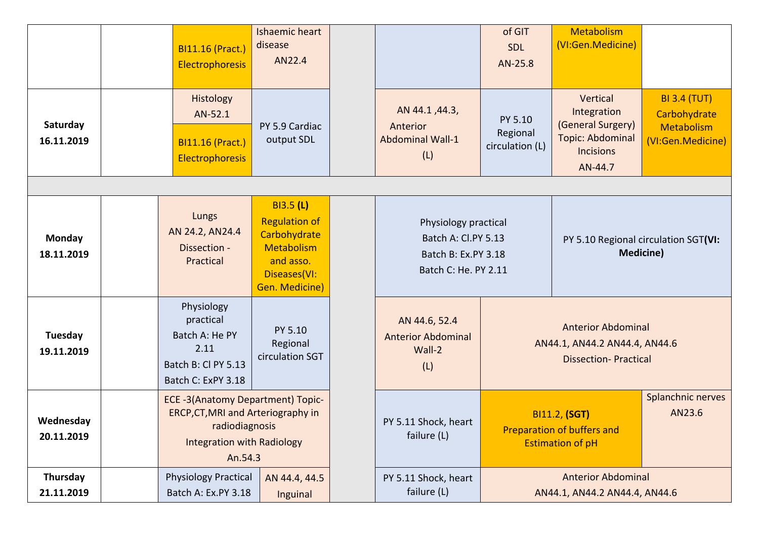|                         | <b>BI11.16 (Pract.)</b><br>Electrophoresis                                                                                                       | <b>Ishaemic heart</b><br>disease<br>AN22.4                                                                            |                                                                                            | of GIT<br>SDL<br>AN-25.8                                 | Metabolism<br>(VI:Gen.Medicine)                                                                        |                                                                               |
|-------------------------|--------------------------------------------------------------------------------------------------------------------------------------------------|-----------------------------------------------------------------------------------------------------------------------|--------------------------------------------------------------------------------------------|----------------------------------------------------------|--------------------------------------------------------------------------------------------------------|-------------------------------------------------------------------------------|
| Saturday<br>16.11.2019  | Histology<br>AN-52.1<br><b>BI11.16 (Pract.)</b><br><b>Electrophoresis</b>                                                                        | PY 5.9 Cardiac<br>output SDL                                                                                          | AN 44.1, 44.3,<br>Anterior<br><b>Abdominal Wall-1</b><br>(L)                               | PY 5.10<br>Regional<br>circulation (L)                   | Vertical<br>Integration<br>(General Surgery)<br><b>Topic: Abdominal</b><br><b>Incisions</b><br>AN-44.7 | <b>BI 3.4 (TUT)</b><br>Carbohydrate<br><b>Metabolism</b><br>(VI:Gen.Medicine) |
|                         |                                                                                                                                                  |                                                                                                                       |                                                                                            |                                                          |                                                                                                        |                                                                               |
| Monday<br>18.11.2019    | Lungs<br>AN 24.2, AN 24.4<br>Dissection -<br>Practical                                                                                           | <b>BI3.5 (L)</b><br><b>Regulation of</b><br>Carbohydrate<br>Metabolism<br>and asso.<br>Diseases(VI:<br>Gen. Medicine) | Physiology practical<br>Batch A: Cl.PY 5.13<br>Batch B: Ex.PY 3.18<br>Batch C: He. PY 2.11 | PY 5.10 Regional circulation SGT(VI:<br><b>Medicine)</b> |                                                                                                        |                                                                               |
| Tuesday<br>19.11.2019   | Physiology<br>practical<br>Batch A: He PY<br>2.11<br>Batch B: Cl PY 5.13<br>Batch C: ExPY 3.18                                                   | PY 5.10<br>Regional<br>circulation SGT                                                                                | AN 44.6, 52.4<br><b>Anterior Abdominal</b><br>Wall-2<br>(L)                                |                                                          | <b>Anterior Abdominal</b><br>AN44.1, AN44.2 AN44.4, AN44.6<br><b>Dissection-Practical</b>              |                                                                               |
| Wednesday<br>20.11.2019 | <b>ECE -3(Anatomy Department) Topic-</b><br>ERCP, CT, MRI and Arteriography in<br>radiodiagnosis<br><b>Integration with Radiology</b><br>An.54.3 |                                                                                                                       | PY 5.11 Shock, heart<br>failure (L)                                                        |                                                          | <b>BI11.2, (SGT)</b><br>Preparation of buffers and<br><b>Estimation of pH</b>                          | Splanchnic nerves<br>AN23.6                                                   |
| Thursday<br>21.11.2019  | <b>Physiology Practical</b><br>Batch A: Ex.PY 3.18                                                                                               | AN 44.4, 44.5<br>Inguinal                                                                                             | PY 5.11 Shock, heart<br>failure (L)                                                        |                                                          | <b>Anterior Abdominal</b><br>AN44.1, AN44.2 AN44.4, AN44.6                                             |                                                                               |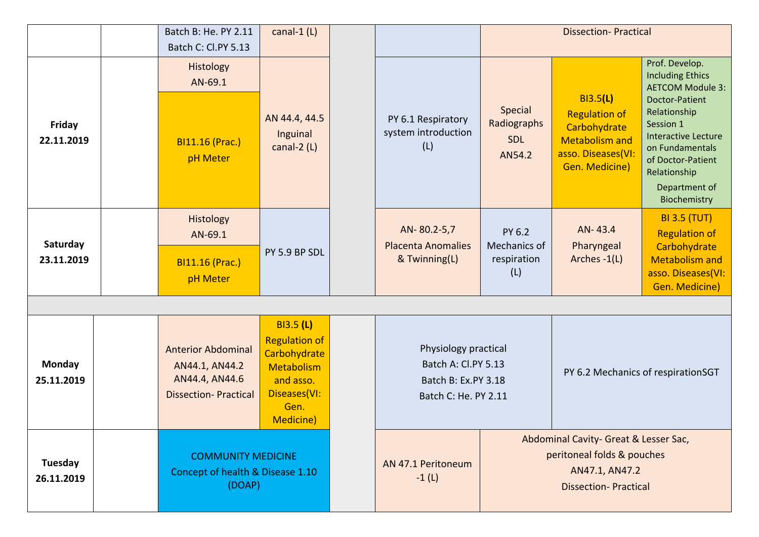|                             |  | Batch B: He. PY 2.11                                                                         | canal-1 $(L)$                                                                                                            |                                                                                            |                                                                                                                      | <b>Dissection-Practical</b>                                                                                       |                                                                                                                                                                                                                                                   |
|-----------------------------|--|----------------------------------------------------------------------------------------------|--------------------------------------------------------------------------------------------------------------------------|--------------------------------------------------------------------------------------------|----------------------------------------------------------------------------------------------------------------------|-------------------------------------------------------------------------------------------------------------------|---------------------------------------------------------------------------------------------------------------------------------------------------------------------------------------------------------------------------------------------------|
|                             |  | Batch C: Cl.PY 5.13                                                                          |                                                                                                                          |                                                                                            |                                                                                                                      |                                                                                                                   |                                                                                                                                                                                                                                                   |
| Friday<br>22.11.2019        |  | Histology<br>AN-69.1<br><b>BI11.16 (Prac.)</b><br>pH Meter                                   | AN 44.4, 44.5<br>Inguinal<br>canal-2 (L)                                                                                 | PY 6.1 Respiratory<br>system introduction<br>(L)                                           | Special<br>Radiographs<br><b>SDL</b><br>AN54.2                                                                       | B13.5(L)<br><b>Regulation of</b><br>Carbohydrate<br><b>Metabolism and</b><br>asso. Diseases(VI:<br>Gen. Medicine) | Prof. Develop.<br><b>Including Ethics</b><br><b>AETCOM Module 3:</b><br><b>Doctor-Patient</b><br>Relationship<br>Session 1<br><b>Interactive Lecture</b><br>on Fundamentals<br>of Doctor-Patient<br>Relationship<br>Department of<br>Biochemistry |
| Saturday<br>23.11.2019      |  | Histology<br>AN-69.1<br><b>BI11.16 (Prac.)</b><br>pH Meter                                   | PY 5.9 BP SDL                                                                                                            | AN-80.2-5,7<br><b>Placenta Anomalies</b><br>& Twinning(L)                                  | PY 6.2<br>Mechanics of<br>respiration<br>(L)                                                                         | AN-43.4<br>Pharyngeal<br>Arches -1(L)                                                                             | <b>BI 3.5 (TUT)</b><br><b>Regulation of</b><br>Carbohydrate<br><b>Metabolism and</b><br>asso. Diseases(VI:<br>Gen. Medicine)                                                                                                                      |
| <b>Monday</b><br>25.11.2019 |  | <b>Anterior Abdominal</b><br>AN44.1, AN44.2<br>AN44.4, AN44.6<br><b>Dissection-Practical</b> | <b>BI3.5 (L)</b><br><b>Regulation of</b><br>Carbohydrate<br>Metabolism<br>and asso.<br>Diseases(VI:<br>Gen.<br>Medicine) | Physiology practical<br>Batch A: Cl.PY 5.13<br>Batch B: Ex.PY 3.18<br>Batch C: He. PY 2.11 |                                                                                                                      |                                                                                                                   | PY 6.2 Mechanics of respirationSGT                                                                                                                                                                                                                |
| Tuesday<br>26.11.2019       |  | <b>COMMUNITY MEDICINE</b><br>Concept of health & Disease 1.10<br>(DOAP)                      |                                                                                                                          | AN 47.1 Peritoneum<br>$-1(L)$                                                              | Abdominal Cavity- Great & Lesser Sac,<br>peritoneal folds & pouches<br>AN47.1, AN47.2<br><b>Dissection-Practical</b> |                                                                                                                   |                                                                                                                                                                                                                                                   |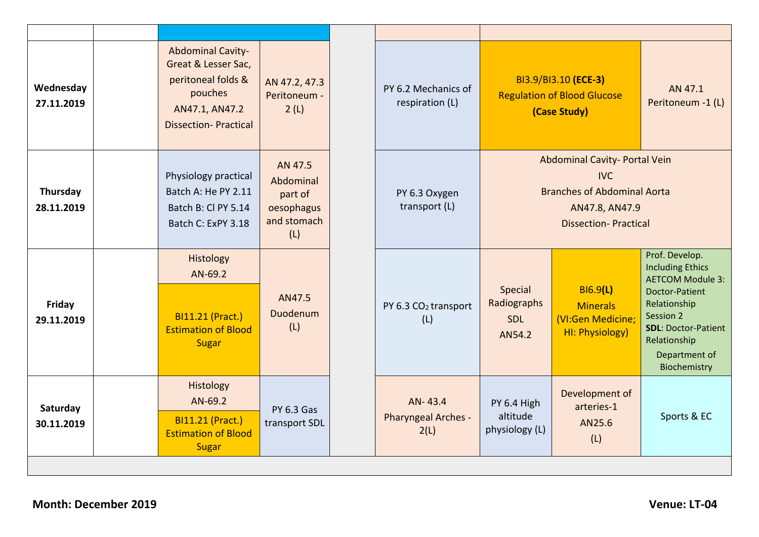| Wednesday<br>27.11.2019 | <b>Abdominal Cavity-</b><br>Great & Lesser Sac,<br>peritoneal folds &<br>pouches<br>AN47.1, AN47.2<br><b>Dissection-Practical</b> | AN 47.2, 47.3<br>Peritoneum -<br>2(L)                               | PY 6.2 Mechanics of<br>respiration (L)  |                                                | BI3.9/BI3.10 (ECE-3)<br><b>Regulation of Blood Glucose</b><br>(Case Study)                                                         | AN 47.1<br>Peritoneum -1 (L)                                                                                                                                                                       |
|-------------------------|-----------------------------------------------------------------------------------------------------------------------------------|---------------------------------------------------------------------|-----------------------------------------|------------------------------------------------|------------------------------------------------------------------------------------------------------------------------------------|----------------------------------------------------------------------------------------------------------------------------------------------------------------------------------------------------|
| Thursday<br>28.11.2019  | Physiology practical<br>Batch A: He PY 2.11<br>Batch B: Cl PY 5.14<br>Batch C: ExPY 3.18                                          | AN 47.5<br>Abdominal<br>part of<br>oesophagus<br>and stomach<br>(L) | PY 6.3 Oxygen<br>transport (L)          |                                                | Abdominal Cavity- Portal Vein<br><b>IVC</b><br><b>Branches of Abdominal Aorta</b><br>AN47.8, AN47.9<br><b>Dissection-Practical</b> |                                                                                                                                                                                                    |
| Friday<br>29.11.2019    | Histology<br>AN-69.2<br><b>BI11.21 (Pract.)</b><br><b>Estimation of Blood</b><br><b>Sugar</b>                                     | AN47.5<br>Duodenum<br>(L)                                           | PY 6.3 CO <sub>2</sub> transport<br>(L) | Special<br>Radiographs<br><b>SDL</b><br>AN54.2 | B16.9(L)<br><b>Minerals</b><br>(VI:Gen Medicine;<br>HI: Physiology)                                                                | Prof. Develop.<br><b>Including Ethics</b><br><b>AETCOM Module 3:</b><br>Doctor-Patient<br>Relationship<br>Session 2<br><b>SDL: Doctor-Patient</b><br>Relationship<br>Department of<br>Biochemistry |
| Saturday<br>30.11.2019  | Histology<br>AN-69.2<br><b>BI11.21 (Pract.)</b><br><b>Estimation of Blood</b><br><b>Sugar</b>                                     | <b>PY 6.3 Gas</b><br>transport SDL                                  | AN-43.4<br>Pharyngeal Arches -<br>2(L)  | PY 6.4 High<br>altitude<br>physiology (L)      | Development of<br>arteries-1<br>AN25.6<br>(L)                                                                                      | Sports & EC                                                                                                                                                                                        |
|                         |                                                                                                                                   |                                                                     |                                         |                                                |                                                                                                                                    |                                                                                                                                                                                                    |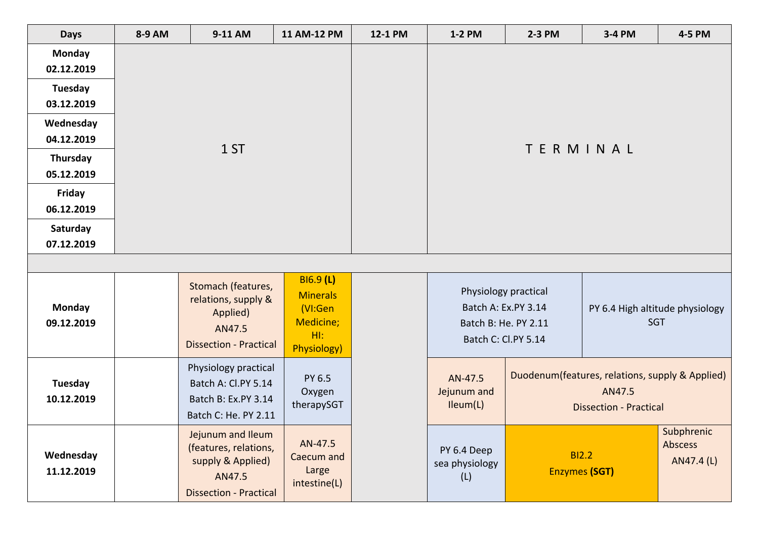| <b>Days</b>                 | 8-9 AM | 9-11 AM                                                                                                    | 11 AM-12 PM                                                                          | 12-1 PM | 1-2 PM                               | 2-3 PM                                                                                     | 3-4 PM                                                                                     | 4-5 PM                              |  |
|-----------------------------|--------|------------------------------------------------------------------------------------------------------------|--------------------------------------------------------------------------------------|---------|--------------------------------------|--------------------------------------------------------------------------------------------|--------------------------------------------------------------------------------------------|-------------------------------------|--|
| <b>Monday</b><br>02.12.2019 |        |                                                                                                            |                                                                                      |         |                                      |                                                                                            |                                                                                            |                                     |  |
| Tuesday<br>03.12.2019       |        |                                                                                                            |                                                                                      |         |                                      |                                                                                            |                                                                                            |                                     |  |
| Wednesday<br>04.12.2019     |        |                                                                                                            |                                                                                      |         | TERMINAL                             |                                                                                            |                                                                                            |                                     |  |
| Thursday<br>05.12.2019      |        | 1ST                                                                                                        |                                                                                      |         |                                      |                                                                                            |                                                                                            |                                     |  |
| Friday<br>06.12.2019        |        |                                                                                                            |                                                                                      |         |                                      |                                                                                            |                                                                                            |                                     |  |
| Saturday<br>07.12.2019      |        |                                                                                                            |                                                                                      |         |                                      |                                                                                            |                                                                                            |                                     |  |
|                             |        |                                                                                                            |                                                                                      |         |                                      |                                                                                            |                                                                                            |                                     |  |
| <b>Monday</b><br>09.12.2019 |        | Stomach (features,<br>relations, supply &<br>Applied)<br>AN47.5<br><b>Dissection - Practical</b>           | <b>BI6.9 (L)</b><br><b>Minerals</b><br>(VI:Gen<br>Medicine;<br>$H1$ :<br>Physiology) |         |                                      | Physiology practical<br>Batch A: Ex.PY 3.14<br>Batch B: He. PY 2.11<br>Batch C: Cl.PY 5.14 | PY 6.4 High altitude physiology<br><b>SGT</b>                                              |                                     |  |
| Tuesday<br>10.12.2019       |        | Physiology practical<br>Batch A: Cl.PY 5.14<br>Batch B: Ex.PY 3.14<br>Batch C: He. PY 2.11                 | PY 6.5<br>Oxygen<br>therapySGT                                                       |         | AN-47.5<br>Jejunum and<br>Ileum(L)   |                                                                                            | Duodenum(features, relations, supply & Applied)<br>AN47.5<br><b>Dissection - Practical</b> |                                     |  |
| Wednesday<br>11.12.2019     |        | Jejunum and Ileum<br>(features, relations,<br>supply & Applied)<br>AN47.5<br><b>Dissection - Practical</b> | AN-47.5<br>Caecum and<br>Large<br>intestine(L)                                       |         | PY 6.4 Deep<br>sea physiology<br>(L) |                                                                                            | <b>BI2.2</b><br><b>Enzymes (SGT)</b>                                                       | Subphrenic<br>Abscess<br>AN47.4 (L) |  |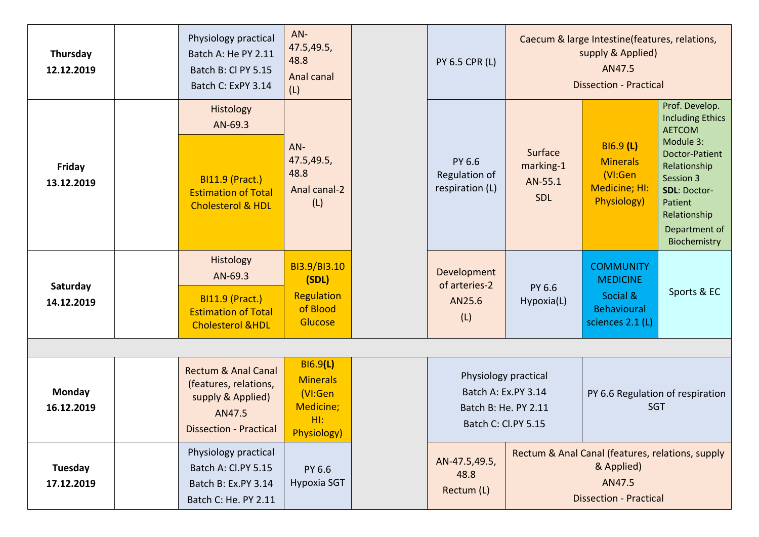| Thursday<br>12.12.2019 | Physiology practical<br>Batch A: He PY 2.11<br>Batch B: Cl PY 5.15<br>Batch C: ExPY 3.14                                | AN-<br>47.5,49.5,<br>48.8<br>Anal canal<br>(L)                                          | <b>PY 6.5 CPR (L)</b>                                                                      |                                               | Caecum & large Intestine(features, relations,<br>supply & Applied)<br>AN47.5<br><b>Dissection - Practical</b> |                                                                                                                                                                                                                  |
|------------------------|-------------------------------------------------------------------------------------------------------------------------|-----------------------------------------------------------------------------------------|--------------------------------------------------------------------------------------------|-----------------------------------------------|---------------------------------------------------------------------------------------------------------------|------------------------------------------------------------------------------------------------------------------------------------------------------------------------------------------------------------------|
| Friday<br>13.12.2019   | Histology<br>AN-69.3<br><b>BI11.9 (Pract.)</b><br><b>Estimation of Total</b><br><b>Cholesterol &amp; HDL</b>            | $AN-$<br>47.5,49.5,<br>48.8<br>Anal canal-2<br>(L)                                      | PY 6.6<br>Regulation of<br>respiration (L)                                                 | Surface<br>marking-1<br>AN-55.1<br><b>SDL</b> | B16.9(L)<br><b>Minerals</b><br>(VI:Gen<br>Medicine; HI:<br>Physiology)                                        | Prof. Develop.<br><b>Including Ethics</b><br><b>AETCOM</b><br>Module 3:<br><b>Doctor-Patient</b><br>Relationship<br>Session 3<br><b>SDL: Doctor-</b><br>Patient<br>Relationship<br>Department of<br>Biochemistry |
| Saturday<br>14.12.2019 | <b>Histology</b><br>AN-69.3<br><b>BI11.9 (Pract.)</b><br><b>Estimation of Total</b><br><b>Cholesterol &amp;HDL</b>      | BI3.9/BI3.10<br>(SDL)<br>Regulation<br>of Blood<br>Glucose                              | Development<br>of arteries-2<br>AN25.6<br>(L)                                              | PY 6.6<br>Hypoxia(L)                          | <b>COMMUNITY</b><br><b>MEDICINE</b><br>Social &<br><b>Behavioural</b><br>sciences 2.1 (L)                     | Sports & EC                                                                                                                                                                                                      |
|                        |                                                                                                                         |                                                                                         |                                                                                            |                                               |                                                                                                               |                                                                                                                                                                                                                  |
| Monday<br>16.12.2019   | <b>Rectum &amp; Anal Canal</b><br>(features, relations,<br>supply & Applied)<br>AN47.5<br><b>Dissection - Practical</b> | <b>BI6.9(L)</b><br><b>Minerals</b><br>(VI:Gen<br>Medicine;<br>HI:<br><b>Physiology)</b> | Physiology practical<br>Batch A: Ex.PY 3.14<br>Batch B: He. PY 2.11<br>Batch C: Cl.PY 5.15 |                                               | PY 6.6 Regulation of respiration<br><b>SGT</b>                                                                |                                                                                                                                                                                                                  |
| Tuesday<br>17.12.2019  | Physiology practical<br>Batch A: Cl.PY 5.15<br>Batch B: Ex.PY 3.14<br>Batch C: He. PY 2.11                              | PY 6.6<br><b>Hypoxia SGT</b>                                                            | AN-47.5,49.5,<br>48.8<br>Rectum (L)                                                        |                                               | Rectum & Anal Canal (features, relations, supply<br>& Applied)<br>AN47.5<br><b>Dissection - Practical</b>     |                                                                                                                                                                                                                  |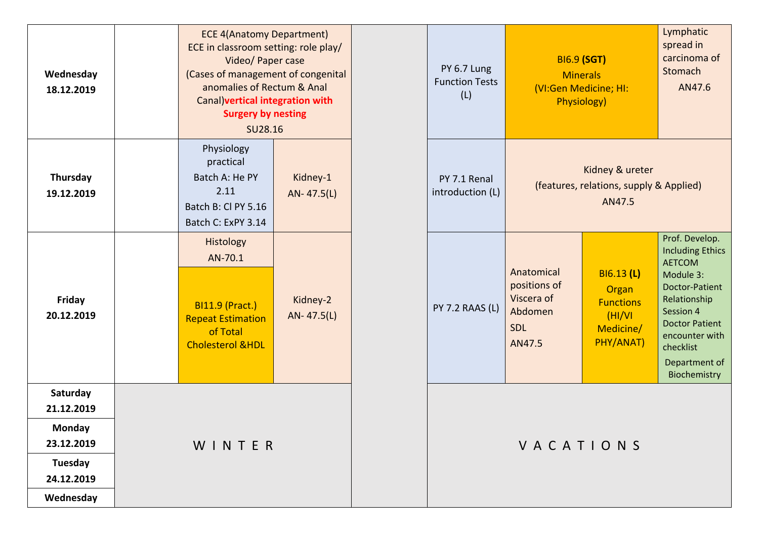| Wednesday<br>18.12.2019                                                                     | <b>ECE 4(Anatomy Department)</b><br>ECE in classroom setting: role play/<br>Video/ Paper case<br>(Cases of management of congenital<br>anomalies of Rectum & Anal<br>Canal) vertical integration with<br><b>Surgery by nesting</b><br>SU28.16 |                        |  |  |  |  |  |  |
|---------------------------------------------------------------------------------------------|-----------------------------------------------------------------------------------------------------------------------------------------------------------------------------------------------------------------------------------------------|------------------------|--|--|--|--|--|--|
| Thursday<br>19.12.2019                                                                      | Physiology<br>practical<br>Batch A: He PY<br>2.11<br>Batch B: Cl PY 5.16<br>Batch C: ExPY 3.14                                                                                                                                                | Kidney-1<br>AN-47.5(L) |  |  |  |  |  |  |
| <b>Friday</b><br>20.12.2019                                                                 | Histology<br>AN-70.1<br><b>BI11.9 (Pract.)</b><br><b>Repeat Estimation</b><br>of Total<br><b>Cholesterol &amp;HDL</b>                                                                                                                         | Kidney-2<br>AN-47.5(L) |  |  |  |  |  |  |
| Saturday<br>21.12.2019<br><b>Monday</b><br>23.12.2019<br>Tuesday<br>24.12.2019<br>Wednesday | WINTER                                                                                                                                                                                                                                        |                        |  |  |  |  |  |  |

| <b>ECE 4(Anatomy Department)</b><br>CE in classroom setting: role play/<br>Video/ Paper case<br>Cases of management of congenital<br>anomalies of Rectum & Anal<br>Canal) vertical integration with<br><b>Surgery by nesting</b><br>SU28.16 |                        |  | PY 6.7 Lung<br><b>Function Tests</b><br>(L) |                                                                             | <b>BI6.9 (SGT)</b><br><b>Minerals</b><br>(VI:Gen Medicine; HI:<br>Physiology) |                                                                                                                                                                                                                 |
|---------------------------------------------------------------------------------------------------------------------------------------------------------------------------------------------------------------------------------------------|------------------------|--|---------------------------------------------|-----------------------------------------------------------------------------|-------------------------------------------------------------------------------|-----------------------------------------------------------------------------------------------------------------------------------------------------------------------------------------------------------------|
| Physiology<br>practical<br>Batch A: He PY<br>2.11<br>atch B: Cl PY 5.16<br>atch C: ExPY 3.14                                                                                                                                                | Kidney-1<br>AN-47.5(L) |  | PY 7.1 Renal<br>introduction (L)            | Kidney & ureter<br>(features, relations, supply & Applied)<br>AN47.5        |                                                                               |                                                                                                                                                                                                                 |
| Histology<br>AN-70.1<br><b>BI11.9 (Pract.)</b><br>epeat Estimation<br>of Total<br>holesterol &HDL                                                                                                                                           | Kidney-2<br>AN-47.5(L) |  | <b>PY 7.2 RAAS (L)</b>                      | Anatomical<br>positions of<br>Viscera of<br>Abdomen<br><b>SDL</b><br>AN47.5 | BI6.13 (L)<br>Organ<br><b>Functions</b><br>(HI/VI)<br>Medicine/<br>PHY/ANAT)  | Prof. Develop.<br><b>Including Ethics</b><br><b>AETCOM</b><br>Module 3:<br>Doctor-Patient<br>Relationship<br>Session 4<br><b>Doctor Patient</b><br>encounter with<br>checklist<br>Department of<br>Biochemistry |
| WINTER                                                                                                                                                                                                                                      |                        |  |                                             | VACATIONS                                                                   |                                                                               |                                                                                                                                                                                                                 |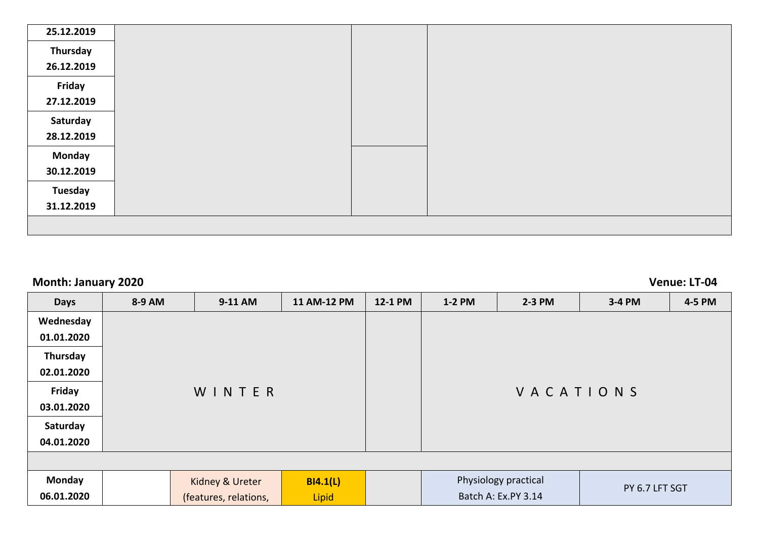| 25.12.2019 |  |  |
|------------|--|--|
| Thursday   |  |  |
| 26.12.2019 |  |  |
| Friday     |  |  |
| 27.12.2019 |  |  |
| Saturday   |  |  |
| 28.12.2019 |  |  |
| Monday     |  |  |
| 30.12.2019 |  |  |
| Tuesday    |  |  |
| 31.12.2019 |  |  |
|            |  |  |

## **Month: January 2020 Venue: LT-04**

| <b>Days</b>   | 8-9 AM | 9-11 AM               | 11 AM-12 PM | 12-1 PM | 1-2 PM | $2-3$ PM             | 3-4 PM         | 4-5 PM |
|---------------|--------|-----------------------|-------------|---------|--------|----------------------|----------------|--------|
| Wednesday     |        |                       |             |         |        |                      |                |        |
| 01.01.2020    |        |                       |             |         |        |                      |                |        |
| Thursday      |        |                       |             |         |        |                      |                |        |
| 02.01.2020    |        |                       |             |         |        |                      |                |        |
| <b>Friday</b> |        | WINTER                |             |         |        | VACATIONS            |                |        |
| 03.01.2020    |        |                       |             |         |        |                      |                |        |
| Saturday      |        |                       |             |         |        |                      |                |        |
| 04.01.2020    |        |                       |             |         |        |                      |                |        |
|               |        |                       |             |         |        |                      |                |        |
| Monday        |        | Kidney & Ureter       | BI4.1(L)    |         |        | Physiology practical | PY 6.7 LFT SGT |        |
| 06.01.2020    |        | (features, relations, | Lipid       |         |        | Batch A: Ex.PY 3.14  |                |        |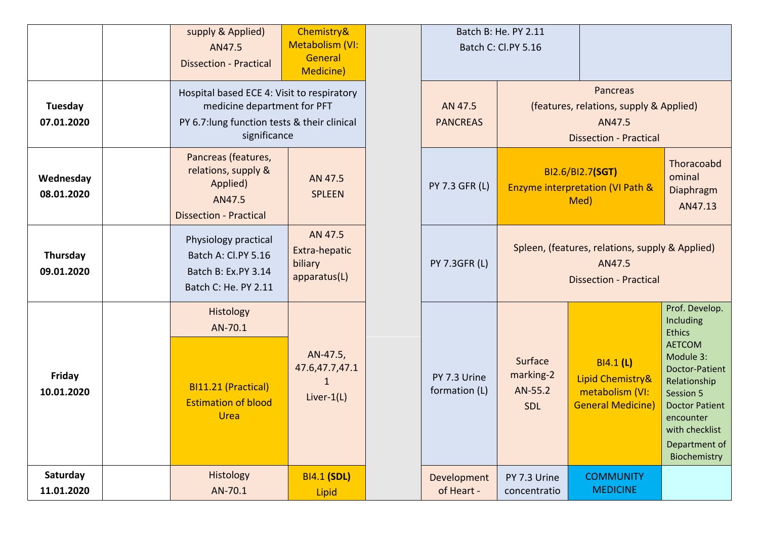|                             | supply & Applied)<br>AN47.5<br><b>Dissection - Practical</b>                                      | Chemistry&<br><b>Metabolism (VI:</b><br>General<br><b>Medicine)</b>                                                                       |  |                               | Batch B: He. PY 2.11<br>Batch C: Cl.PY 5.16                                                    |                                                                                     |                                                                                                                                                                                                                    |
|-----------------------------|---------------------------------------------------------------------------------------------------|-------------------------------------------------------------------------------------------------------------------------------------------|--|-------------------------------|------------------------------------------------------------------------------------------------|-------------------------------------------------------------------------------------|--------------------------------------------------------------------------------------------------------------------------------------------------------------------------------------------------------------------|
| Tuesday<br>07.01.2020       |                                                                                                   | Hospital based ECE 4: Visit to respiratory<br>medicine department for PFT<br>PY 6.7: lung function tests & their clinical<br>significance |  | AN 47.5<br><b>PANCREAS</b>    | Pancreas<br>(features, relations, supply & Applied)<br>AN47.5<br><b>Dissection - Practical</b> |                                                                                     |                                                                                                                                                                                                                    |
| Wednesday<br>08.01.2020     | Pancreas (features,<br>relations, supply &<br>Applied)<br>AN47.5<br><b>Dissection - Practical</b> | AN 47.5<br><b>SPLEEN</b>                                                                                                                  |  | <b>PY 7.3 GFR (L)</b>         |                                                                                                | BI2.6/BI2.7(SGT)<br><b>Enzyme interpretation (VI Path &amp;</b><br>Med)             | Thoracoabd<br>ominal<br>Diaphragm<br>AN47.13                                                                                                                                                                       |
| Thursday<br>09.01.2020      | Physiology practical<br>Batch A: Cl.PY 5.16<br>Batch B: Ex.PY 3.14<br>Batch C: He. PY 2.11        | AN 47.5<br>Extra-hepatic<br>biliary<br>apparatus(L)                                                                                       |  | <b>PY 7.3GFR (L)</b>          | Spleen, (features, relations, supply & Applied)<br>AN47.5<br><b>Dissection - Practical</b>     |                                                                                     |                                                                                                                                                                                                                    |
| <b>Friday</b><br>10.01.2020 | Histology<br>AN-70.1<br>BI11.21 (Practical)<br><b>Estimation of blood</b><br>Urea                 | AN-47.5,<br>47.6,47.7,47.1<br>1<br>Liver- $1(L)$                                                                                          |  | PY 7.3 Urine<br>formation (L) | Surface<br>marking-2<br>AN-55.2<br><b>SDL</b>                                                  | <b>BI4.1 (L)</b><br>Lipid Chemistry&<br>metabolism (VI:<br><b>General Medicine)</b> | Prof. Develop.<br>Including<br><b>Ethics</b><br><b>AETCOM</b><br>Module 3:<br>Doctor-Patient<br>Relationship<br>Session 5<br><b>Doctor Patient</b><br>encounter<br>with checklist<br>Department of<br>Biochemistry |
| Saturday<br>11.01.2020      | Histology<br>AN-70.1                                                                              | <b>BI4.1 (SDL)</b><br>Lipid                                                                                                               |  | Development<br>of Heart -     | PY 7.3 Urine<br>concentratio                                                                   | <b>COMMUNITY</b><br><b>MEDICINE</b>                                                 |                                                                                                                                                                                                                    |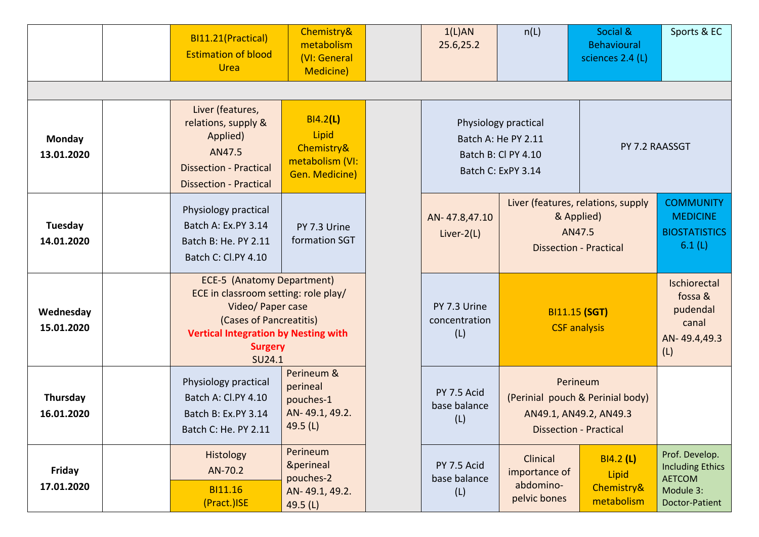|                             | BI11.21(Practical)<br><b>Estimation of blood</b><br>Urea                                                                                                                                             | Chemistry&<br>metabolism<br>(VI: General<br><b>Medicine)</b>         | 1(L)AN<br>25.6,25.2                  | n(L)                                                                                     | Social &<br><b>Behavioural</b><br>sciences 2.4 (L)                                                      | Sports & EC                                                                               |
|-----------------------------|------------------------------------------------------------------------------------------------------------------------------------------------------------------------------------------------------|----------------------------------------------------------------------|--------------------------------------|------------------------------------------------------------------------------------------|---------------------------------------------------------------------------------------------------------|-------------------------------------------------------------------------------------------|
|                             |                                                                                                                                                                                                      |                                                                      |                                      |                                                                                          |                                                                                                         |                                                                                           |
| Monday<br>13.01.2020        | Liver (features,<br>relations, supply &<br>Applied)<br>AN47.5<br><b>Dissection - Practical</b><br><b>Dissection - Practical</b>                                                                      | BI4.2(L)<br>Lipid<br>Chemistry&<br>metabolism (VI:<br>Gen. Medicine) |                                      | Physiology practical<br>Batch A: He PY 2.11<br>Batch B: Cl PY 4.10<br>Batch C: ExPY 3.14 | PY 7.2 RAASSGT<br>Liver (features, relations, supply                                                    |                                                                                           |
| Tuesday<br>14.01.2020       | Physiology practical<br>Batch A: Ex.PY 3.14<br>Batch B: He. PY 2.11<br>Batch C: Cl.PY 4.10                                                                                                           | PY 7.3 Urine<br>formation SGT                                        | AN-47.8,47.10<br>Liver- $2(L)$       | & Applied)<br>AN47.5<br><b>Dissection - Practical</b>                                    |                                                                                                         | <b>COMMUNITY</b><br><b>MEDICINE</b><br><b>BIOSTATISTICS</b><br>6.1(L)                     |
| Wednesday<br>15.01.2020     | <b>ECE-5 (Anatomy Department)</b><br>ECE in classroom setting: role play/<br>Video/ Paper case<br>(Cases of Pancreatitis)<br><b>Vertical Integration by Nesting with</b><br><b>Surgery</b><br>SU24.1 |                                                                      | PY 7.3 Urine<br>concentration<br>(L) | <b>BI11.15 (SGT)</b><br><b>CSF</b> analysis                                              |                                                                                                         | Ischiorectal<br>fossa &<br>pudendal<br>canal<br>AN-49.4,49.3<br>(L)                       |
| Thursday<br>16.01.2020      | Physiology practical<br>Batch A: Cl.PY 4.10<br>Batch B: Ex.PY 3.14<br>Batch C: He. PY 2.11                                                                                                           | Perineum &<br>perineal<br>pouches-1<br>AN-49.1, 49.2.<br>49.5 (L)    | PY 7.5 Acid<br>base balance<br>(L)   |                                                                                          | Perineum<br>(Perinial pouch & Perinial body)<br>AN49.1, AN49.2, AN49.3<br><b>Dissection - Practical</b> |                                                                                           |
| <b>Friday</b><br>17.01.2020 | <b>Histology</b><br>AN-70.2<br><b>BI11.16</b><br>(Pract.)ISE                                                                                                                                         | Perineum<br>&perineal<br>pouches-2<br>AN-49.1, 49.2.<br>49.5 $(L)$   | PY 7.5 Acid<br>base balance<br>(L)   | Clinical<br>importance of<br>abdomino-<br>pelvic bones                                   | BI4.2 (L)<br>Lipid<br>Chemistry&<br>metabolism                                                          | Prof. Develop.<br><b>Including Ethics</b><br><b>AETCOM</b><br>Module 3:<br>Doctor-Patient |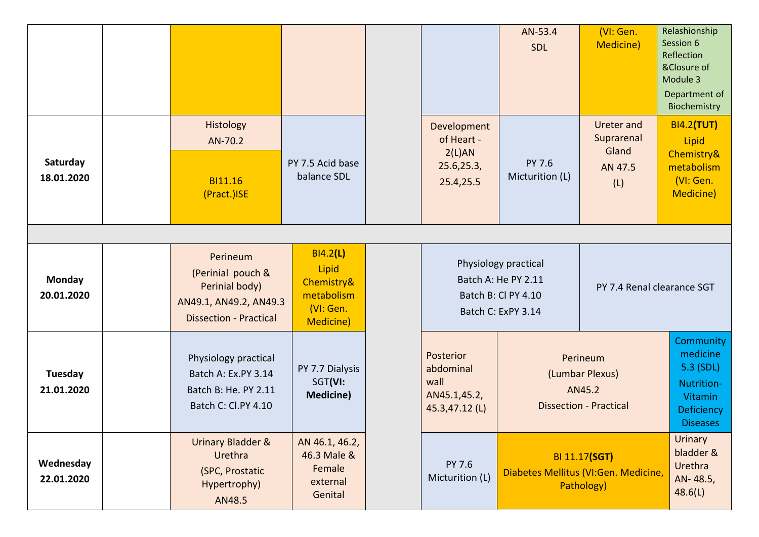|                             |                                                                                                            |                                                                                |                                                                  | AN-53.4<br>SDL                                                                                                         | (VI: Gen.<br>Medicine)                                                     | Relashionship<br>Session 6<br>Reflection<br>&Closure of<br>Module 3<br>Department of<br>Biochemistry |
|-----------------------------|------------------------------------------------------------------------------------------------------------|--------------------------------------------------------------------------------|------------------------------------------------------------------|------------------------------------------------------------------------------------------------------------------------|----------------------------------------------------------------------------|------------------------------------------------------------------------------------------------------|
| Saturday<br>18.01.2020      | Histology<br>AN-70.2<br><b>BI11.16</b><br>(Pract.)ISE                                                      | PY 7.5 Acid base<br>balance SDL                                                | Development<br>of Heart -<br>2(L)AN<br>25.6, 25.3,<br>25.4,25.5  | PY 7.6<br>Micturition (L)                                                                                              | <b>Ureter and</b><br>Suprarenal<br>Gland<br>AN 47.5<br>(L)                 | <b>BI4.2(TUT)</b><br>Lipid<br>Chemistry&<br>metabolism<br>(VI: Gen.<br>Medicine)                     |
| <b>Monday</b><br>20.01.2020 | Perineum<br>(Perinial pouch &<br>Perinial body)<br>AN49.1, AN49.2, AN49.3<br><b>Dissection - Practical</b> | BI4.2(L)<br>Lipid<br>Chemistry&<br>metabolism<br>(VI: Gen.<br><b>Medicine)</b> |                                                                  | Physiology practical<br>Batch A: He PY 2.11<br>PY 7.4 Renal clearance SGT<br>Batch B: Cl PY 4.10<br>Batch C: ExPY 3.14 |                                                                            |                                                                                                      |
| Tuesday<br>21.01.2020       | Physiology practical<br>Batch A: Ex.PY 3.14<br>Batch B: He. PY 2.11<br>Batch C: Cl.PY 4.10                 | PY 7.7 Dialysis<br>SGT(VI:<br><b>Medicine)</b>                                 | Posterior<br>abdominal<br>wall<br>AN45.1,45.2,<br>45.3,47.12 (L) | Perineum<br>(Lumbar Plexus)<br>AN45.2<br><b>Dissection - Practical</b>                                                 |                                                                            | Community<br>medicine<br>5.3 (SDL)<br>Nutrition-<br><b>Vitamin</b><br>Deficiency<br><b>Diseases</b>  |
| Wednesday<br>22.01.2020     | Urinary Bladder &<br>Urethra<br>(SPC, Prostatic<br>Hypertrophy)<br>AN48.5                                  | AN 46.1, 46.2,<br>46.3 Male &<br>Female<br>external<br>Genital                 | PY 7.6<br>Micturition (L)                                        |                                                                                                                        | <b>BI 11.17(SGT)</b><br>Diabetes Mellitus (VI:Gen. Medicine,<br>Pathology) | <b>Urinary</b><br>bladder &<br>Urethra<br>AN-48.5,<br>48.6(L)                                        |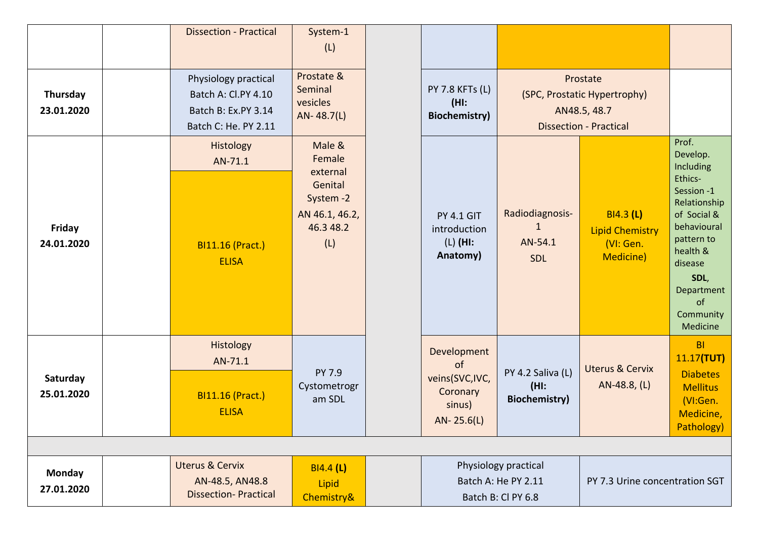|                             | <b>Dissection - Practical</b>                                                              | System-1<br>(L)                                                                            |                                                                                                     |                                                       |                                                                                           |                                                                                                                                                                                                 |
|-----------------------------|--------------------------------------------------------------------------------------------|--------------------------------------------------------------------------------------------|-----------------------------------------------------------------------------------------------------|-------------------------------------------------------|-------------------------------------------------------------------------------------------|-------------------------------------------------------------------------------------------------------------------------------------------------------------------------------------------------|
| Thursday<br>23.01.2020      | Physiology practical<br>Batch A: Cl.PY 4.10<br>Batch B: Ex.PY 3.14<br>Batch C: He. PY 2.11 | Prostate &<br>Seminal<br>vesicles<br>$AN-48.7(L)$                                          | <b>PY 7.8 KFTs (L)</b><br>$(HI)$ :<br><b>Biochemistry)</b>                                          |                                                       | Prostate<br>(SPC, Prostatic Hypertrophy)<br>AN48.5, 48.7<br><b>Dissection - Practical</b> |                                                                                                                                                                                                 |
| Friday<br>24.01.2020        | Histology<br>AN-71.1<br><b>BI11.16 (Pract.)</b><br><b>ELISA</b>                            | Male &<br>Female<br>external<br>Genital<br>System -2<br>AN 46.1, 46.2,<br>46.3 48.2<br>(L) | <b>PY 4.1 GIT</b><br>introduction<br>$(L)$ (HI:<br>Anatomy)                                         | Radiodiagnosis-<br>$\mathbf{1}$<br>AN-54.1<br>SDL     | <b>BI4.3 (L)</b><br><b>Lipid Chemistry</b><br>(VI: Gen.<br>Medicine)                      | Prof.<br>Develop.<br>Including<br>Ethics-<br>Session -1<br>Relationship<br>of Social &<br>behavioural<br>pattern to<br>health &<br>disease<br>SDL,<br>Department<br>of<br>Community<br>Medicine |
| Saturday<br>25.01.2020      | Histology<br>AN-71.1<br><b>BI11.16 (Pract.)</b><br><b>ELISA</b>                            | PY 7.9<br>Cystometrogr<br>am SDL                                                           | Development<br><sub>of</sub><br>veins(SVC,IVC,<br>Coronary<br>sinus)<br>$AN - 25.6(L)$              | PY 4.2 Saliva (L)<br>$(HI)$ :<br><b>Biochemistry)</b> | <b>Uterus &amp; Cervix</b><br>AN-48.8, (L)                                                | <b>BI</b><br>11.17(TUT)<br><b>Diabetes</b><br><b>Mellitus</b><br>(VI:Gen.<br>Medicine,<br>Pathology)                                                                                            |
|                             |                                                                                            |                                                                                            |                                                                                                     |                                                       |                                                                                           |                                                                                                                                                                                                 |
| <b>Monday</b><br>27.01.2020 | <b>Uterus &amp; Cervix</b><br>AN-48.5, AN48.8<br><b>Dissection-Practical</b>               | <b>BI4.4 (L)</b><br>Lipid<br>Chemistry&                                                    | Physiology practical<br>Batch A: He PY 2.11<br>PY 7.3 Urine concentration SGT<br>Batch B: Cl PY 6.8 |                                                       |                                                                                           |                                                                                                                                                                                                 |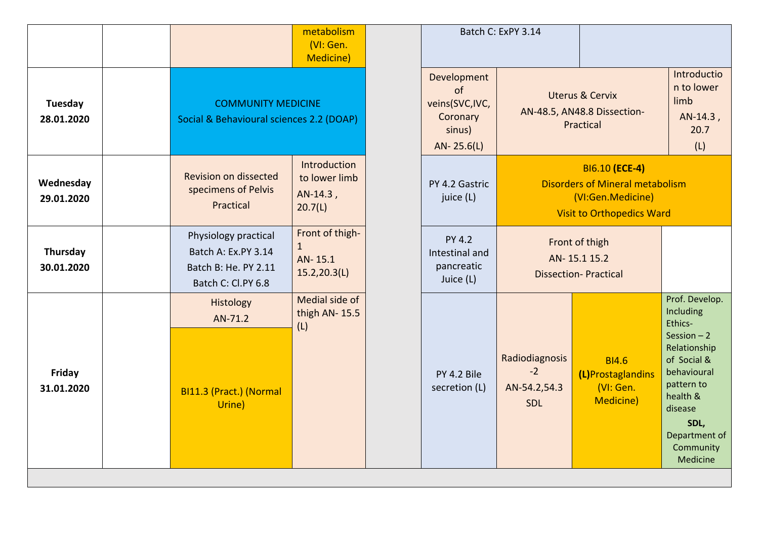|                         |                                                                                           | metabolism<br>(VI: Gen.<br><b>Medicine)</b>                |                                 |
|-------------------------|-------------------------------------------------------------------------------------------|------------------------------------------------------------|---------------------------------|
| Tuesday<br>28.01.2020   | <b>COMMUNITY MEDICINE</b><br>Social & Behavioural sciences 2.2 (DOAP)                     |                                                            | Deve<br>veins<br>Co<br>S<br>AN- |
| Wednesday<br>29.01.2020 | <b>Revision on dissected</b><br>specimens of Pelvis<br>Practical                          | Introduction<br>to lower limb<br>AN-14.3,<br>20.7(L)       | PY 4.<br>ju                     |
| Thursday<br>30.01.2020  | Physiology practical<br>Batch A: Ex.PY 3.14<br>Batch B: He. PY 2.11<br>Batch C: Cl.PY 6.8 | Front of thigh-<br>$\mathbf{1}$<br>AN-15.1<br>15.2,20.3(L) | P<br>Intes<br>par<br>Ju         |
|                         | Histology<br>AN-71.2                                                                      | Medial side of<br>thigh AN-15.5                            |                                 |
| Friday<br>31.01.2020    | BI11.3 (Pract.) (Normal<br>Urine)                                                         |                                                            | PY.<br>secr                     |
|                         |                                                                                           | (L)                                                        |                                 |

|                                                                         | Batch C: ExPY 3.14                                                     |                                                                                                                   |                                                                                                                                                                                                    |  |  |  |
|-------------------------------------------------------------------------|------------------------------------------------------------------------|-------------------------------------------------------------------------------------------------------------------|----------------------------------------------------------------------------------------------------------------------------------------------------------------------------------------------------|--|--|--|
| Development<br>οf<br>veins(SVC,IVC,<br>Coronary<br>sinus)<br>AN-25.6(L) | <b>Uterus &amp; Cervix</b><br>AN-48.5, AN48.8 Dissection-<br>Practical | Introductio<br>n to lower<br>limb<br>AN-14.3,<br>20.7<br>(L)                                                      |                                                                                                                                                                                                    |  |  |  |
| PY 4.2 Gastric<br>juice (L)                                             |                                                                        | BI6.10 (ECE-4)<br><b>Disorders of Mineral metabolism</b><br>(VI:Gen.Medicine)<br><b>Visit to Orthopedics Ward</b> |                                                                                                                                                                                                    |  |  |  |
| <b>PY 4.2</b><br>Intestinal and<br>pancreatic<br>Juice (L)              | Front of thigh<br>AN-15.115.2<br><b>Dissection-Practical</b>           |                                                                                                                   |                                                                                                                                                                                                    |  |  |  |
| PY 4.2 Bile<br>secretion (L)                                            | Radiodiagnosis<br>$-2$<br>AN-54.2,54.3<br><b>SDL</b>                   | <b>BI4.6</b><br>(L)Prostaglandins<br>(VI: Gen.<br>Medicine)                                                       | Prof. Develop.<br>Including<br>Ethics-<br>Session $-2$<br>Relationship<br>of Social &<br>behavioural<br>pattern to<br>health &<br>disease<br>SDL.<br>Department of<br>Community<br><b>Medicine</b> |  |  |  |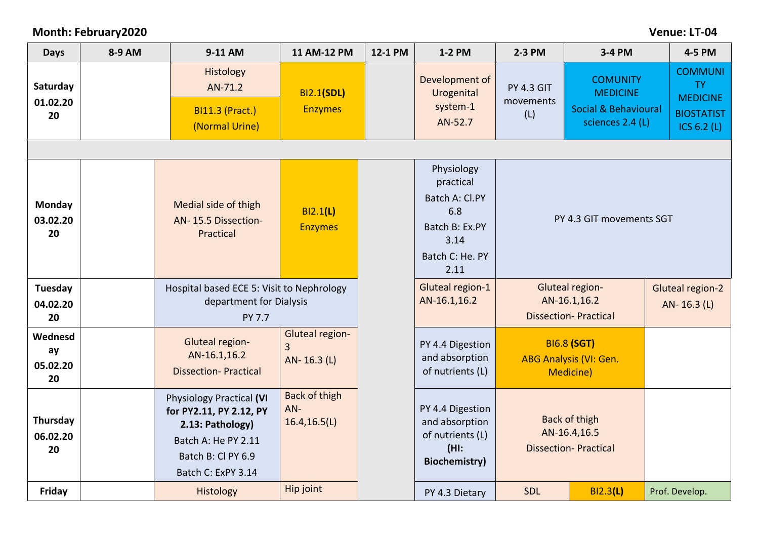## **Month: February2020 Venue: LT-04**

| <b>Days</b>                     | 8-9 AM | 9-11 AM                                                                                                                                           | 11 AM-12 PM                                      | 12-1 PM | 1-2 PM                                                                                                | 2-3 PM                                                                  | 3-4 PM                                                                                    | 4-5 PM                                                                               |
|---------------------------------|--------|---------------------------------------------------------------------------------------------------------------------------------------------------|--------------------------------------------------|---------|-------------------------------------------------------------------------------------------------------|-------------------------------------------------------------------------|-------------------------------------------------------------------------------------------|--------------------------------------------------------------------------------------|
| Saturday<br>01.02.20<br>20      |        | Histology<br>AN-71.2<br><b>BI11.3 (Pract.)</b><br>(Normal Urine)                                                                                  | <b>BI2.1(SDL)</b><br><b>Enzymes</b>              |         | Development of<br>Urogenital<br>system-1<br>AN-52.7                                                   | <b>PY 4.3 GIT</b><br>movements<br>(L)                                   | <b>COMUNITY</b><br><b>MEDICINE</b><br><b>Social &amp; Behavioural</b><br>sciences 2.4 (L) | <b>COMMUNI</b><br><b>TY</b><br><b>MEDICINE</b><br><b>BIOSTATIST</b><br>ICS $6.2$ (L) |
|                                 |        |                                                                                                                                                   |                                                  |         |                                                                                                       |                                                                         |                                                                                           |                                                                                      |
| Monday<br>03.02.20<br>20        |        | Medial side of thigh<br>AN-15.5 Dissection-<br>Practical                                                                                          | <b>BI2.1(L)</b><br><b>Enzymes</b>                |         | Physiology<br>practical<br>Batch A: Cl.PY<br>6.8<br>Batch B: Ex.PY<br>3.14<br>Batch C: He. PY<br>2.11 |                                                                         | PY 4.3 GIT movements SGT                                                                  |                                                                                      |
| Tuesday<br>04.02.20             |        | Hospital based ECE 5: Visit to Nephrology<br>department for Dialysis                                                                              |                                                  |         | Gluteal region-1<br>AN-16.1,16.2                                                                      | Gluteal region-<br>AN-16.1,16.2                                         |                                                                                           | <b>Gluteal region-2</b><br>AN-16.3 (L)                                               |
| 20                              |        | PY 7.7                                                                                                                                            |                                                  |         |                                                                                                       |                                                                         | <b>Dissection-Practical</b>                                                               |                                                                                      |
| Wednesd<br>ay<br>05.02.20<br>20 |        | Gluteal region-<br>AN-16.1,16.2<br><b>Dissection-Practical</b>                                                                                    | Gluteal region-<br>$\overline{3}$<br>AN-16.3 (L) |         | PY 4.4 Digestion<br>and absorption<br>of nutrients (L)                                                | <b>BI6.8 (SGT)</b><br><b>ABG Analysis (VI: Gen.</b><br><b>Medicine)</b> |                                                                                           |                                                                                      |
| Thursday<br>06.02.20<br>20      |        | <b>Physiology Practical (VI</b><br>for PY2.11, PY 2.12, PY<br>2.13: Pathology)<br>Batch A: He PY 2.11<br>Batch B: Cl PY 6.9<br>Batch C: ExPY 3.14 | Back of thigh<br>$AN-$<br>16.4, 16.5(L)          |         | PY 4.4 Digestion<br>and absorption<br>of nutrients (L)<br>$(HI)$ :<br><b>Biochemistry)</b>            | <b>Back of thigh</b><br>AN-16.4,16.5<br><b>Dissection-Practical</b>     |                                                                                           |                                                                                      |
| Friday                          |        | <b>Histology</b>                                                                                                                                  | Hip joint                                        |         | PY 4.3 Dietary                                                                                        | SDL                                                                     | BI2.3(L)                                                                                  | Prof. Develop.                                                                       |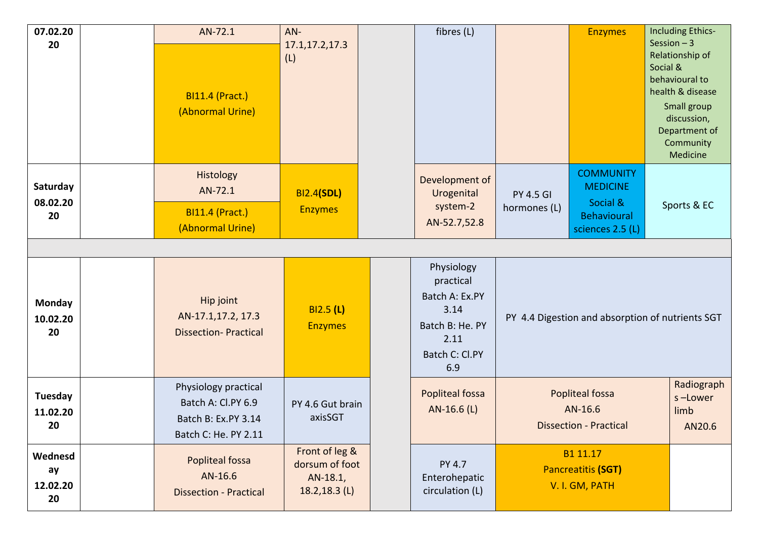| 07.02.20<br>20                  | AN-72.1<br><b>BI11.4 (Pract.)</b><br>(Abnormal Urine)                                     | $AN-$<br>17.1,17.2,17.3<br>(L)                                   | fibres (L)                                                                                            |                                                                    | <b>Enzymes</b>                                                                            | Including Ethics-<br>Session $-3$<br>Relationship of<br>Social &<br>behavioural to<br>health & disease<br>Small group<br>discussion,<br>Department of<br>Community<br>Medicine |  |
|---------------------------------|-------------------------------------------------------------------------------------------|------------------------------------------------------------------|-------------------------------------------------------------------------------------------------------|--------------------------------------------------------------------|-------------------------------------------------------------------------------------------|--------------------------------------------------------------------------------------------------------------------------------------------------------------------------------|--|
| Saturday<br>08.02.20<br>20      | Histology<br>AN-72.1<br><b>BI11.4 (Pract.)</b><br>(Abnormal Urine)                        | <b>BI2.4(SDL)</b><br><b>Enzymes</b>                              | Development of<br>Urogenital<br>system-2<br>AN-52.7,52.8                                              | <b>PY 4.5 GI</b><br>hormones (L)                                   | <b>COMMUNITY</b><br><b>MEDICINE</b><br>Social &<br><b>Behavioural</b><br>sciences 2.5 (L) | Sports & EC                                                                                                                                                                    |  |
|                                 |                                                                                           |                                                                  |                                                                                                       |                                                                    |                                                                                           |                                                                                                                                                                                |  |
| <b>Monday</b><br>10.02.20<br>20 | Hip joint<br>AN-17.1,17.2, 17.3<br><b>Dissection-Practical</b>                            | BI2.5(L)<br><b>Enzymes</b>                                       | Physiology<br>practical<br>Batch A: Ex.PY<br>3.14<br>Batch B: He. PY<br>2.11<br>Batch C: Cl.PY<br>6.9 | PY 4.4 Digestion and absorption of nutrients SGT                   |                                                                                           |                                                                                                                                                                                |  |
| Tuesday<br>11.02.20<br>20       | Physiology practical<br>Batch A: Cl.PY 6.9<br>Batch B: Ex.PY 3.14<br>Batch C: He. PY 2.11 | PY 4.6 Gut brain<br>axisSGT                                      | Popliteal fossa<br>AN-16.6 (L)                                                                        | <b>Popliteal fossa</b><br>AN-16.6<br><b>Dissection - Practical</b> |                                                                                           | Radiograph<br>s-Lower<br>limb<br>AN20.6                                                                                                                                        |  |
| Wednesd<br>ay<br>12.02.20<br>20 | <b>Popliteal fossa</b><br>AN-16.6<br><b>Dissection - Practical</b>                        | Front of leg &<br>dorsum of foot<br>AN-18.1,<br>$18.2, 18.3$ (L) | PY 4.7<br>Enterohepatic<br>circulation (L)                                                            |                                                                    | B1 11.17<br><b>Pancreatitis (SGT)</b><br>V. I. GM, PATH                                   |                                                                                                                                                                                |  |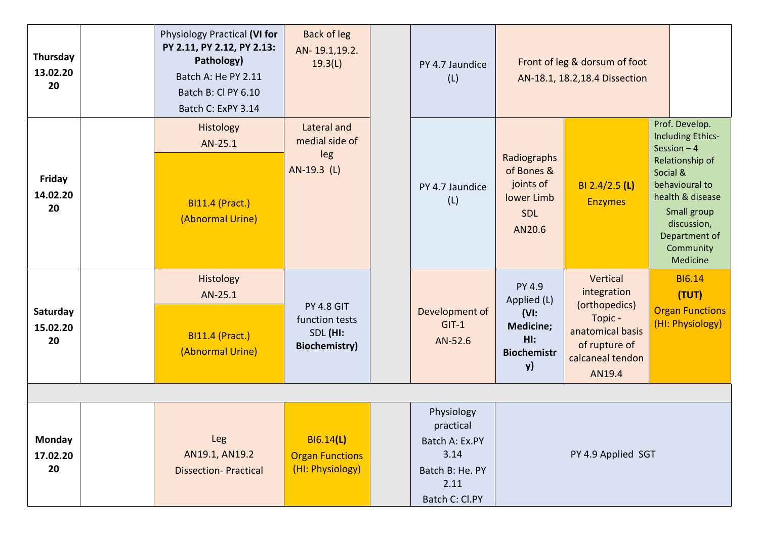| Thursday<br>13.02.20<br>20 | Physiology Practical (VI for<br>PY 2.11, PY 2.12, PY 2.13:<br>Pathology)<br>Batch A: He PY 2.11<br>Batch B: Cl PY 6.10<br>Batch C: ExPY 3.14 | Back of leg<br>AN-19.1,19.2.<br>19.3(L)                                  | PY 4.7 Jaundice<br>(L)                                                                         |                                                                                          | Front of leg & dorsum of foot<br>AN-18.1, 18.2, 18.4 Dissection                                                        |                                                                                                                                           |
|----------------------------|----------------------------------------------------------------------------------------------------------------------------------------------|--------------------------------------------------------------------------|------------------------------------------------------------------------------------------------|------------------------------------------------------------------------------------------|------------------------------------------------------------------------------------------------------------------------|-------------------------------------------------------------------------------------------------------------------------------------------|
|                            | Histology<br>AN-25.1                                                                                                                         | Lateral and<br>medial side of<br>leg                                     |                                                                                                | Radiographs                                                                              |                                                                                                                        | Prof. Develop.<br><b>Including Ethics-</b><br>Session $-4$                                                                                |
| Friday<br>14.02.20<br>20   | <b>BI11.4 (Pract.)</b><br>(Abnormal Urine)                                                                                                   | AN-19.3 (L)                                                              | PY 4.7 Jaundice<br>(L)                                                                         | of Bones &<br>joints of<br>lower Limb<br><b>SDL</b><br>AN20.6                            | BI 2.4/2.5 (L)<br><b>Enzymes</b>                                                                                       | Relationship of<br>Social &<br>behavioural to<br>health & disease<br>Small group<br>discussion,<br>Department of<br>Community<br>Medicine |
| Saturday<br>15.02.20<br>20 | <b>Histology</b><br>AN-25.1<br><b>BI11.4 (Pract.)</b><br>(Abnormal Urine)                                                                    | <b>PY 4.8 GIT</b><br>function tests<br>SDL (HI:<br><b>Biochemistry</b> ) | Development of<br>$GIT-1$<br>AN-52.6                                                           | PY 4.9<br>Applied (L)<br>$(VI)$ :<br><b>Medicine;</b><br>Hl:<br><b>Biochemistr</b><br>y) | Vertical<br>integration<br>(orthopedics)<br>Topic -<br>anatomical basis<br>of rupture of<br>calcaneal tendon<br>AN19.4 | <b>BI6.14</b><br>(TUT)<br><b>Organ Functions</b><br>(HI: Physiology)                                                                      |
|                            |                                                                                                                                              |                                                                          |                                                                                                |                                                                                          |                                                                                                                        |                                                                                                                                           |
| Monday<br>17.02.20<br>20   | Leg<br>AN19.1, AN19.2<br><b>Dissection-Practical</b>                                                                                         | B16.14(L)<br><b>Organ Functions</b><br>(HI: Physiology)                  | Physiology<br>practical<br>Batch A: Ex.PY<br>3.14<br>Batch B: He. PY<br>2.11<br>Batch C: Cl.PY |                                                                                          | PY 4.9 Applied SGT                                                                                                     |                                                                                                                                           |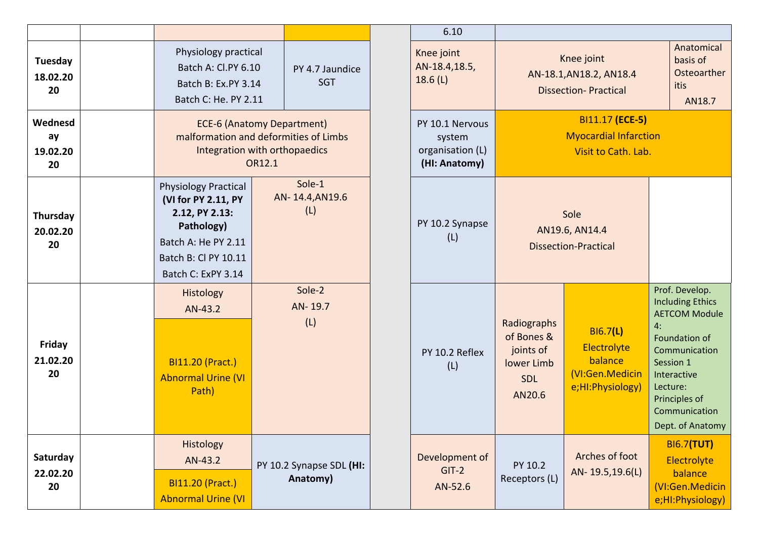| Tuesday<br>18.02.20<br>20       |  | Physiology practical<br>Batch A: Cl.PY 6.10<br>Batch B: Ex.PY 3.14<br>Batch C: He. PY 2.11                                                              | PY 4.7 Jaundice<br><b>SGT</b>        |                                  |
|---------------------------------|--|---------------------------------------------------------------------------------------------------------------------------------------------------------|--------------------------------------|----------------------------------|
| Wednesd<br>ay<br>19.02.20<br>20 |  | <b>ECE-6 (Anatomy Department)</b><br>malformation and deformities of Limbs<br>Integration with orthopaedics                                             | OR12.1                               |                                  |
| Thursday<br>20.02.20<br>20      |  | <b>Physiology Practical</b><br>(VI for PY 2.11, PY<br>2.12, PY 2.13:<br>Pathology)<br>Batch A: He PY 2.11<br>Batch B: Cl PY 10.11<br>Batch C: ExPY 3.14 |                                      | Sole-1<br>AN-14.4, AN19.6<br>(L) |
| Friday                          |  | Histology<br>AN-43.2                                                                                                                                    | Sole-2<br>AN-19.7<br>(L)             |                                  |
| 21.02.20<br>20                  |  | <b>BI11.20 (Pract.)</b><br><b>Abnormal Urine (VI</b><br>Path)                                                                                           |                                      |                                  |
| Saturday                        |  | Histology<br>AN-43.2                                                                                                                                    |                                      |                                  |
| 22.02.20<br>20                  |  | <b>BI11.20 (Pract.)</b><br><b>Abnormal Urine (VI</b>                                                                                                    | PY 10.2 Synapse SDL (HI:<br>Anatomy) |                                  |

| 6.10                                                           |                                                                                                                                                           |                                                                      |    |                                                                                                                                                                                                   |  |  |  |
|----------------------------------------------------------------|-----------------------------------------------------------------------------------------------------------------------------------------------------------|----------------------------------------------------------------------|----|---------------------------------------------------------------------------------------------------------------------------------------------------------------------------------------------------|--|--|--|
| Knee joint<br>AN-18.4,18.5,<br>18.6(L)                         |                                                                                                                                                           | Knee joint<br>AN-18.1, AN18.2, AN18.4<br><b>Dissection-Practical</b> |    | Anatomical<br>basis of<br>Osteoarther<br>itis<br>AN18.7                                                                                                                                           |  |  |  |
| PY 10.1 Nervous<br>system<br>organisation (L)<br>(HI: Anatomy) | BI11.17 (ECE-5)<br><b>Myocardial Infarction</b><br>Visit to Cath. Lab.                                                                                    |                                                                      |    |                                                                                                                                                                                                   |  |  |  |
| PY 10.2 Synapse<br>(L)                                         | Sole<br>AN19.6, AN14.4<br><b>Dissection-Practical</b>                                                                                                     |                                                                      |    |                                                                                                                                                                                                   |  |  |  |
| PY 10.2 Reflex<br>(L)                                          | Radiographs<br>B16.7(L)<br>of Bones &<br>Electrolyte<br>joints of<br>balance<br>lower Limb<br>(VI:Gen.Medicin<br><b>SDL</b><br>e;HI:Physiology)<br>AN20.6 |                                                                      | 4: | Prof. Develop.<br><b>Including Ethics</b><br><b>AETCOM Module</b><br>Foundation of<br>Communication<br>Session 1<br>Interactive<br>Lecture:<br>Principles of<br>Communication<br>Dept. of Anatomy |  |  |  |
| Development of<br>$GIT-2$<br>AN-52.6                           | PY 10.2<br>Receptors (L)                                                                                                                                  | Arches of foot<br>AN-19.5,19.6(L)                                    |    | <b>BI6.7(TUT)</b><br>Electrolyte<br>balance<br>(VI:Gen.Medicin<br>e;HI:Physiology)                                                                                                                |  |  |  |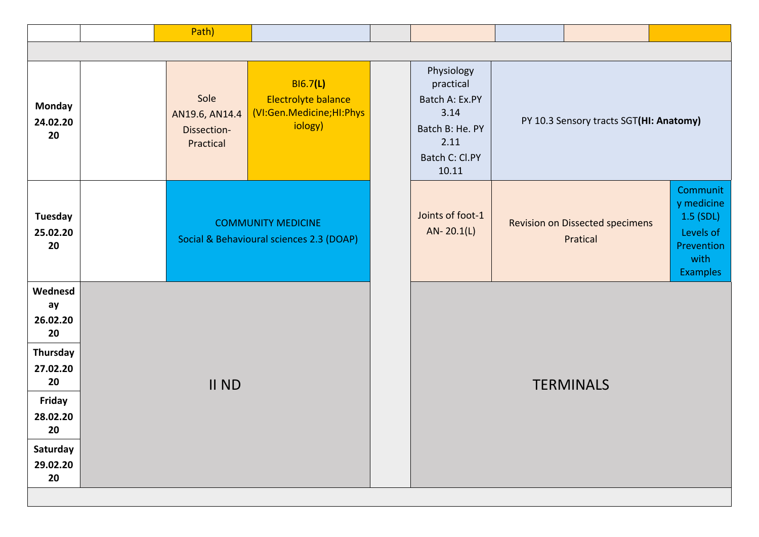|                                                                                                                         |       | Path)                                                                                                                               |  |  |                                                                                                         |                                         |                                                    |                                                                                           |  |
|-------------------------------------------------------------------------------------------------------------------------|-------|-------------------------------------------------------------------------------------------------------------------------------------|--|--|---------------------------------------------------------------------------------------------------------|-----------------------------------------|----------------------------------------------------|-------------------------------------------------------------------------------------------|--|
|                                                                                                                         |       |                                                                                                                                     |  |  |                                                                                                         |                                         |                                                    |                                                                                           |  |
| <b>Monday</b><br>24.02.20<br>20                                                                                         |       | <b>BI6.7(L)</b><br>Sole<br>Electrolyte balance<br>(VI:Gen.Medicine;HI:Phys<br>AN19.6, AN14.4<br>iology)<br>Dissection-<br>Practical |  |  | Physiology<br>practical<br>Batch A: Ex.PY<br>3.14<br>Batch B: He. PY<br>2.11<br>Batch C: Cl.PY<br>10.11 | PY 10.3 Sensory tracts SGT(HI: Anatomy) |                                                    |                                                                                           |  |
| Tuesday<br>25.02.20<br>20                                                                                               |       | <b>COMMUNITY MEDICINE</b><br>Social & Behavioural sciences 2.3 (DOAP)                                                               |  |  | Joints of foot-1<br>$AN-20.1(L)$                                                                        |                                         | <b>Revision on Dissected specimens</b><br>Pratical | Communit<br>y medicine<br>1.5 (SDL)<br>Levels of<br>Prevention<br>with<br><b>Examples</b> |  |
| Wednesd<br>ay<br>26.02.20<br>20<br>Thursday<br>27.02.20<br>20<br>Friday<br>28.02.20<br>20<br>Saturday<br>29.02.20<br>20 | II ND |                                                                                                                                     |  |  |                                                                                                         |                                         | <b>TERMINALS</b>                                   |                                                                                           |  |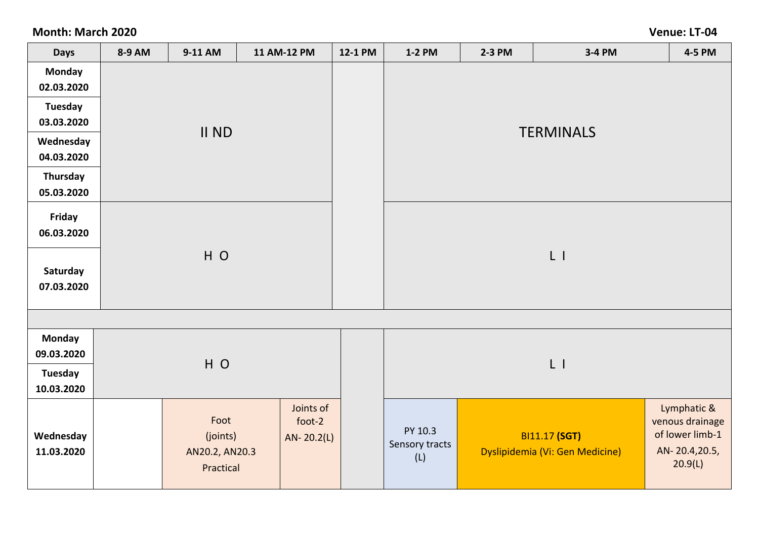**Month: March 2020 Venue: LT-04**

| <b>Days</b>                 | 8-9 AM | 9-11 AM        | 11 AM-12 PM         | 12-1 PM | <b>1-2 PM</b>                                            | 2-3 PM | 3-4 PM               | 4-5 PM                         |  |  |
|-----------------------------|--------|----------------|---------------------|---------|----------------------------------------------------------|--------|----------------------|--------------------------------|--|--|
| <b>Monday</b><br>02.03.2020 |        |                |                     |         |                                                          |        |                      |                                |  |  |
| <b>Tuesday</b>              |        |                |                     |         |                                                          |        |                      |                                |  |  |
| 03.03.2020                  |        | II ND          |                     |         |                                                          |        |                      |                                |  |  |
| Wednesday                   |        |                |                     |         | <b>TERMINALS</b>                                         |        |                      |                                |  |  |
| 04.03.2020                  |        |                |                     |         |                                                          |        |                      |                                |  |  |
| Thursday                    |        |                |                     |         |                                                          |        |                      |                                |  |  |
| 05.03.2020                  |        |                |                     |         |                                                          |        |                      |                                |  |  |
| Friday                      |        |                |                     |         |                                                          |        |                      |                                |  |  |
| 06.03.2020                  |        |                |                     |         |                                                          |        |                      |                                |  |  |
|                             |        | HO             |                     |         |                                                          |        | $L$ 1                |                                |  |  |
| Saturday                    |        |                |                     |         |                                                          |        |                      |                                |  |  |
| 07.03.2020                  |        |                |                     |         |                                                          |        |                      |                                |  |  |
|                             |        |                |                     |         |                                                          |        |                      |                                |  |  |
|                             |        |                |                     |         |                                                          |        |                      |                                |  |  |
| <b>Monday</b>               |        |                |                     |         |                                                          |        |                      |                                |  |  |
| 09.03.2020                  |        | HO             |                     |         |                                                          |        | $L$ 1                |                                |  |  |
| <b>Tuesday</b>              |        |                |                     |         |                                                          |        |                      |                                |  |  |
| 10.03.2020                  |        |                |                     |         |                                                          |        |                      |                                |  |  |
|                             |        | Foot           | Joints of<br>foot-2 |         |                                                          |        |                      | Lymphatic &<br>venous drainage |  |  |
| Wednesday                   |        | (joints)       | $AN - 20.2(L)$      |         | PY 10.3                                                  |        | <b>BI11.17 (SGT)</b> | of lower limb-1                |  |  |
| 11.03.2020                  |        | AN20.2, AN20.3 |                     |         | Sensory tracts<br>Dyslipidemia (Vi: Gen Medicine)<br>(L) |        |                      | AN-20.4,20.5,                  |  |  |
|                             |        | Practical      |                     |         |                                                          |        |                      | 20.9(L)                        |  |  |
|                             |        |                |                     |         |                                                          |        |                      |                                |  |  |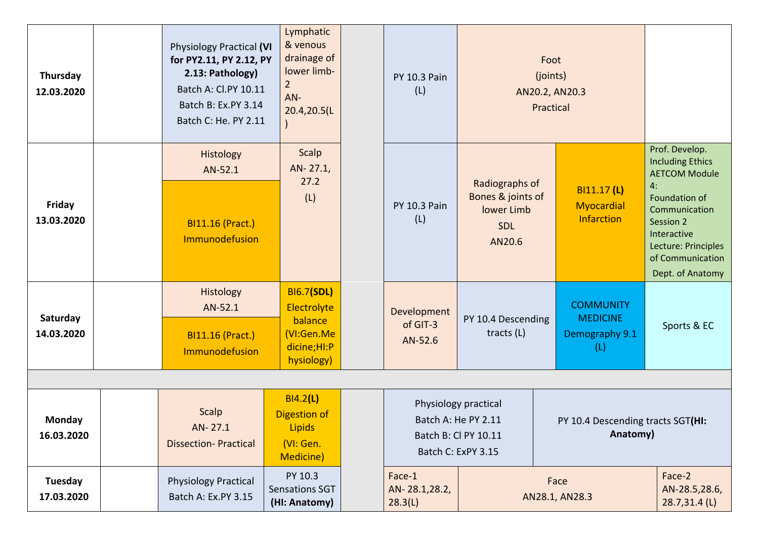| Thursday<br>12.03.2020      | <b>Physiology Practical (VI</b><br>for PY2.11, PY 2.12, PY<br>2.13: Pathology)<br>Batch A: Cl.PY 10.11<br>Batch B: Ex.PY 3.14<br>Batch C: He. PY 2.11 | Lymphatic<br>& venous<br>drainage of<br>lower limb-<br>$\overline{2}$<br>AN-<br>20.4,20.5(L | <b>PY 10.3 Pain</b><br>(L)         |                                                                                           | Foot<br>(joints)<br>Practical | AN20.2, AN20.3                                               |                                                                                                                                                                                                      |
|-----------------------------|-------------------------------------------------------------------------------------------------------------------------------------------------------|---------------------------------------------------------------------------------------------|------------------------------------|-------------------------------------------------------------------------------------------|-------------------------------|--------------------------------------------------------------|------------------------------------------------------------------------------------------------------------------------------------------------------------------------------------------------------|
| Friday<br>13.03.2020        | Histology<br>AN-52.1<br><b>BI11.16 (Pract.)</b><br>Immunodefusion                                                                                     | Scalp<br>AN-27.1,<br>27.2<br>(L)                                                            | <b>PY 10.3 Pain</b><br>(L)         | Radiographs of<br>Bones & joints of<br>lower Limb<br><b>SDL</b><br>AN20.6                 |                               | BI11.17 (L)<br><b>Myocardial</b><br>Infarction               | Prof. Develop.<br><b>Including Ethics</b><br><b>AETCOM Module</b><br>4:<br>Foundation of<br>Communication<br>Session 2<br>Interactive<br>Lecture: Principles<br>of Communication<br>Dept. of Anatomy |
| Saturday<br>14.03.2020      | Histology<br>AN-52.1<br><b>BI11.16 (Pract.)</b><br>Immunodefusion                                                                                     | <b>BI6.7(SDL)</b><br>Electrolyte<br>balance<br>(VI:Gen.Me<br>dicine;HI:P<br>hysiology)      | Development<br>of GIT-3<br>AN-52.6 | PY 10.4 Descending<br>tracts (L)                                                          |                               | <b>COMMUNITY</b><br><b>MEDICINE</b><br>Demography 9.1<br>(L) | Sports & EC                                                                                                                                                                                          |
| <b>Monday</b><br>16.03.2020 | Scalp<br>AN-27.1<br><b>Dissection-Practical</b>                                                                                                       | BI4.2(L)<br><b>Digestion of</b><br>Lipids<br>(VI: Gen.<br><b>Medicine)</b>                  |                                    | Physiology practical<br>Batch A: He PY 2.11<br>Batch B: Cl PY 10.11<br>Batch C: ExPY 3.15 |                               | PY 10.4 Descending tracts SGT(HI:<br>Anatomy)                |                                                                                                                                                                                                      |
| Tuesday<br>17.03.2020       | <b>Physiology Practical</b><br>Batch A: Ex.PY 3.15                                                                                                    | PY 10.3<br>Sensations SGT<br>(HI: Anatomy)                                                  | Face-1<br>AN-28.1,28.2,<br>28.3(L) |                                                                                           |                               | Face<br>AN28.1, AN28.3                                       | Face-2<br>AN-28.5,28.6,<br>28.7,31.4 (L)                                                                                                                                                             |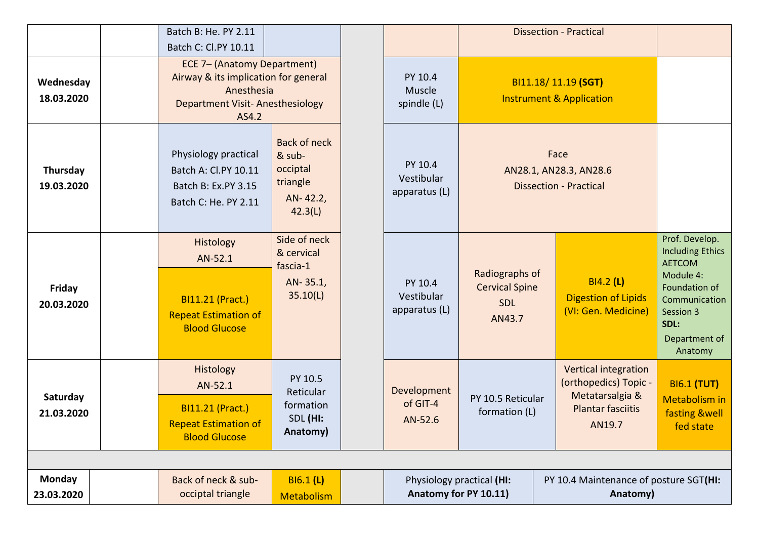|                             | Batch B: He. PY 2.11                                                                                                                 |                                                                              |                                        |                                                                                                          |  | <b>Dissection - Practical</b>                                                                          |                                                                                                                                                            |
|-----------------------------|--------------------------------------------------------------------------------------------------------------------------------------|------------------------------------------------------------------------------|----------------------------------------|----------------------------------------------------------------------------------------------------------|--|--------------------------------------------------------------------------------------------------------|------------------------------------------------------------------------------------------------------------------------------------------------------------|
|                             | Batch C: Cl.PY 10.11                                                                                                                 |                                                                              |                                        |                                                                                                          |  |                                                                                                        |                                                                                                                                                            |
| Wednesday<br>18.03.2020     | ECE 7- (Anatomy Department)<br>Airway & its implication for general<br>Anesthesia<br><b>Department Visit-Anesthesiology</b><br>AS4.2 |                                                                              | PY 10.4<br>Muscle<br>spindle (L)       |                                                                                                          |  | BI11.18/11.19 (SGT)<br><b>Instrument &amp; Application</b>                                             |                                                                                                                                                            |
| Thursday<br>19.03.2020      | Physiology practical<br>Batch A: Cl.PY 10.11<br>Batch B: Ex.PY 3.15<br>Batch C: He. PY 2.11                                          | <b>Back of neck</b><br>& sub-<br>occiptal<br>triangle<br>AN-42.2,<br>42.3(L) | PY 10.4<br>Vestibular<br>apparatus (L) |                                                                                                          |  | Face<br>AN28.1, AN28.3, AN28.6<br><b>Dissection - Practical</b>                                        |                                                                                                                                                            |
| Friday<br>20.03.2020        | Histology<br>AN-52.1<br><b>BI11.21 (Pract.)</b><br><b>Repeat Estimation of</b><br><b>Blood Glucose</b>                               | Side of neck<br>& cervical<br>fascia-1<br>AN-35.1,<br>35.10(L)               | PY 10.4<br>Vestibular<br>apparatus (L) | Radiographs of<br><b>Cervical Spine</b><br><b>SDL</b><br>AN43.7                                          |  | <b>BI4.2 (L)</b><br><b>Digestion of Lipids</b><br>(VI: Gen. Medicine)                                  | Prof. Develop.<br><b>Including Ethics</b><br><b>AETCOM</b><br>Module 4:<br>Foundation of<br>Communication<br>Session 3<br>SDL:<br>Department of<br>Anatomy |
| Saturday<br>21.03.2020      | <b>Histology</b><br>AN-52.1<br>BI11.21 (Pract.)<br><b>Repeat Estimation of</b><br><b>Blood Glucose</b>                               | PY 10.5<br>Reticular<br>formation<br>SDL (HI:<br>Anatomy)                    | Development<br>of GIT-4<br>AN-52.6     | PY 10.5 Reticular<br>formation (L)                                                                       |  | Vertical integration<br>(orthopedics) Topic -<br>Metatarsalgia &<br><b>Plantar fasciitis</b><br>AN19.7 | <b>BI6.1 (TUT)</b><br>Metabolism in<br><b>fasting &amp;well</b><br>fed state                                                                               |
|                             |                                                                                                                                      |                                                                              |                                        |                                                                                                          |  |                                                                                                        |                                                                                                                                                            |
| <b>Monday</b><br>23.03.2020 | Back of neck & sub-<br>occiptal triangle                                                                                             | <b>BI6.1 (L)</b><br>Metabolism                                               |                                        | Physiology practical (HI:<br>PY 10.4 Maintenance of posture SGT(HI:<br>Anatomy for PY 10.11)<br>Anatomy) |  |                                                                                                        |                                                                                                                                                            |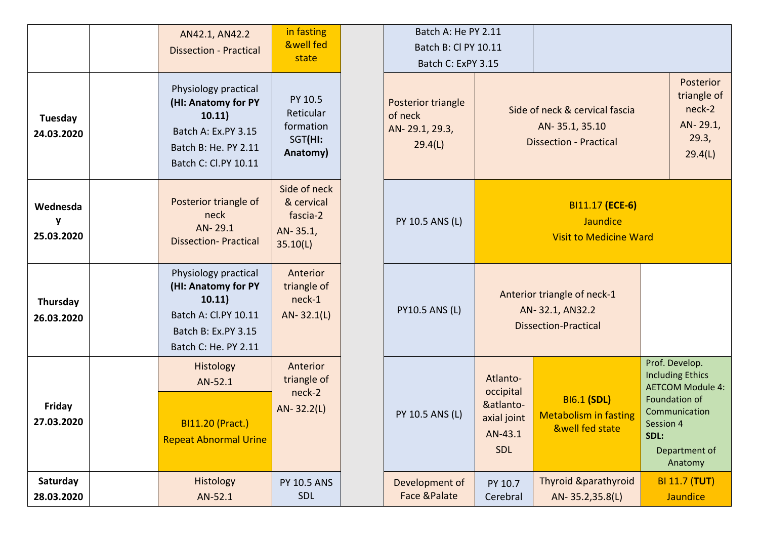|                             | AN42.1, AN42.2<br><b>Dissection - Practical</b>                                                                              | in fasting<br><b>&amp;well fed</b><br>state                    | Batch A: He PY 2.11<br>Batch B: Cl PY 10.11<br>Batch C: ExPY 3.15 |                                                                     |                                                                                   |                                                                                                                                                         |
|-----------------------------|------------------------------------------------------------------------------------------------------------------------------|----------------------------------------------------------------|-------------------------------------------------------------------|---------------------------------------------------------------------|-----------------------------------------------------------------------------------|---------------------------------------------------------------------------------------------------------------------------------------------------------|
| Tuesday<br>24.03.2020       | Physiology practical<br>(HI: Anatomy for PY<br>10.11)<br>Batch A: Ex.PY 3.15<br>Batch B: He. PY 2.11<br>Batch C: Cl.PY 10.11 | PY 10.5<br>Reticular<br>formation<br>SGT(HI:<br>Anatomy)       | Posterior triangle<br>of neck<br>AN-29.1, 29.3,<br>29.4(L)        |                                                                     | Side of neck & cervical fascia<br>AN-35.1, 35.10<br><b>Dissection - Practical</b> | Posterior<br>triangle of<br>neck-2<br>AN-29.1,<br>29.3,<br>29.4(L)                                                                                      |
| Wednesda<br>y<br>25.03.2020 | Posterior triangle of<br>neck<br>AN-29.1<br><b>Dissection-Practical</b>                                                      | Side of neck<br>& cervical<br>fascia-2<br>AN-35.1,<br>35.10(L) | PY 10.5 ANS (L)                                                   |                                                                     | BI11.17 (ECE-6)<br><b>Jaundice</b><br><b>Visit to Medicine Ward</b>               |                                                                                                                                                         |
| Thursday<br>26.03.2020      | Physiology practical<br>(HI: Anatomy for PY<br>10.11)<br>Batch A: Cl.PY 10.11<br>Batch B: Ex.PY 3.15<br>Batch C: He. PY 2.11 | Anterior<br>triangle of<br>neck-1<br>$AN - 32.1(L)$            | <b>PY10.5 ANS (L)</b>                                             |                                                                     | Anterior triangle of neck-1<br>AN-32.1, AN32.2<br><b>Dissection-Practical</b>     |                                                                                                                                                         |
| <b>Friday</b><br>27.03.2020 | Histology<br>AN-52.1<br><b>BI11.20 (Pract.)</b><br><b>Repeat Abnormal Urine</b>                                              | Anterior<br>triangle of<br>neck-2<br>$AN-32.2(L)$              | PY 10.5 ANS (L)                                                   | Atlanto-<br>occipital<br>&atlanto-<br>axial joint<br>AN-43.1<br>SDL | <b>BI6.1 (SDL)</b><br><b>Metabolism in fasting</b><br><b>&amp;well fed state</b>  | Prof. Develop.<br><b>Including Ethics</b><br><b>AETCOM Module 4:</b><br>Foundation of<br>Communication<br>Session 4<br>SDL:<br>Department of<br>Anatomy |
| Saturday<br>28.03.2020      | Histology<br>AN-52.1                                                                                                         | <b>PY 10.5 ANS</b><br><b>SDL</b>                               | Development of<br><b>Face &amp;Palate</b>                         | PY 10.7<br>Cerebral                                                 | <b>Thyroid &amp;parathyroid</b><br>AN-35.2,35.8(L)                                | <b>BI 11.7 (TUT)</b><br><b>Jaundice</b>                                                                                                                 |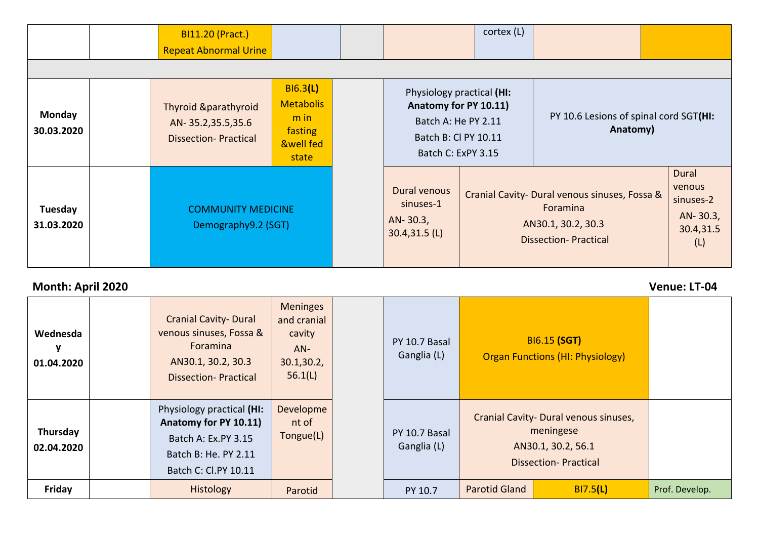|                       | <b>BI11.20 (Pract.)</b><br><b>Repeat Abnormal Urine</b>                             |                                                                                    |                                                                                                                         | cortex (L) |                                                                                                                |                                                              |
|-----------------------|-------------------------------------------------------------------------------------|------------------------------------------------------------------------------------|-------------------------------------------------------------------------------------------------------------------------|------------|----------------------------------------------------------------------------------------------------------------|--------------------------------------------------------------|
| Monday<br>30.03.2020  | <b>Thyroid &amp;parathyroid</b><br>AN-35.2,35.5,35.6<br><b>Dissection-Practical</b> | B16.3(L)<br><b>Metabolis</b><br>$m$ in<br>fasting<br><b>&amp;well fed</b><br>state | Physiology practical (HI:<br>Anatomy for PY 10.11)<br>Batch A: He PY 2.11<br>Batch B: Cl PY 10.11<br>Batch C: ExPY 3.15 |            | PY 10.6 Lesions of spinal cord SGT(HI:<br>Anatomy)                                                             |                                                              |
| Tuesday<br>31.03.2020 | <b>COMMUNITY MEDICINE</b><br>Demography9.2 (SGT)                                    |                                                                                    | Dural venous<br>sinuses-1<br>AN-30.3,<br>$30.4,31.5$ (L)                                                                |            | Cranial Cavity- Dural venous sinuses, Fossa &<br>Foramina<br>AN30.1, 30.2, 30.3<br><b>Dissection-Practical</b> | Dural<br>venous<br>sinuses-2<br>AN-30.3,<br>30.4,31.5<br>(L) |

## **Month: April 2020 Venue: LT-04**

| Wednesda<br>01.04.2020 | <b>Cranial Cavity- Dural</b><br>venous sinuses, Fossa &<br><b>Foramina</b><br>AN30.1, 30.2, 30.3<br><b>Dissection-Practical</b> | <b>Meninges</b><br>and cranial<br>cavity<br>$AN-$<br>30.1, 30.2,<br>56.1(L) | PY 10.7 Basal<br>Ganglia (L) |                      | <b>BI6.15 (SGT)</b><br><b>Organ Functions (HI: Physiology)</b>                                          |                |
|------------------------|---------------------------------------------------------------------------------------------------------------------------------|-----------------------------------------------------------------------------|------------------------------|----------------------|---------------------------------------------------------------------------------------------------------|----------------|
| Thursday<br>02.04.2020 | Physiology practical (HI:<br>Anatomy for PY 10.11)<br>Batch A: Ex.PY 3.15<br>Batch B: He. PY 2.11<br>Batch C: Cl.PY 10.11       | Developme<br>nt of<br>Tongue(L)                                             | PY 10.7 Basal<br>Ganglia (L) |                      | Cranial Cavity- Dural venous sinuses,<br>meningese<br>AN30.1, 30.2, 56.1<br><b>Dissection-Practical</b> |                |
| Friday                 | <b>Histology</b>                                                                                                                | Parotid                                                                     | PY 10.7                      | <b>Parotid Gland</b> | BI7.5(L)                                                                                                | Prof. Develop. |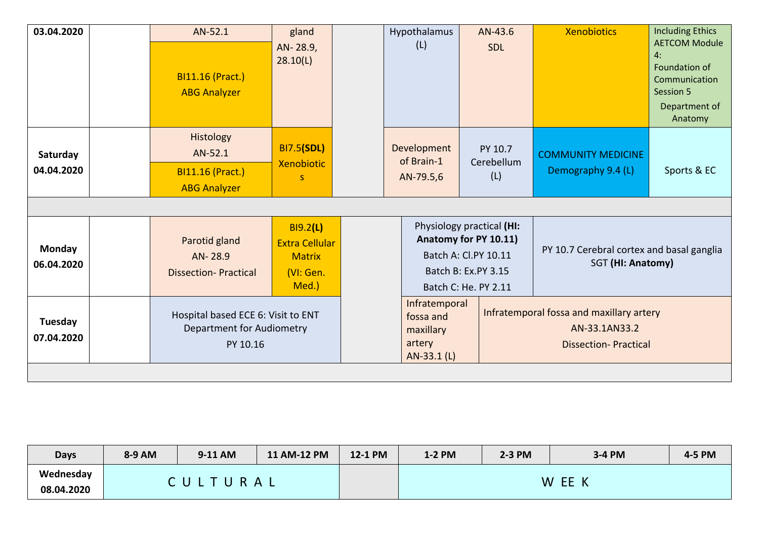| 03.04.2020                  | AN-52.1<br><b>BI11.16 (Pract.)</b><br><b>ABG Analyzer</b>                   | gland<br>AN-28.9,<br>28.10(L)                                                   | Hypothalamus<br>(L)                                              | AN-43.6<br><b>SDL</b>                                                                                                     | <b>Xenobiotics</b>                                                                       | <b>Including Ethics</b><br><b>AETCOM Module</b><br>4:<br>Foundation of<br>Communication<br>Session 5<br>Department of<br>Anatomy |
|-----------------------------|-----------------------------------------------------------------------------|---------------------------------------------------------------------------------|------------------------------------------------------------------|---------------------------------------------------------------------------------------------------------------------------|------------------------------------------------------------------------------------------|----------------------------------------------------------------------------------------------------------------------------------|
| Saturday<br>04.04.2020      | Histology<br>AN-52.1<br><b>BI11.16 (Pract.)</b><br><b>ABG Analyzer</b>      | <b>BI7.5(SDL)</b><br><b>Xenobiotic</b>                                          | Development<br>of Brain-1<br>AN-79.5,6                           | PY 10.7<br>Cerebellum<br>(L)                                                                                              | <b>COMMUNITY MEDICINE</b><br>Demography 9.4 (L)                                          | Sports & EC                                                                                                                      |
| <b>Monday</b><br>06.04.2020 | Parotid gland<br>AN-28.9<br><b>Dissection-Practical</b>                     | <b>BI9.2(L)</b><br><b>Extra Cellular</b><br><b>Matrix</b><br>(VI: Gen.<br>Med.) |                                                                  | Physiology practical (HI:<br>Anatomy for PY 10.11)<br>Batch A: Cl.PY 10.11<br>Batch B: Ex.PY 3.15<br>Batch C: He. PY 2.11 | PY 10.7 Cerebral cortex and basal ganglia<br>SGT (HI: Anatomy)                           |                                                                                                                                  |
| Tuesday<br>07.04.2020       | Hospital based ECE 6: Visit to ENT<br>Department for Audiometry<br>PY 10.16 |                                                                                 | Infratemporal<br>fossa and<br>maxillary<br>artery<br>AN-33.1 (L) |                                                                                                                           | Infratemporal fossa and maxillary artery<br>AN-33.1AN33.2<br><b>Dissection-Practical</b> |                                                                                                                                  |

| <b>Days</b> | 8-9 AM | 9-11 AM | 11 AM-12 PM | 12-1 PM | 1-2 PM | 2-3 PM | 3-4 PM                      | 4-5 PM |
|-------------|--------|---------|-------------|---------|--------|--------|-----------------------------|--------|
| Wednesday   |        | D.      |             |         |        |        | W<br>EE<br>$\boldsymbol{V}$ |        |
| 08.04.2020  |        |         | A L         |         |        |        |                             |        |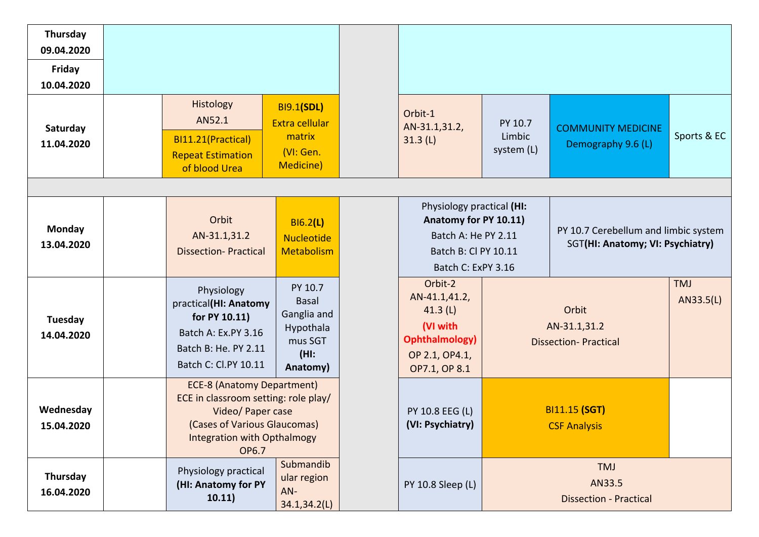| Thursday<br>09.04.2020<br>Friday<br>10.04.2020 |                                                                                                                                                                                      |                                                                                    |                                                                                                                         |                                 |                                                                          |                         |
|------------------------------------------------|--------------------------------------------------------------------------------------------------------------------------------------------------------------------------------------|------------------------------------------------------------------------------------|-------------------------------------------------------------------------------------------------------------------------|---------------------------------|--------------------------------------------------------------------------|-------------------------|
| Saturday<br>11.04.2020                         | Histology<br>AN52.1<br>BI11.21(Practical)<br><b>Repeat Estimation</b><br>of blood Urea                                                                                               | <b>BI9.1(SDL)</b><br>Extra cellular<br>matrix<br>(VI: Gen.<br>Medicine)            | Orbit-1<br>AN-31.1,31.2,<br>31.3(L)                                                                                     | PY 10.7<br>Limbic<br>system (L) | <b>COMMUNITY MEDICINE</b><br>Demography 9.6 (L)                          | Sports & EC             |
| Monday<br>13.04.2020                           | Orbit<br>AN-31.1,31.2<br><b>Dissection-Practical</b>                                                                                                                                 | B16.2(L)<br><b>Nucleotide</b><br><b>Metabolism</b>                                 | Physiology practical (HI:<br>Anatomy for PY 10.11)<br>Batch A: He PY 2.11<br>Batch B: Cl PY 10.11<br>Batch C: ExPY 3.16 |                                 | PY 10.7 Cerebellum and limbic system<br>SGT(HI: Anatomy; VI: Psychiatry) |                         |
| Tuesday<br>14.04.2020                          | Physiology<br>practical(HI: Anatomy<br>for PY 10.11)<br>Batch A: Ex.PY 3.16<br>Batch B: He. PY 2.11<br>Batch C: Cl.PY 10.11                                                          | PY 10.7<br><b>Basal</b><br>Ganglia and<br>Hypothala<br>mus SGT<br>(HI)<br>Anatomy) | Orbit-2<br>AN-41.1,41.2,<br>41.3 $(L)$<br>(VI with<br><b>Ophthalmology)</b><br>OP 2.1, OP4.1,<br>OP7.1, OP 8.1          |                                 | Orbit<br>AN-31.1,31.2<br><b>Dissection-Practical</b>                     | <b>TMJ</b><br>AN33.5(L) |
| Wednesday<br>15.04.2020                        | <b>ECE-8 (Anatomy Department)</b><br>ECE in classroom setting: role play/<br>Video/ Paper case<br>(Cases of Various Glaucomas)<br><b>Integration with Opthalmogy</b><br><b>OP6.7</b> |                                                                                    | PY 10.8 EEG (L)<br>(VI: Psychiatry)                                                                                     |                                 | <b>BI11.15 (SGT)</b><br><b>CSF Analysis</b>                              |                         |
| Thursday<br>16.04.2020                         | Physiology practical<br>(HI: Anatomy for PY<br>10.11)                                                                                                                                | Submandib<br>ular region<br>AN-<br>34.1,34.2(L)                                    | PY 10.8 Sleep (L)                                                                                                       |                                 | TMJ<br>AN33.5<br><b>Dissection - Practical</b>                           |                         |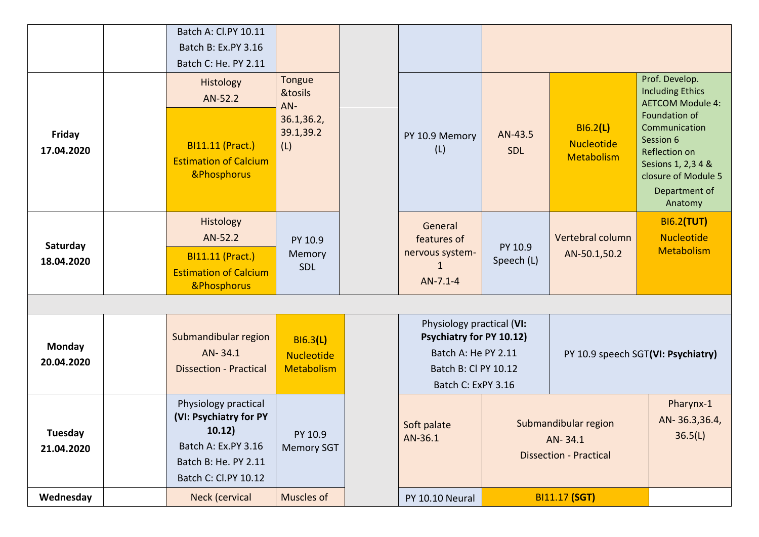|                             | Batch A: Cl.PY 10.11<br>Batch B: Ex.PY 3.16<br>Batch C: He. PY 2.11                                                             |                                                    |                                                                                                                                   |                       |                                                                  |                                                                                                                                       |
|-----------------------------|---------------------------------------------------------------------------------------------------------------------------------|----------------------------------------------------|-----------------------------------------------------------------------------------------------------------------------------------|-----------------------|------------------------------------------------------------------|---------------------------------------------------------------------------------------------------------------------------------------|
|                             | Histology<br>AN-52.2                                                                                                            | <b>Tongue</b><br>&tosils<br>AN-                    |                                                                                                                                   |                       |                                                                  | Prof. Develop.<br><b>Including Ethics</b><br><b>AETCOM Module 4:</b>                                                                  |
| Friday<br>17.04.2020        | <b>BI11.11 (Pract.)</b><br><b>Estimation of Calcium</b><br>&Phosphorus                                                          | 36.1,36.2,<br>39.1,39.2<br>(L)                     | PY 10.9 Memory<br>(L)                                                                                                             | AN-43.5<br><b>SDL</b> | <b>BI6.2(L)</b><br><b>Nucleotide</b><br>Metabolism               | Foundation of<br>Communication<br>Session 6<br>Reflection on<br>Sesions 1, 2,3 4 &<br>closure of Module 5<br>Department of<br>Anatomy |
| Saturday<br>18.04.2020      | Histology<br>AN-52.2<br><b>BI11.11 (Pract.)</b><br><b>Estimation of Calcium</b><br>&Phosphorus                                  | PY 10.9<br>Memory<br><b>SDL</b>                    | General<br>features of<br>nervous system-<br>1<br>AN-7.1-4                                                                        | PY 10.9<br>Speech (L) | Vertebral column<br>AN-50.1,50.2                                 | <b>BI6.2(TUT)</b><br><b>Nucleotide</b><br>Metabolism                                                                                  |
|                             |                                                                                                                                 |                                                    |                                                                                                                                   |                       |                                                                  |                                                                                                                                       |
| <b>Monday</b><br>20.04.2020 | Submandibular region<br>AN-34.1<br><b>Dissection - Practical</b>                                                                | <b>BI6.3(L)</b><br><b>Nucleotide</b><br>Metabolism | Physiology practical (VI:<br><b>Psychiatry for PY 10.12)</b><br>Batch A: He PY 2.11<br>Batch B: Cl PY 10.12<br>Batch C: ExPY 3.16 |                       |                                                                  | PY 10.9 speech SGT(VI: Psychiatry)                                                                                                    |
| Tuesday<br>21.04.2020       | Physiology practical<br>(VI: Psychiatry for PY<br>10.12)<br>Batch A: Ex.PY 3.16<br>Batch B: He. PY 2.11<br>Batch C: Cl.PY 10.12 | PY 10.9<br><b>Memory SGT</b>                       | Soft palate<br>AN-36.1                                                                                                            |                       | Submandibular region<br>AN-34.1<br><b>Dissection - Practical</b> | Pharynx-1<br>AN-36.3,36.4,<br>36.5(L)                                                                                                 |
| Wednesday                   | Neck (cervical                                                                                                                  | Muscles of                                         | PY 10.10 Neural                                                                                                                   |                       | <b>BI11.17 (SGT)</b>                                             |                                                                                                                                       |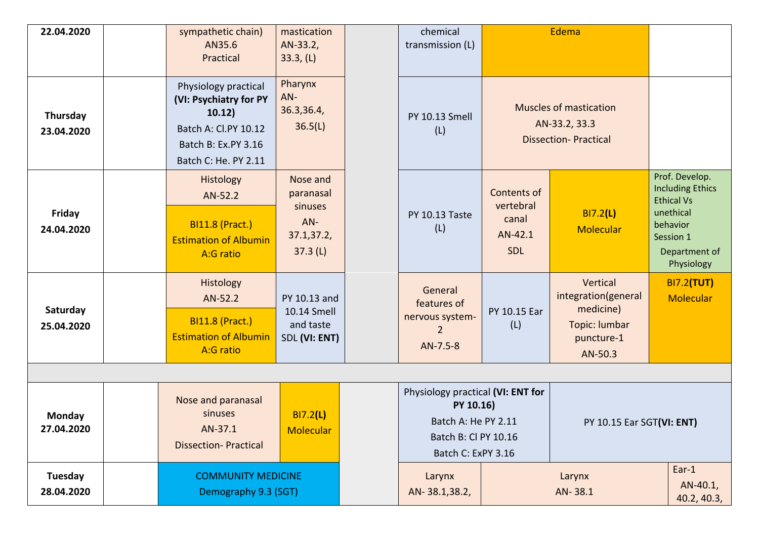| 22.04.2020                  | sympathetic chain)<br>AN35.6<br>Practical                                                                                       | mastication<br>AN-33.2,<br>33.3, (L)                             | chemical<br>transmission (L)                                                                                        |                                                            | Edema                                                                                  |                                                                                                                                     |
|-----------------------------|---------------------------------------------------------------------------------------------------------------------------------|------------------------------------------------------------------|---------------------------------------------------------------------------------------------------------------------|------------------------------------------------------------|----------------------------------------------------------------------------------------|-------------------------------------------------------------------------------------------------------------------------------------|
| Thursday<br>23.04.2020      | Physiology practical<br>(VI: Psychiatry for PY<br>10.12)<br>Batch A: Cl.PY 10.12<br>Batch B: Ex.PY 3.16<br>Batch C: He. PY 2.11 | Pharynx<br>AN-<br>36.3,36.4,<br>36.5(L)                          | PY 10.13 Smell<br>(L)                                                                                               |                                                            | <b>Muscles of mastication</b><br>AN-33.2, 33.3<br><b>Dissection-Practical</b>          |                                                                                                                                     |
| <b>Friday</b><br>24.04.2020 | Histology<br>AN-52.2<br><b>BI11.8 (Pract.)</b><br><b>Estimation of Albumin</b><br>A:G ratio                                     | Nose and<br>paranasal<br>sinuses<br>AN-<br>37.1,37.2,<br>37.3(L) | <b>PY 10.13 Taste</b><br>(L)                                                                                        | Contents of<br>vertebral<br>canal<br>AN-42.1<br><b>SDL</b> | BI7.2(L)<br>Molecular                                                                  | Prof. Develop.<br><b>Including Ethics</b><br><b>Ethical Vs</b><br>unethical<br>behavior<br>Session 1<br>Department of<br>Physiology |
| Saturday<br>25.04.2020      | Histology<br>AN-52.2<br><b>BI11.8 (Pract.)</b><br><b>Estimation of Albumin</b><br>A:G ratio                                     | PY 10.13 and<br>10.14 Smell<br>and taste<br>SDL (VI: ENT)        | General<br>features of<br>nervous system-<br>2<br>AN-7.5-8                                                          | PY 10.15 Ear<br>(L)                                        | Vertical<br>integration(general<br>medicine)<br>Topic: lumbar<br>puncture-1<br>AN-50.3 | <b>BI7.2(TUT)</b><br>Molecular                                                                                                      |
| Monday<br>27.04.2020        | Nose and paranasal<br>sinuses<br>AN-37.1<br><b>Dissection-Practical</b>                                                         | BI7.2(L)<br><b>Molecular</b>                                     | Physiology practical (VI: ENT for<br>PY 10.16)<br>Batch A: He PY 2.11<br>Batch B: Cl PY 10.16<br>Batch C: ExPY 3.16 |                                                            | <b>PY 10.15 Ear SGT(VI: ENT)</b>                                                       |                                                                                                                                     |
| Tuesday<br>28.04.2020       | <b>COMMUNITY MEDICINE</b><br>Demography 9.3 (SGT)                                                                               |                                                                  | Larynx<br>AN-38.1,38.2,                                                                                             |                                                            | Larynx<br>AN-38.1                                                                      | $Ear-1$<br>AN-40.1,<br>40.2, 40.3,                                                                                                  |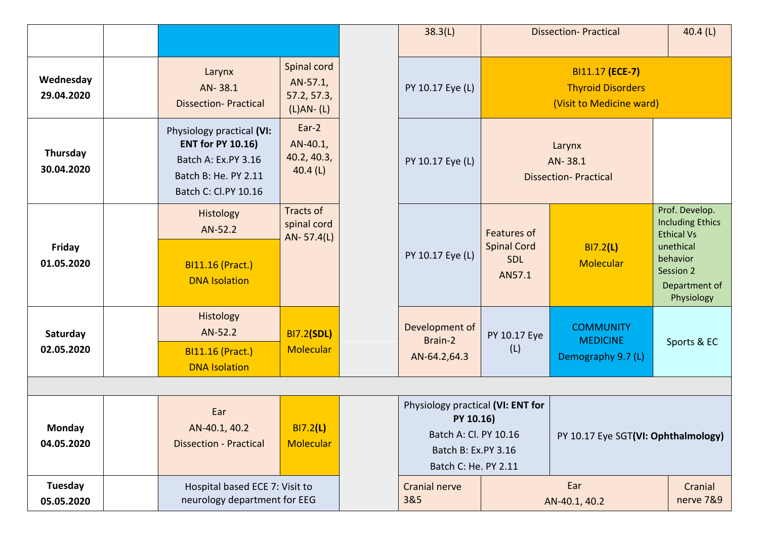|                             |                                                                                                                              |                                                         | 38.3(L)                                                                                                                |                                                                  | <b>Dissection-Practical</b>                                             | 40.4 $(L)$                                                                                                                          |
|-----------------------------|------------------------------------------------------------------------------------------------------------------------------|---------------------------------------------------------|------------------------------------------------------------------------------------------------------------------------|------------------------------------------------------------------|-------------------------------------------------------------------------|-------------------------------------------------------------------------------------------------------------------------------------|
| Wednesday<br>29.04.2020     | Larynx<br>AN-38.1<br><b>Dissection-Practical</b>                                                                             | Spinal cord<br>AN-57.1,<br>57.2, 57.3,<br>$(L)AN - (L)$ | PY 10.17 Eye (L)                                                                                                       |                                                                  | BI11.17 (ECE-7)<br><b>Thyroid Disorders</b><br>(Visit to Medicine ward) |                                                                                                                                     |
| Thursday<br>30.04.2020      | Physiology practical (VI:<br><b>ENT for PY 10.16)</b><br>Batch A: Ex.PY 3.16<br>Batch B: He. PY 2.11<br>Batch C: Cl.PY 10.16 | $Ear-2$<br>AN-40.1,<br>40.2, 40.3,<br>40.4 $(L)$        | PY 10.17 Eye (L)                                                                                                       |                                                                  | Larynx<br>AN-38.1<br><b>Dissection-Practical</b>                        |                                                                                                                                     |
| <b>Friday</b><br>01.05.2020 | Histology<br>AN-52.2<br><b>BI11.16 (Pract.)</b><br><b>DNA Isolation</b>                                                      | Tracts of<br>spinal cord<br>AN-57.4(L)                  | PY 10.17 Eye (L)                                                                                                       | <b>Features of</b><br><b>Spinal Cord</b><br><b>SDL</b><br>AN57.1 | BI7.2(L)<br>Molecular                                                   | Prof. Develop.<br><b>Including Ethics</b><br><b>Ethical Vs</b><br>unethical<br>behavior<br>Session 2<br>Department of<br>Physiology |
| Saturday<br>02.05.2020      | Histology<br>AN-52.2<br><b>BI11.16 (Pract.)</b><br><b>DNA Isolation</b>                                                      | <b>BI7.2(SDL)</b><br><b>Molecular</b>                   | Development of<br>Brain-2<br>AN-64.2,64.3                                                                              | PY 10.17 Eye<br>(L)                                              | <b>COMMUNITY</b><br><b>MEDICINE</b><br>Demography 9.7 (L)               | Sports & EC                                                                                                                         |
| <b>Monday</b><br>04.05.2020 | Ear<br>AN-40.1, 40.2<br><b>Dissection - Practical</b>                                                                        | <b>BI7.2(L)</b><br><b>Molecular</b>                     | Physiology practical (VI: ENT for<br>PY 10.16)<br>Batch A: Cl. PY 10.16<br>Batch B: Ex.PY 3.16<br>Batch C: He. PY 2.11 |                                                                  | PY 10.17 Eye SGT(VI: Ophthalmology)                                     |                                                                                                                                     |
| Tuesday<br>05.05.2020       | Hospital based ECE 7: Visit to<br>neurology department for EEG                                                               |                                                         | <b>Cranial nerve</b><br>3&5                                                                                            |                                                                  | Ear<br>AN-40.1, 40.2                                                    | Cranial<br>nerve 7&9                                                                                                                |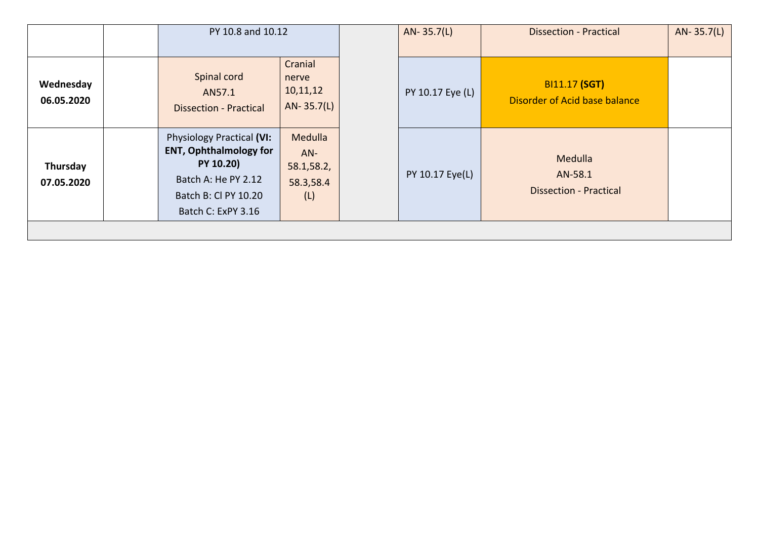|                         | PY 10.8 and 10.12                                                                                                                                   |                                                    | AN-35.7(L)       | <b>Dissection - Practical</b>                         | AN-35.7(L) |
|-------------------------|-----------------------------------------------------------------------------------------------------------------------------------------------------|----------------------------------------------------|------------------|-------------------------------------------------------|------------|
| Wednesday<br>06.05.2020 | Spinal cord<br>AN57.1<br><b>Dissection - Practical</b>                                                                                              | Cranial<br>nerve<br>10,11,12<br>AN-35.7(L)         | PY 10.17 Eye (L) | <b>BI11.17 (SGT)</b><br>Disorder of Acid base balance |            |
| Thursday<br>07.05.2020  | <b>Physiology Practical (VI:</b><br><b>ENT, Ophthalmology for</b><br>PY 10.20)<br>Batch A: He PY 2.12<br>Batch B: Cl PY 10.20<br>Batch C: ExPY 3.16 | Medulla<br>$AN-$<br>58.1,58.2,<br>58.3,58.4<br>(L) | PY 10.17 Eye(L)  | Medulla<br>AN-58.1<br><b>Dissection - Practical</b>   |            |
|                         |                                                                                                                                                     |                                                    |                  |                                                       |            |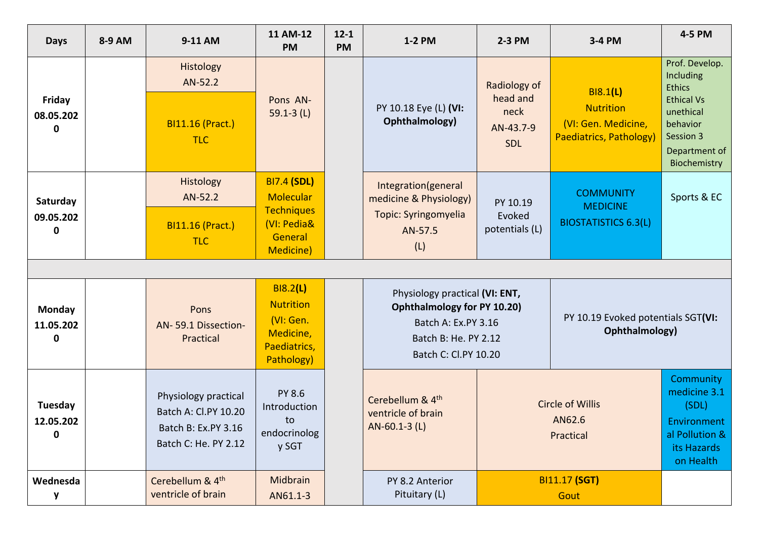| <b>Days</b>                     | 8-9 AM | 9-11 AM                                                                                     | 11 AM-12<br><b>PM</b>                                                                                     | $12 - 1$<br>1-2 PM<br><b>PM</b> |                                                                                                                                             | 2-3 PM                                                      | 3-4 PM                                                                                | 4-5 PM                                                                                                                                   |
|---------------------------------|--------|---------------------------------------------------------------------------------------------|-----------------------------------------------------------------------------------------------------------|---------------------------------|---------------------------------------------------------------------------------------------------------------------------------------------|-------------------------------------------------------------|---------------------------------------------------------------------------------------|------------------------------------------------------------------------------------------------------------------------------------------|
| Friday<br>08.05.202<br>0        |        | Histology<br>AN-52.2<br><b>BI11.16 (Pract.)</b><br><b>TLC</b>                               | Pons AN-<br>$59.1 - 3$ (L)                                                                                |                                 | PY 10.18 Eye (L) (VI:<br>Ophthalmology)                                                                                                     | Radiology of<br>head and<br>neck<br>AN-43.7-9<br><b>SDL</b> | <b>BI8.1(L)</b><br><b>Nutrition</b><br>(VI: Gen. Medicine,<br>Paediatrics, Pathology) | Prof. Develop.<br>Including<br><b>Ethics</b><br><b>Ethical Vs</b><br>unethical<br>behavior<br>Session 3<br>Department of<br>Biochemistry |
| Saturday<br>09.05.202<br>0      |        | Histology<br>AN-52.2<br><b>BI11.16 (Pract.)</b><br><b>TLC</b>                               | <b>BI7.4 (SDL)</b><br><b>Molecular</b><br><b>Techniques</b><br>(VI: Pedia&<br>General<br><b>Medicine)</b> |                                 | Integration(general<br>medicine & Physiology)<br>Topic: Syringomyelia<br>AN-57.5<br>(L)                                                     | PY 10.19<br>Evoked<br>potentials (L)                        | <b>COMMUNITY</b><br><b>MEDICINE</b><br><b>BIOSTATISTICS 6.3(L)</b>                    | Sports & EC                                                                                                                              |
| <b>Monday</b><br>11.05.202<br>0 |        | Pons<br>AN-59.1 Dissection-<br>Practical                                                    | B18.2(L)<br><b>Nutrition</b><br>(VI: Gen.<br>Medicine,<br>Paediatrics,<br>Pathology)                      |                                 | Physiology practical (VI: ENT,<br><b>Ophthalmology for PY 10.20)</b><br>Batch A: Ex.PY 3.16<br>Batch B: He. PY 2.12<br>Batch C: Cl.PY 10.20 |                                                             | PY 10.19 Evoked potentials SGT(VI:<br>Ophthalmology)                                  |                                                                                                                                          |
| Tuesday<br>12.05.202<br>0       |        | Physiology practical<br>Batch A: Cl.PY 10.20<br>Batch B: Ex.PY 3.16<br>Batch C: He. PY 2.12 | <b>PY 8.6</b><br>Introduction<br>to<br>endocrinolog<br>y SGT                                              |                                 | Cerebellum & 4 <sup>th</sup><br>ventricle of brain<br>$AN-60.1-3$ (L)                                                                       |                                                             | <b>Circle of Willis</b><br>AN62.6<br>Practical                                        |                                                                                                                                          |
| Wednesda<br>y                   |        | Cerebellum & 4 <sup>th</sup><br>ventricle of brain                                          | Midbrain<br>AN61.1-3                                                                                      |                                 | PY 8.2 Anterior<br>Pituitary (L)                                                                                                            |                                                             | <b>BI11.17 (SGT)</b><br>Gout                                                          |                                                                                                                                          |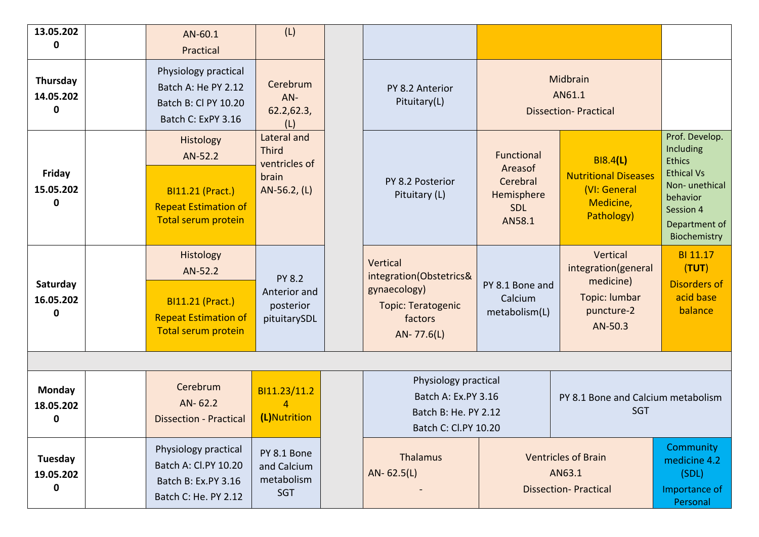| 13.05.202<br>0                            | AN-60.1<br>Practical                                                                                  | (L)                                                                   |                                                                                                    |                                                                                |                                                                                           |                                                                                                                                              |
|-------------------------------------------|-------------------------------------------------------------------------------------------------------|-----------------------------------------------------------------------|----------------------------------------------------------------------------------------------------|--------------------------------------------------------------------------------|-------------------------------------------------------------------------------------------|----------------------------------------------------------------------------------------------------------------------------------------------|
| Thursday<br>14.05.202<br>$\mathbf 0$      | Physiology practical<br>Batch A: He PY 2.12<br>Batch B: Cl PY 10.20<br>Batch C: ExPY 3.16             | Cerebrum<br>$AN-$<br>62.2,62.3,<br>(L)                                | PY 8.2 Anterior<br>Pituitary(L)                                                                    |                                                                                | Midbrain<br>AN61.1<br><b>Dissection-Practical</b>                                         |                                                                                                                                              |
| <b>Friday</b><br>15.05.202<br>0           | Histology<br>AN-52.2<br><b>BI11.21 (Pract.)</b><br><b>Repeat Estimation of</b><br>Total serum protein | Lateral and<br><b>Third</b><br>ventricles of<br>brain<br>AN-56.2, (L) | PY 8.2 Posterior<br>Pituitary (L)                                                                  | <b>Functional</b><br>Areasof<br>Cerebral<br>Hemisphere<br><b>SDL</b><br>AN58.1 | <b>BI8.4(L)</b><br><b>Nutritional Diseases</b><br>(VI: General<br>Medicine,<br>Pathology) | Prof. Develop.<br>Including<br><b>Ethics</b><br><b>Ethical Vs</b><br>Non-unethical<br>behavior<br>Session 4<br>Department of<br>Biochemistry |
| Saturday<br>16.05.202<br>$\mathbf 0$      | Histology<br>AN-52.2<br><b>BI11.21 (Pract.)</b><br><b>Repeat Estimation of</b><br>Total serum protein | <b>PY 8.2</b><br>Anterior and<br>posterior<br>pituitarySDL            | Vertical<br>integration(Obstetrics&<br>gynaecology)<br>Topic: Teratogenic<br>factors<br>AN-77.6(L) | PY 8.1 Bone and<br>Calcium<br>metabolism(L)                                    | Vertical<br>integration(general<br>medicine)<br>Topic: lumbar<br>puncture-2<br>AN-50.3    | BI 11.17<br>(TUT)<br><b>Disorders of</b><br>acid base<br>balance                                                                             |
|                                           |                                                                                                       |                                                                       | Physiology practical                                                                               |                                                                                |                                                                                           |                                                                                                                                              |
| <b>Monday</b><br>18.05.202<br>$\mathbf 0$ | Cerebrum<br>AN-62.2<br><b>Dissection - Practical</b>                                                  | BI11.23/11.2<br>$\overline{4}$<br>(L)Nutrition                        | Batch A: Ex.PY 3.16<br>Batch B: He. PY 2.12<br>Batch C: Cl.PY 10.20                                |                                                                                | PY 8.1 Bone and Calcium metabolism<br>SGT                                                 |                                                                                                                                              |
| Tuesday<br>19.05.202<br>$\pmb{0}$         | Physiology practical<br>Batch A: Cl.PY 10.20<br>Batch B: Ex.PY 3.16<br>Batch C: He. PY 2.12           | PY 8.1 Bone<br>and Calcium<br>metabolism<br><b>SGT</b>                | Thalamus<br>$AN-62.5(L)$                                                                           |                                                                                | <b>Ventricles of Brain</b><br>AN63.1<br><b>Dissection- Practical</b>                      | Community<br>medicine 4.2<br>(SDL)<br>Importance of<br><b>Personal</b>                                                                       |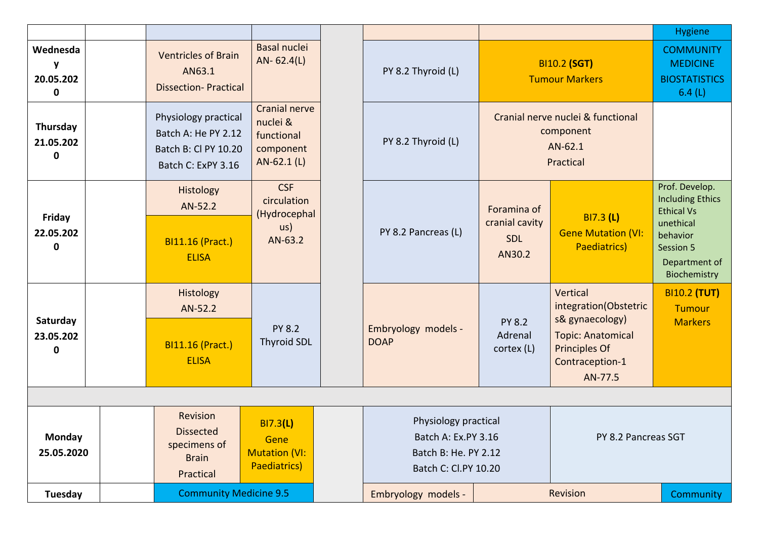|                                                  |                                                                                           |                                                                                |                                                                                                                    |                                                       |                                                                                                                                 | <b>Hygiene</b>                                                                                                                        |
|--------------------------------------------------|-------------------------------------------------------------------------------------------|--------------------------------------------------------------------------------|--------------------------------------------------------------------------------------------------------------------|-------------------------------------------------------|---------------------------------------------------------------------------------------------------------------------------------|---------------------------------------------------------------------------------------------------------------------------------------|
| Wednesda<br><b>Y</b><br>20.05.202<br>$\mathbf 0$ | <b>Ventricles of Brain</b><br>AN63.1<br><b>Dissection-Practical</b>                       | <b>Basal nuclei</b><br>$AN-62.4(L)$                                            | PY 8.2 Thyroid (L)                                                                                                 |                                                       | <b>BI10.2 (SGT)</b><br><b>Tumour Markers</b>                                                                                    | <b>COMMUNITY</b><br><b>MEDICINE</b><br><b>BIOSTATISTICS</b><br>6.4(L)                                                                 |
| Thursday<br>21.05.202<br>$\mathbf 0$             | Physiology practical<br>Batch A: He PY 2.12<br>Batch B: Cl PY 10.20<br>Batch C: ExPY 3.16 | <b>Cranial nerve</b><br>nuclei &<br>functional<br>component<br>AN-62.1 (L)     | PY 8.2 Thyroid (L)                                                                                                 |                                                       | Cranial nerve nuclei & functional<br>component<br>AN-62.1<br>Practical                                                          |                                                                                                                                       |
| Friday<br>22.05.202<br>$\mathbf 0$               | Histology<br>AN-52.2<br><b>BI11.16 (Pract.)</b><br><b>ELISA</b>                           | <b>CSF</b><br>circulation<br>(Hydrocephal<br>$\mathsf{u}\mathsf{s}$<br>AN-63.2 | PY 8.2 Pancreas (L)                                                                                                | Foramina of<br>cranial cavity<br><b>SDL</b><br>AN30.2 | <b>BI7.3 (L)</b><br><b>Gene Mutation (VI:</b><br>Paediatrics)                                                                   | Prof. Develop.<br><b>Including Ethics</b><br><b>Ethical Vs</b><br>unethical<br>behavior<br>Session 5<br>Department of<br>Biochemistry |
| Saturday<br>23.05.202<br>$\mathbf 0$             | Histology<br>AN-52.2<br><b>BI11.16 (Pract.)</b><br><b>ELISA</b>                           | <b>PY 8.2</b><br><b>Thyroid SDL</b>                                            | Embryology models -<br><b>DOAP</b>                                                                                 | <b>PY 8.2</b><br>Adrenal<br>cortex (L)                | Vertical<br>integration(Obstetric<br>s& gynaecology)<br><b>Topic: Anatomical</b><br>Principles Of<br>Contraception-1<br>AN-77.5 | <b>BI10.2 (TUT)</b><br><b>Tumour</b><br><b>Markers</b>                                                                                |
|                                                  |                                                                                           |                                                                                |                                                                                                                    |                                                       |                                                                                                                                 |                                                                                                                                       |
| Monday<br>25.05.2020                             | Revision<br><b>Dissected</b><br>specimens of<br><b>Brain</b><br>Practical                 | BI7.3(L)<br>Gene<br><b>Mutation (VI:</b><br>Paediatrics)                       | Physiology practical<br>Batch A: Ex.PY 3.16<br>PY 8.2 Pancreas SGT<br>Batch B: He. PY 2.12<br>Batch C: Cl.PY 10.20 |                                                       |                                                                                                                                 |                                                                                                                                       |
| <b>Tuesday</b>                                   | <b>Community Medicine 9.5</b>                                                             |                                                                                | Revision<br>Embryology models -                                                                                    |                                                       |                                                                                                                                 | Community                                                                                                                             |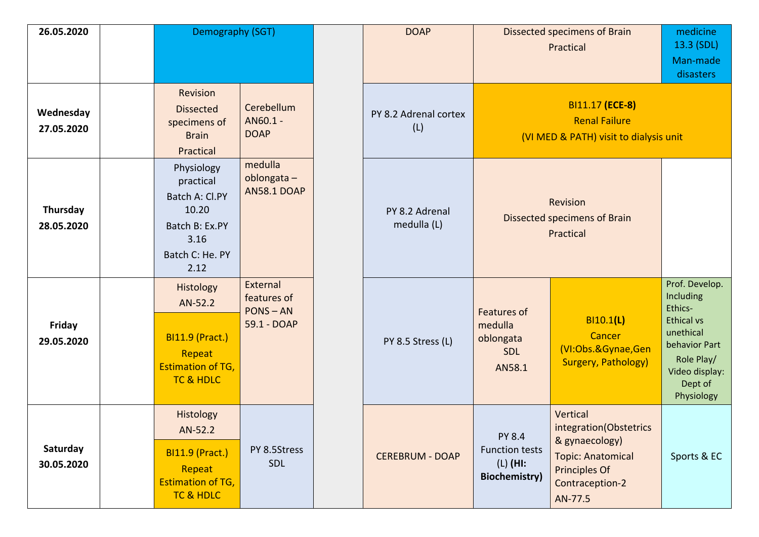| 26.05.2020                  | Demography (SGT)                                                                                        |                                                       | <b>DOAP</b>                   |                                                                              | Dissected specimens of Brain<br>Practical                                                                                       | medicine<br>13.3 (SDL)<br>Man-made<br>disasters                                                                                                    |
|-----------------------------|---------------------------------------------------------------------------------------------------------|-------------------------------------------------------|-------------------------------|------------------------------------------------------------------------------|---------------------------------------------------------------------------------------------------------------------------------|----------------------------------------------------------------------------------------------------------------------------------------------------|
| Wednesday<br>27.05.2020     | Revision<br><b>Dissected</b><br>specimens of<br><b>Brain</b><br>Practical                               | Cerebellum<br>AN60.1 -<br><b>DOAP</b>                 | PY 8.2 Adrenal cortex<br>(L)  |                                                                              | BI11.17 (ECE-8)<br><b>Renal Failure</b><br>(VI MED & PATH) visit to dialysis unit                                               |                                                                                                                                                    |
| Thursday<br>28.05.2020      | Physiology<br>practical<br>Batch A: Cl.PY<br>10.20<br>Batch B: Ex.PY<br>3.16<br>Batch C: He. PY<br>2.12 | medulla<br>oblongata-<br><b>AN58.1 DOAP</b>           | PY 8.2 Adrenal<br>medulla (L) |                                                                              | Revision<br>Dissected specimens of Brain<br>Practical                                                                           |                                                                                                                                                    |
| <b>Friday</b><br>29.05.2020 | Histology<br>AN-52.2<br><b>BI11.9 (Pract.)</b><br>Repeat<br><b>Estimation of TG,</b><br>TC & HDLC       | External<br>features of<br>$PONS - AN$<br>59.1 - DOAP | PY 8.5 Stress (L)             | <b>Features of</b><br>medulla<br>oblongata<br>SDL<br>AN58.1                  | BI10.1(L)<br>Cancer<br>(VI:Obs.&Gynae,Gen<br><b>Surgery, Pathology)</b>                                                         | Prof. Develop.<br>Including<br>Ethics-<br><b>Ethical vs</b><br>unethical<br>behavior Part<br>Role Play/<br>Video display:<br>Dept of<br>Physiology |
| Saturday<br>30.05.2020      | Histology<br>AN-52.2<br><b>BI11.9 (Pract.)</b><br>Repeat<br><b>Estimation of TG,</b><br>TC & HDLC       | PY 8.5Stress<br><b>SDL</b>                            | <b>CEREBRUM - DOAP</b>        | <b>PY 8.4</b><br><b>Function tests</b><br>$(L)$ (HI:<br><b>Biochemistry)</b> | Vertical<br>integration(Obstetrics<br>& gynaecology)<br><b>Topic: Anatomical</b><br>Principles Of<br>Contraception-2<br>AN-77.5 | Sports & EC                                                                                                                                        |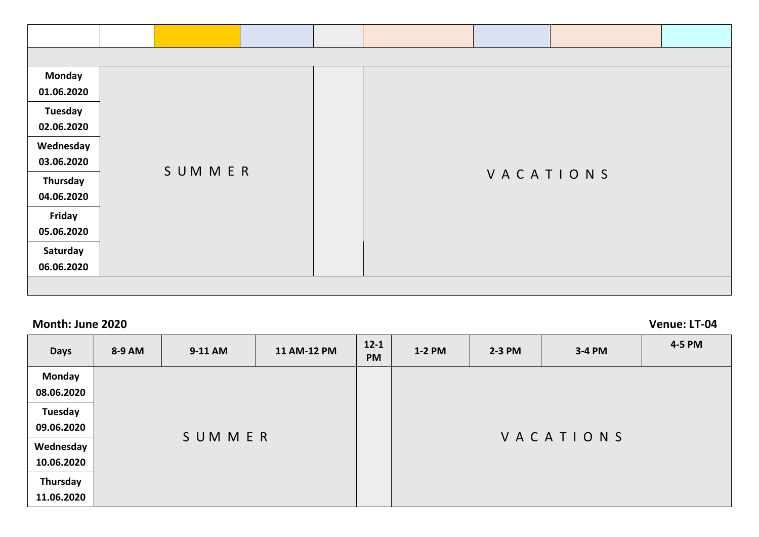| <b>Monday</b> |               |  |           |  |
|---------------|---------------|--|-----------|--|
| 01.06.2020    |               |  |           |  |
| Tuesday       |               |  |           |  |
| 02.06.2020    |               |  |           |  |
| Wednesday     |               |  |           |  |
| 03.06.2020    | <b>SUMMER</b> |  |           |  |
| Thursday      |               |  | VACATIONS |  |
| 04.06.2020    |               |  |           |  |
| Friday        |               |  |           |  |
| 05.06.2020    |               |  |           |  |
| Saturday      |               |  |           |  |
| 06.06.2020    |               |  |           |  |
|               |               |  |           |  |

**Month: June 2020 Venue: LT-04**

| <b>Days</b>                 | 8-9 AM | 9-11 AM | 11 AM-12 PM | $12 - 1$<br><b>PM</b> | $1-2$ PM | $2-3$ PM  | 3-4 PM | 4-5 PM |
|-----------------------------|--------|---------|-------------|-----------------------|----------|-----------|--------|--------|
| <b>Monday</b><br>08.06.2020 |        |         |             |                       |          |           |        |        |
| Tuesday<br>09.06.2020       |        |         |             |                       |          |           |        |        |
| Wednesday<br>10.06.2020     |        | SUMMER  |             |                       |          | VACATIONS |        |        |
| Thursday<br>11.06.2020      |        |         |             |                       |          |           |        |        |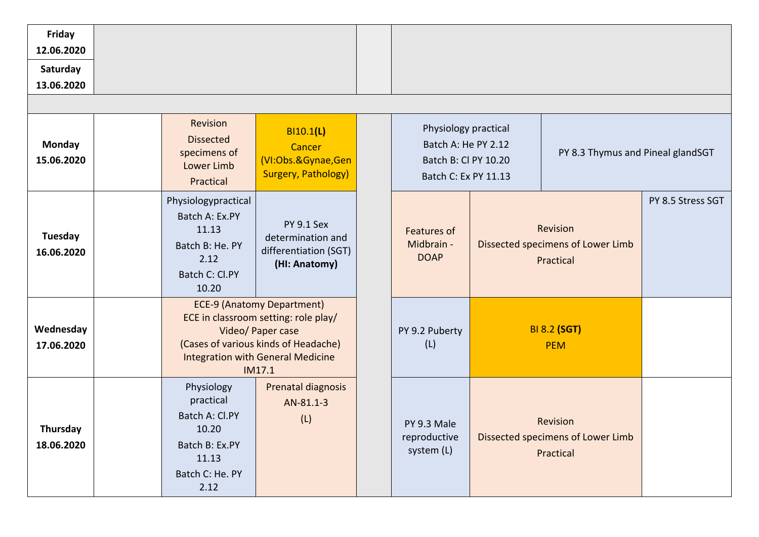| Friday<br>12.06.2020        |                                                                                                          |                                                                                                                                                                                              |                                                                                             |                                                                   |                   |
|-----------------------------|----------------------------------------------------------------------------------------------------------|----------------------------------------------------------------------------------------------------------------------------------------------------------------------------------------------|---------------------------------------------------------------------------------------------|-------------------------------------------------------------------|-------------------|
| Saturday                    |                                                                                                          |                                                                                                                                                                                              |                                                                                             |                                                                   |                   |
| 13.06.2020                  |                                                                                                          |                                                                                                                                                                                              |                                                                                             |                                                                   |                   |
| <b>Monday</b><br>15.06.2020 | Revision<br><b>Dissected</b><br>specimens of<br>Lower Limb<br>Practical                                  | BI10.1(L)<br>Cancer<br>(VI:Obs.&Gynae,Gen<br><b>Surgery, Pathology)</b>                                                                                                                      | Physiology practical<br>Batch A: He PY 2.12<br>Batch B: Cl PY 10.20<br>Batch C: Ex PY 11.13 | PY 8.3 Thymus and Pineal glandSGT                                 |                   |
| Tuesday<br>16.06.2020       | Physiologypractical<br>Batch A: Ex.PY<br>11.13<br>Batch B: He. PY<br>2.12<br>Batch C: Cl.PY<br>10.20     | <b>PY 9.1 Sex</b><br>determination and<br>differentiation (SGT)<br>(HI: Anatomy)                                                                                                             | <b>Features of</b><br>Midbrain -<br><b>DOAP</b>                                             | <b>Revision</b><br>Dissected specimens of Lower Limb<br>Practical | PY 8.5 Stress SGT |
| Wednesday<br>17.06.2020     |                                                                                                          | <b>ECE-9 (Anatomy Department)</b><br>ECE in classroom setting: role play/<br>Video/ Paper case<br>(Cases of various kinds of Headache)<br><b>Integration with General Medicine</b><br>IM17.1 | PY 9.2 Puberty<br>(L)                                                                       | <b>BI 8.2 (SGT)</b><br><b>PEM</b>                                 |                   |
| Thursday<br>18.06.2020      | Physiology<br>practical<br>Batch A: Cl.PY<br>10.20<br>Batch B: Ex.PY<br>11.13<br>Batch C: He. PY<br>2.12 | Prenatal diagnosis<br>AN-81.1-3<br>(L)                                                                                                                                                       | PY 9.3 Male<br>reproductive<br>system (L)                                                   | Revision<br>Dissected specimens of Lower Limb<br>Practical        |                   |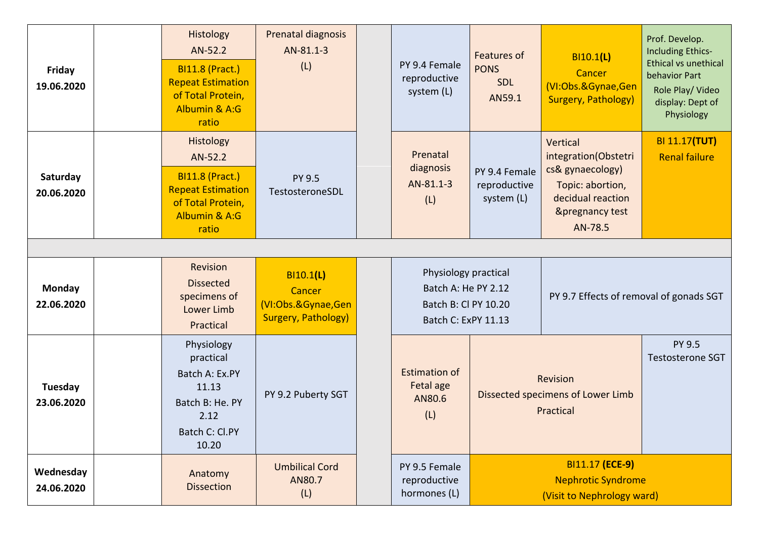| Friday<br>19.06.2020        |  | Histology<br>AN-52.2<br><b>BI11.8 (Pract.)</b><br><b>Repeat Estimation</b><br>of Total Protein,<br>Albumin & A:G<br>ratio | Prenatal diagnosis<br>AN-81.1-3<br>(L)                                  |  | PY 9.4 Female<br>reproductive<br>system (L)                                                | <b>Features of</b><br><b>PONS</b><br>SDL<br>AN59.1 | BI10.1(L)<br>Cancer<br>(VI:Obs.&Gynae,Gen<br><b>Surgery, Pathology)</b>                                                                | Prof. Develop.<br><b>Including Ethics-</b><br><b>Ethical vs unethical</b><br>behavior Part<br>Role Play/ Video<br>display: Dept of<br>Physiology |  |  |
|-----------------------------|--|---------------------------------------------------------------------------------------------------------------------------|-------------------------------------------------------------------------|--|--------------------------------------------------------------------------------------------|----------------------------------------------------|----------------------------------------------------------------------------------------------------------------------------------------|--------------------------------------------------------------------------------------------------------------------------------------------------|--|--|
| Saturday<br>20.06.2020      |  | Histology<br>AN-52.2<br><b>BI11.8 (Pract.)</b><br><b>Repeat Estimation</b><br>of Total Protein,<br>Albumin & A:G<br>ratio | PY 9.5<br>TestosteroneSDL                                               |  | Prenatal<br>diagnosis<br>AN-81.1-3<br>(L)                                                  | PY 9.4 Female<br>reproductive<br>system (L)        | Vertical<br>integration(Obstetri<br>cs& gynaecology)<br>Topic: abortion,<br>decidual reaction<br><b>&amp;pregnancy test</b><br>AN-78.5 | <b>BI 11.17(TUT)</b><br><b>Renal failure</b>                                                                                                     |  |  |
|                             |  |                                                                                                                           |                                                                         |  |                                                                                            |                                                    |                                                                                                                                        |                                                                                                                                                  |  |  |
| <b>Monday</b><br>22.06.2020 |  | Revision<br><b>Dissected</b><br>specimens of<br>Lower Limb<br>Practical                                                   | BI10.1(L)<br>Cancer<br>(VI:Obs.&Gynae,Gen<br><b>Surgery, Pathology)</b> |  | Physiology practical<br>Batch A: He PY 2.12<br>Batch B: Cl PY 10.20<br>Batch C: ExPY 11.13 |                                                    | PY 9.7 Effects of removal of gonads SGT                                                                                                |                                                                                                                                                  |  |  |
| Tuesday<br>23.06.2020       |  | Physiology<br>practical<br>Batch A: Ex.PY<br>11.13<br>Batch B: He. PY<br>2.12<br>Batch C: Cl.PY<br>10.20                  | PY 9.2 Puberty SGT                                                      |  | <b>Estimation of</b><br>Fetal age<br>AN80.6<br>(L)                                         |                                                    | Revision<br>Dissected specimens of Lower Limb<br>Practical                                                                             | PY 9.5<br><b>Testosterone SGT</b>                                                                                                                |  |  |
| Wednesday<br>24.06.2020     |  | Anatomy<br><b>Dissection</b>                                                                                              | <b>Umbilical Cord</b><br>AN80.7<br>(L)                                  |  | PY 9.5 Female<br>reproductive<br>hormones (L)                                              |                                                    | BI11.17 (ECE-9)<br><b>Nephrotic Syndrome</b><br>(Visit to Nephrology ward)                                                             |                                                                                                                                                  |  |  |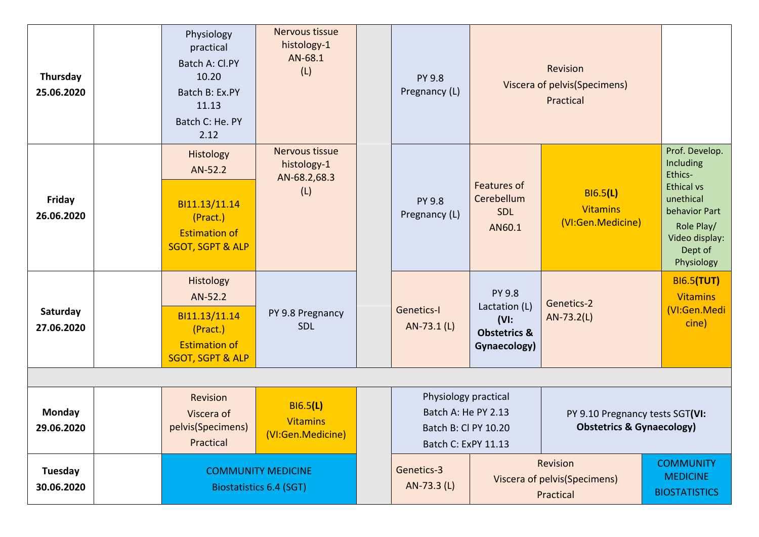| Thursday<br>25.06.2020      | Physiology<br>practical<br>Batch A: Cl.PY<br>10.20<br>Batch B: Ex.PY<br>11.13<br>Batch C: He. PY<br>2.12 | Nervous tissue<br>histology-1<br>AN-68.1<br>(L)             | <b>PY 9.8</b><br>Pregnancy (L)                                                             |                                                                                       | Revision<br>Viscera of pelvis(Specimens)<br>Practical                   |                                                                                                                                                    |
|-----------------------------|----------------------------------------------------------------------------------------------------------|-------------------------------------------------------------|--------------------------------------------------------------------------------------------|---------------------------------------------------------------------------------------|-------------------------------------------------------------------------|----------------------------------------------------------------------------------------------------------------------------------------------------|
| Friday<br>26.06.2020        | Histology<br>AN-52.2<br>BI11.13/11.14<br>(Pract.)<br><b>Estimation of</b><br><b>SGOT, SGPT &amp; ALP</b> | Nervous tissue<br>histology-1<br>AN-68.2,68.3<br>(L)        | <b>PY 9.8</b><br>Pregnancy (L)                                                             | <b>Features of</b><br>Cerebellum<br><b>SDL</b><br>AN60.1                              | <b>BI6.5(L)</b><br><b>Vitamins</b><br>(VI:Gen.Medicine)                 | Prof. Develop.<br>Including<br>Ethics-<br><b>Ethical vs</b><br>unethical<br>behavior Part<br>Role Play/<br>Video display:<br>Dept of<br>Physiology |
| Saturday<br>27.06.2020      | Histology<br>AN-52.2<br>BI11.13/11.14<br>(Pract.)<br><b>Estimation of</b><br><b>SGOT, SGPT &amp; ALP</b> | PY 9.8 Pregnancy<br><b>SDL</b>                              | <b>Genetics-I</b><br>AN-73.1 (L)                                                           | <b>PY 9.8</b><br>Lactation (L)<br>$(VI)$ :<br><b>Obstetrics &amp;</b><br>Gynaecology) | Genetics-2<br>$AN-73.2(L)$                                              | <b>BI6.5(TUT)</b><br><b>Vitamins</b><br>(VI:Gen.Medi<br>cine)                                                                                      |
| <b>Monday</b><br>29.06.2020 | Revision<br>Viscera of<br>pelvis(Specimens)<br>Practical                                                 | B16.5(L)<br><b>Vitamins</b><br>(VI:Gen.Medicine)            | Physiology practical<br>Batch A: He PY 2.13<br>Batch B: Cl PY 10.20<br>Batch C: ExPY 11.13 |                                                                                       | PY 9.10 Pregnancy tests SGT(VI:<br><b>Obstetrics &amp; Gynaecology)</b> |                                                                                                                                                    |
| Tuesday<br>30.06.2020       |                                                                                                          | <b>COMMUNITY MEDICINE</b><br><b>Biostatistics 6.4 (SGT)</b> | Genetics-3<br>AN-73.3 (L)                                                                  |                                                                                       | Revision<br>Viscera of pelvis(Specimens)<br>Practical                   | <b>COMMUNITY</b><br><b>MEDICINE</b><br><b>BIOSTATISTICS</b>                                                                                        |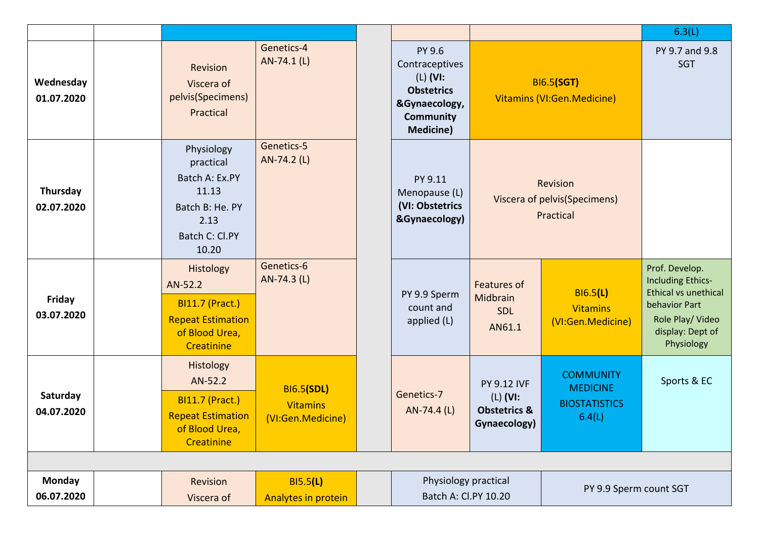|                             |                                                                                                            |                                                           |                                                                                                                      |                                                                             |                                                                       | 6.3(L)                                                                                                                                    |
|-----------------------------|------------------------------------------------------------------------------------------------------------|-----------------------------------------------------------|----------------------------------------------------------------------------------------------------------------------|-----------------------------------------------------------------------------|-----------------------------------------------------------------------|-------------------------------------------------------------------------------------------------------------------------------------------|
| Wednesday<br>01.07.2020     | Revision<br>Viscera of<br>pelvis(Specimens)<br>Practical                                                   | Genetics-4<br>AN-74.1 (L)                                 | PY 9.6<br>Contraceptives<br>$(L)$ (VI:<br><b>Obstetrics</b><br>&Gynaecology,<br><b>Community</b><br><b>Medicine)</b> |                                                                             | <b>BI6.5(SGT)</b><br>Vitamins (VI:Gen.Medicine)                       | PY 9.7 and 9.8<br><b>SGT</b>                                                                                                              |
| Thursday<br>02.07.2020      | Physiology<br>practical<br>Batch A: Ex.PY<br>11.13<br>Batch B: He. PY<br>2.13<br>Batch C: Cl.PY<br>10.20   | Genetics-5<br>AN-74.2 (L)                                 | PY 9.11<br>Menopause (L)<br>(VI: Obstetrics<br>&Gynaecology)                                                         |                                                                             | Revision<br>Viscera of pelvis(Specimens)<br>Practical                 |                                                                                                                                           |
| Friday<br>03.07.2020        | Histology<br>AN-52.2<br><b>BI11.7 (Pract.)</b><br><b>Repeat Estimation</b><br>of Blood Urea,<br>Creatinine | Genetics-6<br>AN-74.3 (L)                                 | PY 9.9 Sperm<br>count and<br>applied (L)                                                                             | Features of<br>Midbrain<br>SDL<br>AN61.1                                    | <b>BI6.5(L)</b><br><b>Vitamins</b><br>(VI:Gen.Medicine)               | Prof. Develop.<br><b>Including Ethics-</b><br>Ethical vs unethical<br>behavior Part<br>Role Play/ Video<br>display: Dept of<br>Physiology |
| Saturday<br>04.07.2020      | Histology<br>AN-52.2<br><b>BI11.7 (Pract.)</b><br><b>Repeat Estimation</b><br>of Blood Urea,<br>Creatinine | <b>BI6.5(SDL)</b><br><b>Vitamins</b><br>(VI:Gen.Medicine) | Genetics-7<br>AN-74.4 (L)                                                                                            | <b>PY 9.12 IVF</b><br>$(L)$ (VI:<br><b>Obstetrics &amp;</b><br>Gynaecology) | <b>COMMUNITY</b><br><b>MEDICINE</b><br><b>BIOSTATISTICS</b><br>6.4(L) | Sports & EC                                                                                                                               |
|                             |                                                                                                            |                                                           |                                                                                                                      |                                                                             |                                                                       |                                                                                                                                           |
| <b>Monday</b><br>06.07.2020 | Revision<br>Viscera of                                                                                     | B15.5(L)<br>Analytes in protein                           | Physiology practical<br>PY 9.9 Sperm count SGT<br>Batch A: Cl.PY 10.20                                               |                                                                             |                                                                       |                                                                                                                                           |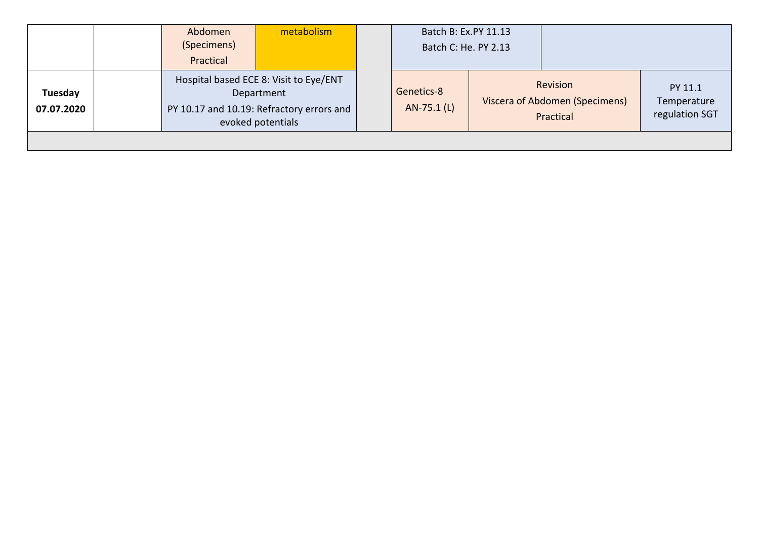|                       | Abdomen<br>(Specimens)<br>Practical | metabolism                                                                                                             |                           | Batch B: Ex.PY 11.13<br>Batch C: He. PY 2.13 |                                                         |                                          |
|-----------------------|-------------------------------------|------------------------------------------------------------------------------------------------------------------------|---------------------------|----------------------------------------------|---------------------------------------------------------|------------------------------------------|
| Tuesday<br>07.07.2020 |                                     | Hospital based ECE 8: Visit to Eye/ENT<br>Department<br>PY 10.17 and 10.19: Refractory errors and<br>evoked potentials | Genetics-8<br>AN-75.1 (L) |                                              | Revision<br>Viscera of Abdomen (Specimens)<br>Practical | PY 11.1<br>Temperature<br>regulation SGT |
|                       |                                     |                                                                                                                        |                           |                                              |                                                         |                                          |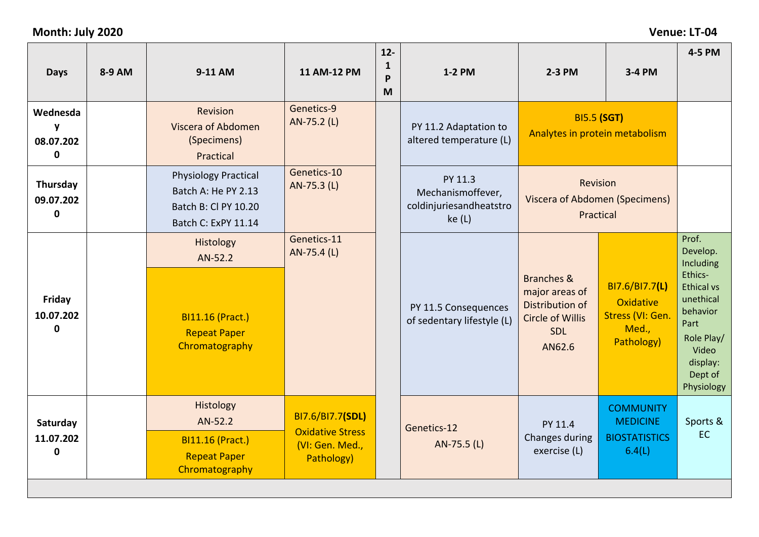## **Month: July 2020 Venue: LT-04**

| <b>Days</b>                               | 8-9 AM | 9-11 AM                                                                                           | 11 AM-12 PM                                                                  | $12-$<br>$\mathbf{1}$<br>P<br>M | 1-2 PM                                                           | 2-3 PM                                                                                             | 3-4 PM                                                                 | 4-5 PM                                                                                                                                                      |
|-------------------------------------------|--------|---------------------------------------------------------------------------------------------------|------------------------------------------------------------------------------|---------------------------------|------------------------------------------------------------------|----------------------------------------------------------------------------------------------------|------------------------------------------------------------------------|-------------------------------------------------------------------------------------------------------------------------------------------------------------|
| Wednesda<br>y<br>08.07.202<br>$\mathbf 0$ |        | <b>Revision</b><br>Viscera of Abdomen<br>(Specimens)<br>Practical                                 | Genetics-9<br>AN-75.2 (L)                                                    |                                 | PY 11.2 Adaptation to<br>altered temperature (L)                 | Analytes in protein metabolism                                                                     | <b>BI5.5 (SGT)</b>                                                     |                                                                                                                                                             |
| Thursday<br>09.07.202<br>$\mathbf 0$      |        | <b>Physiology Practical</b><br>Batch A: He PY 2.13<br>Batch B: Cl PY 10.20<br>Batch C: ExPY 11.14 | Genetics-10<br>AN-75.3 (L)                                                   |                                 | PY 11.3<br>Mechanismoffever,<br>coldinjuriesandheatstro<br>ke(L) | Revision<br>Viscera of Abdomen (Specimens)<br>Practical                                            |                                                                        |                                                                                                                                                             |
| Friday<br>10.07.202<br>$\mathbf 0$        |        | Histology<br>AN-52.2<br><b>BI11.16 (Pract.)</b><br><b>Repeat Paper</b><br>Chromatography          | Genetics-11<br>AN-75.4 (L)                                                   |                                 | PY 11.5 Consequences<br>of sedentary lifestyle (L)               | Branches &<br>major areas of<br>Distribution of<br><b>Circle of Willis</b><br><b>SDL</b><br>AN62.6 | BI7.6/BI7.7(L)<br>Oxidative<br>Stress (VI: Gen.<br>Med.,<br>Pathology) | Prof.<br>Develop.<br>Including<br>Ethics-<br><b>Ethical vs</b><br>unethical<br>behavior<br>Part<br>Role Play/<br>Video<br>display:<br>Dept of<br>Physiology |
| Saturday<br>11.07.202<br>$\mathbf 0$      |        | Histology<br>AN-52.2<br><b>BI11.16 (Pract.)</b><br><b>Repeat Paper</b><br>Chromatography          | BI7.6/BI7.7(SDL)<br><b>Oxidative Stress</b><br>(VI: Gen. Med.,<br>Pathology) |                                 | Genetics-12<br>AN-75.5 (L)                                       | PY 11.4<br>Changes during<br>exercise (L)                                                          | <b>COMMUNITY</b><br><b>MEDICINE</b><br><b>BIOSTATISTICS</b><br>6.4(L)  | Sports &<br><b>EC</b>                                                                                                                                       |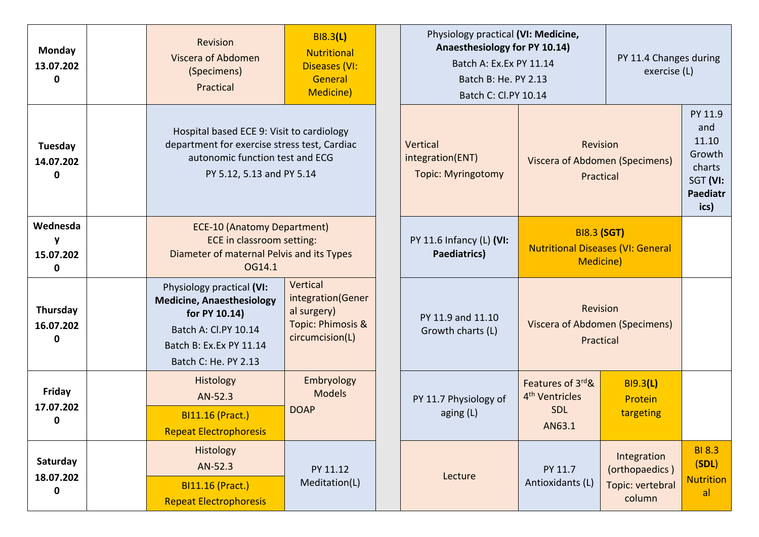| Monday<br>13.07.202<br>$\mathbf{0}$  | B18.3(L)<br>Revision<br><b>Nutritional</b><br>Viscera of Abdomen<br><b>Diseases (VI:</b><br>(Specimens)<br>General<br>Practical<br><b>Medicine)</b>                                                                                               |                                            |  | Physiology practical (VI: Medicine,<br>Anaesthesiology for PY 10.14)<br>Batch A: Ex.Ex PY 11.14<br>Batch B: He. PY 2.13<br>Batch C: Cl.PY 10.14 |                                                                                     | PY 11.4 Changes during<br>exercise (L)                      |                                                                                    |
|--------------------------------------|---------------------------------------------------------------------------------------------------------------------------------------------------------------------------------------------------------------------------------------------------|--------------------------------------------|--|-------------------------------------------------------------------------------------------------------------------------------------------------|-------------------------------------------------------------------------------------|-------------------------------------------------------------|------------------------------------------------------------------------------------|
| Tuesday<br>14.07.202<br>0            | Hospital based ECE 9: Visit to cardiology<br>department for exercise stress test, Cardiac<br>autonomic function test and ECG<br>PY 5.12, 5.13 and PY 5.14                                                                                         |                                            |  | Vertical<br>Revision<br>integration(ENT)<br><b>Viscera of Abdomen (Specimens)</b><br><b>Topic: Myringotomy</b><br>Practical                     |                                                                                     |                                                             | PY 11.9<br>and<br>11.10<br>Growth<br>charts<br>SGT (VI:<br><b>Paediatr</b><br>ics) |
| Wednesda<br>15.07.202<br>0           | <b>ECE-10 (Anatomy Department)</b><br>ECE in classroom setting:<br>Diameter of maternal Pelvis and its Types<br>OG14.1                                                                                                                            |                                            |  | PY 11.6 Infancy (L) (VI:<br>Paediatrics)                                                                                                        | <b>BI8.3 (SGT)</b><br><b>Nutritional Diseases (VI: General</b><br><b>Medicine</b> ) |                                                             |                                                                                    |
| Thursday<br>16.07.202<br>0           | Vertical<br>Physiology practical (VI:<br>integration(Gener<br><b>Medicine, Anaesthesiology</b><br>al surgery)<br>for PY 10.14)<br>Topic: Phimosis &<br>Batch A: Cl.PY 10.14<br>circumcision(L)<br>Batch B: Ex.Ex PY 11.14<br>Batch C: He. PY 2.13 |                                            |  | PY 11.9 and 11.10<br>Growth charts (L)                                                                                                          | Revision<br>Viscera of Abdomen (Specimens)<br>Practical                             |                                                             |                                                                                    |
| Friday<br>17.07.202<br>0             | Histology<br>AN-52.3<br><b>BI11.16 (Pract.)</b><br><b>Repeat Electrophoresis</b>                                                                                                                                                                  | Embryology<br><b>Models</b><br><b>DOAP</b> |  | PY 11.7 Physiology of<br>aging $(L)$                                                                                                            | Features of 3rd&<br>4 <sup>th</sup> Ventricles<br><b>SDL</b><br>AN63.1              | <b>BI9.3(L)</b><br>Protein<br>targeting                     |                                                                                    |
| Saturday<br>18.07.202<br>$\mathbf 0$ | Histology<br>AN-52.3<br><b>BI11.16 (Pract.)</b><br><b>Repeat Electrophoresis</b>                                                                                                                                                                  | PY 11.12<br>Meditation(L)                  |  | Lecture                                                                                                                                         | PY 11.7<br>Antioxidants (L)                                                         | Integration<br>(orthopaedics)<br>Topic: vertebral<br>column | <b>BI 8.3</b><br>(SDL)<br><b>Nutrition</b><br>al                                   |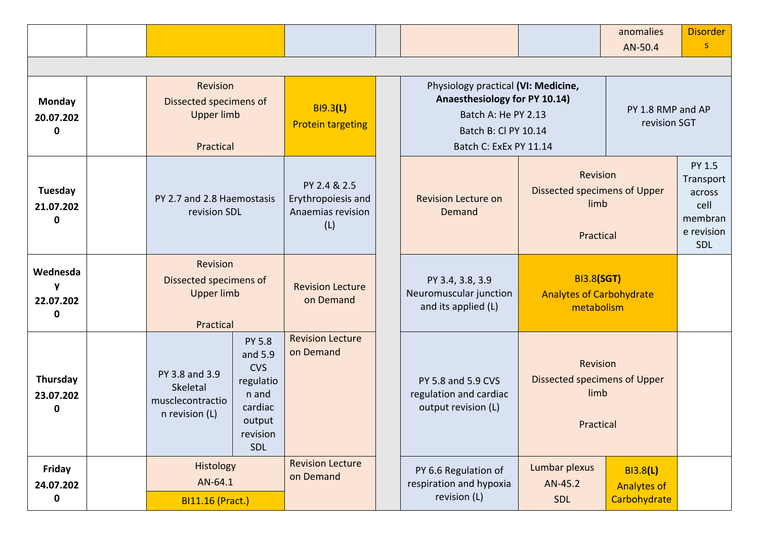|                                    |                                                                      |                                                                                                      |                                                                |                                                                                                                                               |                                                                    | anomalies<br>AN-50.4                                  | <b>Disorder</b>                                                       |
|------------------------------------|----------------------------------------------------------------------|------------------------------------------------------------------------------------------------------|----------------------------------------------------------------|-----------------------------------------------------------------------------------------------------------------------------------------------|--------------------------------------------------------------------|-------------------------------------------------------|-----------------------------------------------------------------------|
|                                    |                                                                      |                                                                                                      |                                                                |                                                                                                                                               |                                                                    |                                                       |                                                                       |
| <b>Monday</b><br>20.07.202<br>0    | Revision<br>Dissected specimens of<br><b>Upper limb</b><br>Practical |                                                                                                      | <b>BI9.3(L)</b><br><b>Protein targeting</b>                    | Physiology practical (VI: Medicine,<br>Anaesthesiology for PY 10.14)<br>Batch A: He PY 2.13<br>Batch B: Cl PY 10.14<br>Batch C: ExEx PY 11.14 |                                                                    | PY 1.8 RMP and AP<br>revision SGT                     |                                                                       |
| Tuesday<br>21.07.202<br>0          | PY 2.7 and 2.8 Haemostasis<br>revision SDL                           |                                                                                                      | PY 2.4 & 2.5<br>Erythropoiesis and<br>Anaemias revision<br>(L) | <b>Revision Lecture on</b><br>Demand                                                                                                          | Revision<br>Dissected specimens of Upper<br>limb<br>Practical      |                                                       | PY 1.5<br>Transport<br>across<br>cell<br>membran<br>e revision<br>SDL |
| Wednesda<br>y<br>22.07.202<br>0    | Revision<br>Dissected specimens of<br><b>Upper limb</b><br>Practical |                                                                                                      | <b>Revision Lecture</b><br>on Demand                           | PY 3.4, 3.8, 3.9<br>Neuromuscular junction<br>and its applied (L)                                                                             | <b>BI3.8(SGT)</b><br><b>Analytes of Carbohydrate</b><br>metabolism |                                                       |                                                                       |
| Thursday<br>23.07.202<br>0         | PY 3.8 and 3.9<br>Skeletal<br>musclecontractio<br>n revision (L)     | <b>PY 5.8</b><br>and 5.9<br><b>CVS</b><br>regulatio<br>n and<br>cardiac<br>output<br>revision<br>SDL | <b>Revision Lecture</b><br>on Demand                           | PY 5.8 and 5.9 CVS<br>regulation and cardiac<br>output revision (L)                                                                           | Revision<br>Dissected specimens of Upper<br>limb<br>Practical      |                                                       |                                                                       |
| Friday<br>24.07.202<br>$\mathbf 0$ | <b>Histology</b><br>AN-64.1<br><b>BI11.16 (Pract.)</b>               |                                                                                                      | <b>Revision Lecture</b><br>on Demand                           | PY 6.6 Regulation of<br>respiration and hypoxia<br>revision (L)                                                                               | Lumbar plexus<br>AN-45.2<br><b>SDL</b>                             | <b>BI3.8(L)</b><br><b>Analytes of</b><br>Carbohydrate |                                                                       |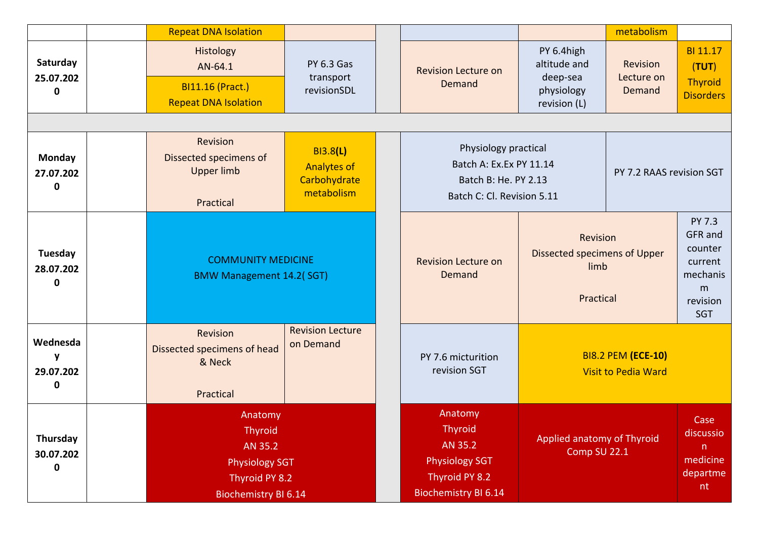|                                           | <b>Repeat DNA Isolation</b>                                                                                                                 |                                               |  |                                                                                                                |                                                                             | metabolism                       |                                                                                    |
|-------------------------------------------|---------------------------------------------------------------------------------------------------------------------------------------------|-----------------------------------------------|--|----------------------------------------------------------------------------------------------------------------|-----------------------------------------------------------------------------|----------------------------------|------------------------------------------------------------------------------------|
| Saturday<br>25.07.202<br>$\mathbf 0$      | Histology<br>AN-64.1<br><b>BI11.16 (Pract.)</b><br><b>Repeat DNA Isolation</b>                                                              | <b>PY 6.3 Gas</b><br>transport<br>revisionSDL |  | <b>Revision Lecture on</b><br>Demand                                                                           | PY 6.4high<br>altitude and<br>deep-sea<br>physiology<br>revision (L)        | Revision<br>Lecture on<br>Demand | BI 11.17<br>(TUT)<br><b>Thyroid</b><br><b>Disorders</b>                            |
|                                           |                                                                                                                                             |                                               |  |                                                                                                                |                                                                             |                                  |                                                                                    |
| Monday<br>27.07.202<br>$\mathbf 0$        | Revision<br><b>BI3.8(L)</b><br>Dissected specimens of<br><b>Analytes of</b><br><b>Upper limb</b><br>Carbohydrate<br>metabolism<br>Practical |                                               |  | Physiology practical<br>Batch A: Ex.Ex PY 11.14<br>Batch B: He. PY 2.13<br>Batch C: Cl. Revision 5.11          |                                                                             | PY 7.2 RAAS revision SGT         |                                                                                    |
| Tuesday<br>28.07.202<br>$\mathbf 0$       | <b>COMMUNITY MEDICINE</b><br><b>BMW Management 14.2(SGT)</b>                                                                                |                                               |  | <b>Revision Lecture on</b><br>Demand                                                                           | <b>Revision</b><br><b>Dissected specimens of Upper</b><br>limb<br>Practical |                                  | PY 7.3<br>GFR and<br>counter<br>current<br>mechanis<br>m<br>revision<br><b>SGT</b> |
| Wednesda<br>y<br>29.07.202<br>$\mathbf 0$ | <b>Revision Lecture</b><br>Revision<br>on Demand<br>Dissected specimens of head<br>& Neck<br>Practical                                      |                                               |  | PY 7.6 micturition<br>revision SGT                                                                             | <b>BI8.2 PEM (ECE-10)</b><br><b>Visit to Pedia Ward</b>                     |                                  |                                                                                    |
| Thursday<br>30.07.202<br>$\mathbf 0$      | Anatomy<br><b>Thyroid</b><br>AN 35.2<br><b>Physiology SGT</b><br>Thyroid PY 8.2<br><b>Biochemistry BI 6.14</b>                              |                                               |  | Anatomy<br><b>Thyroid</b><br>AN 35.2<br><b>Physiology SGT</b><br>Thyroid PY 8.2<br><b>Biochemistry BI 6.14</b> | Applied anatomy of Thyroid<br>Comp SU 22.1                                  |                                  | Case<br>discussio<br>n.<br>medicine<br>departme<br>nt                              |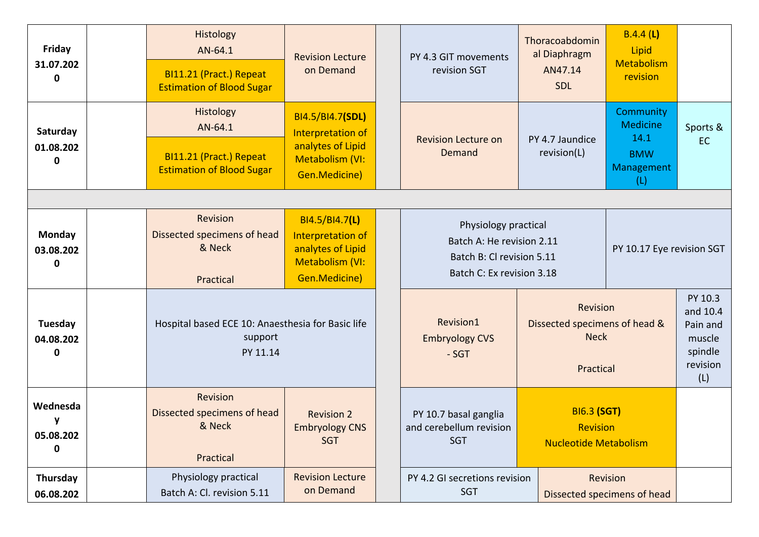| Friday<br>31.07.202<br>0        | Histology<br>AN-64.1<br>BI11.21 (Pract.) Repeat<br><b>Estimation of Blood Sugar</b>                                                                            | <b>Revision Lecture</b><br>on Demand                                                           |  | PY 4.3 GIT movements<br>revision SGT                                                                        | Thoracoabdomin<br>al Diaphragm<br>AN47.14<br>SDL                      | B.4.4(L)<br>Lipid<br>Metabolism<br>revision                             |                                                                         |
|---------------------------------|----------------------------------------------------------------------------------------------------------------------------------------------------------------|------------------------------------------------------------------------------------------------|--|-------------------------------------------------------------------------------------------------------------|-----------------------------------------------------------------------|-------------------------------------------------------------------------|-------------------------------------------------------------------------|
| Saturday<br>01.08.202<br>0      | Histology<br>AN-64.1<br>BI11.21 (Pract.) Repeat<br><b>Estimation of Blood Sugar</b>                                                                            | BI4.5/BI4.7(SDL)<br>Interpretation of<br>analytes of Lipid<br>Metabolism (VI:<br>Gen.Medicine) |  | <b>Revision Lecture on</b><br>Demand                                                                        | PY 4.7 Jaundice<br>revision(L)                                        | Community<br><b>Medicine</b><br>14.1<br><b>BMW</b><br>Management<br>(L) | Sports &<br><b>EC</b>                                                   |
|                                 |                                                                                                                                                                |                                                                                                |  |                                                                                                             |                                                                       |                                                                         |                                                                         |
| <b>Monday</b><br>03.08.202<br>0 | Revision<br>BI4.5/BI4.7(L)<br>Dissected specimens of head<br>Interpretation of<br>& Neck<br>analytes of Lipid<br>Metabolism (VI:<br>Gen.Medicine)<br>Practical |                                                                                                |  | Physiology practical<br>Batch A: He revision 2.11<br>Batch B: Cl revision 5.11<br>Batch C: Ex revision 3.18 |                                                                       | PY 10.17 Eye revision SGT                                               |                                                                         |
| Tuesday<br>04.08.202<br>0       | Hospital based ECE 10: Anaesthesia for Basic life<br>support<br>PY 11.14                                                                                       |                                                                                                |  | Revision1<br><b>Embryology CVS</b><br>$-SGT$                                                                | Revision<br>Dissected specimens of head &<br><b>Neck</b><br>Practical |                                                                         | PY 10.3<br>and 10.4<br>Pain and<br>muscle<br>spindle<br>revision<br>(L) |
| Wednesda<br>y<br>05.08.202<br>0 | Revision<br>Dissected specimens of head<br><b>Revision 2</b><br>& Neck<br><b>Embryology CNS</b><br><b>SGT</b><br>Practical                                     |                                                                                                |  | PY 10.7 basal ganglia<br>and cerebellum revision<br><b>SGT</b>                                              | <b>BI6.3 (SGT)</b><br><b>Revision</b><br><b>Nucleotide Metabolism</b> |                                                                         |                                                                         |
| Thursday<br>06.08.202           | Physiology practical<br><b>Revision Lecture</b><br>on Demand<br>Batch A: Cl. revision 5.11                                                                     |                                                                                                |  | PY 4.2 GI secretions revision<br>Revision<br><b>SGT</b><br>Dissected specimens of head                      |                                                                       |                                                                         |                                                                         |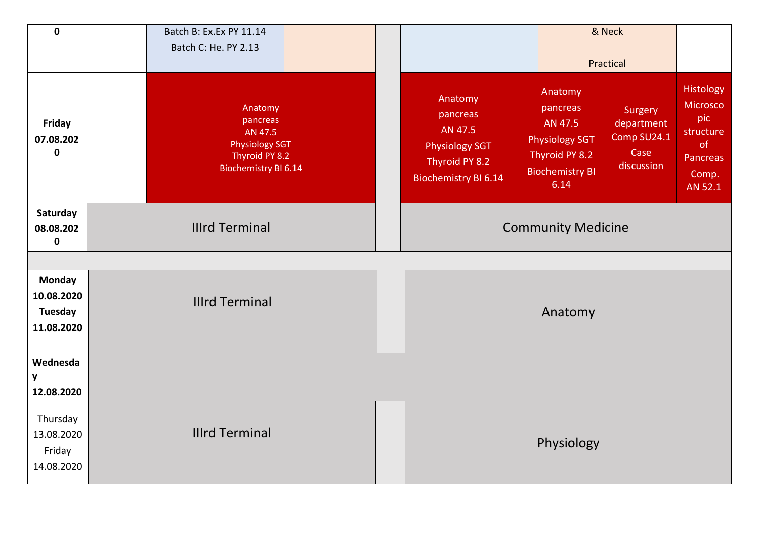| $\mathbf 0$                                          | Batch B: Ex.Ex PY 11.14<br>Batch C: He. PY 2.13                                                          | & Neck<br>Practical                                                                                                                                                                                                                                                                   |                                                                                 |  |  |  |
|------------------------------------------------------|----------------------------------------------------------------------------------------------------------|---------------------------------------------------------------------------------------------------------------------------------------------------------------------------------------------------------------------------------------------------------------------------------------|---------------------------------------------------------------------------------|--|--|--|
| Friday<br>07.08.202<br>$\mathbf 0$                   | Anatomy<br>pancreas<br>AN 47.5<br><b>Physiology SGT</b><br>Thyroid PY 8.2<br><b>Biochemistry BI 6.14</b> | Anatomy<br>Anatomy<br>pancreas<br>Surgery<br>pancreas<br>AN 47.5<br>department<br>AN 47.5<br>Comp SU24.1<br><b>Physiology SGT</b><br><b>Physiology SGT</b><br>Case<br>Thyroid PY 8.2<br>Thyroid PY 8.2<br>discussion<br><b>Biochemistry BI</b><br><b>Biochemistry BI 6.14</b><br>6.14 | Histology<br>Microsco<br>pic<br>structure<br>of<br>Pancreas<br>Comp.<br>AN 52.1 |  |  |  |
| Saturday<br>08.08.202<br>$\pmb{0}$                   | <b>Illrd Terminal</b>                                                                                    | <b>Community Medicine</b>                                                                                                                                                                                                                                                             |                                                                                 |  |  |  |
| <b>Monday</b><br>10.08.2020<br>Tuesday<br>11.08.2020 | <b>Illrd Terminal</b>                                                                                    | Anatomy                                                                                                                                                                                                                                                                               |                                                                                 |  |  |  |
| Wednesda<br>y<br>12.08.2020                          |                                                                                                          |                                                                                                                                                                                                                                                                                       |                                                                                 |  |  |  |
| Thursday<br>13.08.2020<br>Friday<br>14.08.2020       | <b>Illrd Terminal</b>                                                                                    | Physiology                                                                                                                                                                                                                                                                            |                                                                                 |  |  |  |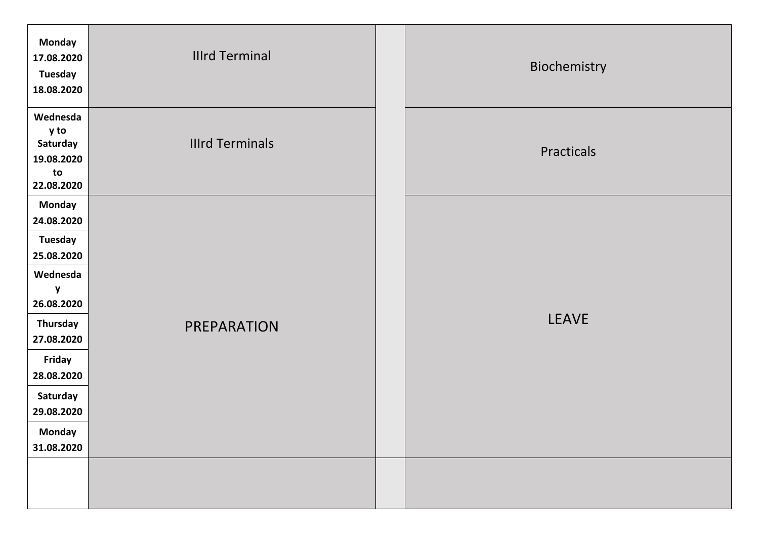| <b>Monday</b><br>17.08.2020<br><b>Tuesday</b><br>18.08.2020                                                                                                                      | <b>Illrd Terminal</b>  | Biochemistry |
|----------------------------------------------------------------------------------------------------------------------------------------------------------------------------------|------------------------|--------------|
| Wednesda<br>y to<br>Saturday<br>19.08.2020<br>to<br>22.08.2020                                                                                                                   | <b>Illrd Terminals</b> | Practicals   |
| <b>Monday</b><br>24.08.2020<br><b>Tuesday</b><br>25.08.2020<br>Wednesda<br>y<br>26.08.2020<br>Thursday<br>27.08.2020<br>Friday<br>28.08.2020<br>Saturday<br>29.08.2020<br>Monday | <b>PREPARATION</b>     | <b>LEAVE</b> |
| 31.08.2020                                                                                                                                                                       |                        |              |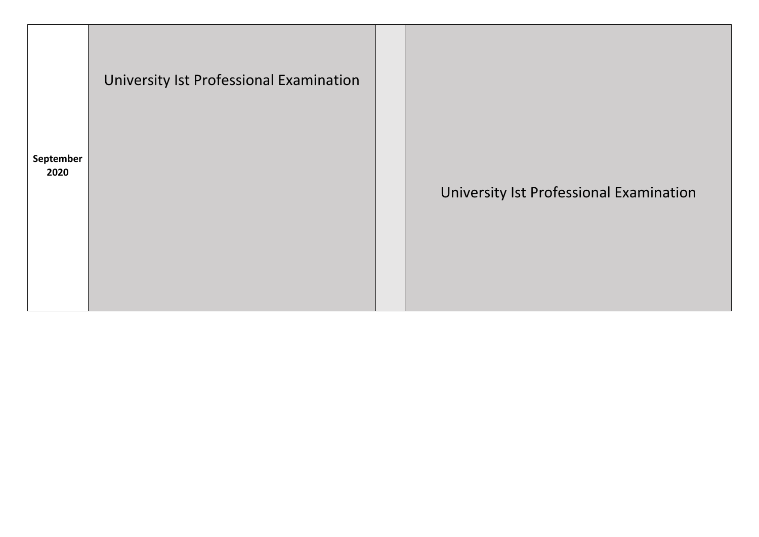